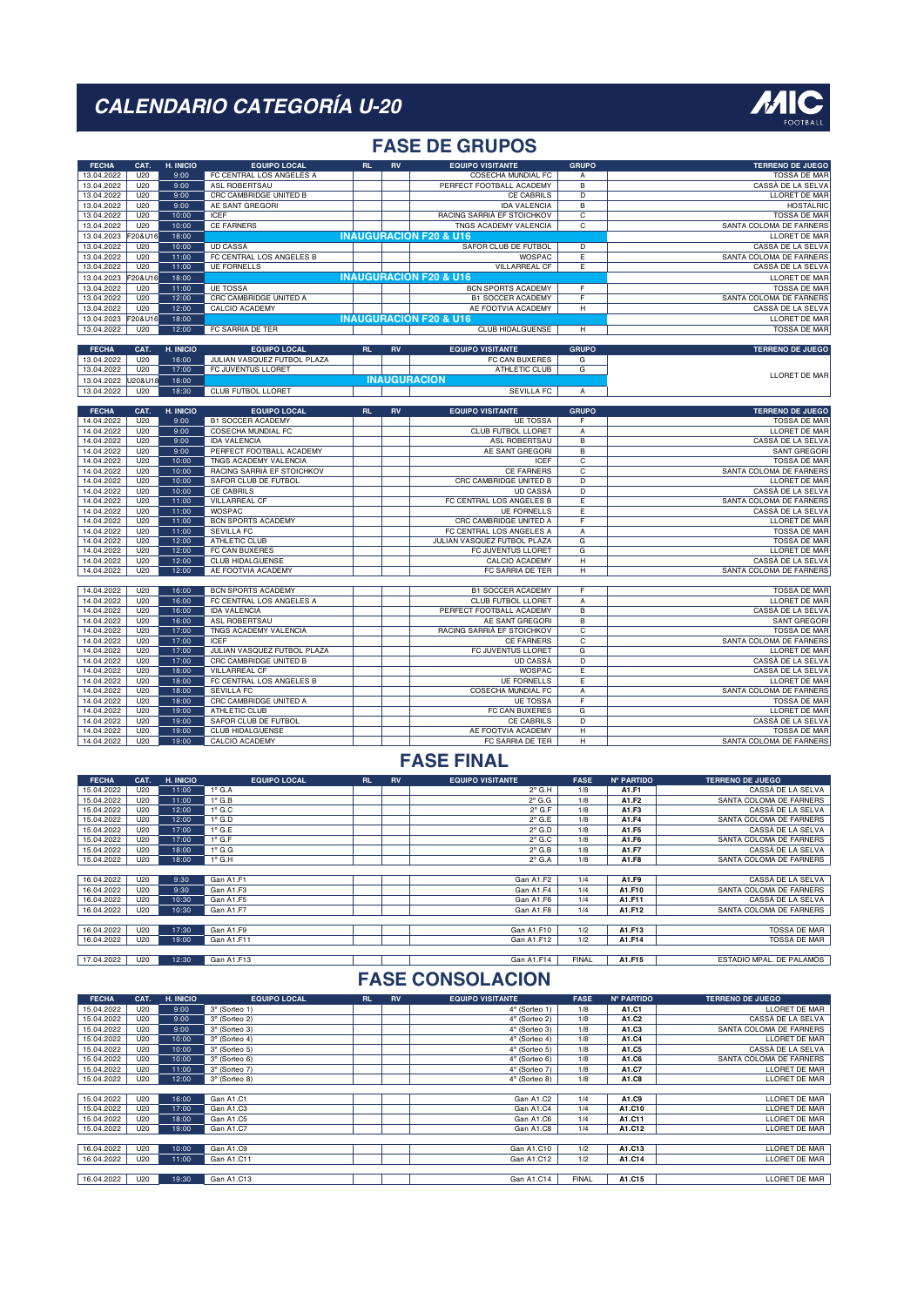

### **FASE DE GRUPOS**

| <b>FECHA</b>             | CAT.            | H. INICIO      | <b>EQUIPO LOCAL</b>                | RL  | <b>RV</b> | <b>EQUIPO VISITANTE</b>                | <b>GRUPO</b>        | <b>TERRENO DE JUEGO</b>                        |
|--------------------------|-----------------|----------------|------------------------------------|-----|-----------|----------------------------------------|---------------------|------------------------------------------------|
| 13.04.2022               | U20             | 9:00           | FC CENTRAL LOS ANGELES A           |     |           | COSECHA MUNDIAL FC                     | A                   | <b>TOSSA DE MAR</b>                            |
| 13.04.2022               | U20             | 9:00           | ASL ROBERTSAU                      |     |           | PERFECT FOOTBALL ACADEMY               | $\overline{B}$      | CASSÀ DE LA SELVA                              |
| 13.04.2022               | U20             | 9:00           | CRC CAMBRIDGE UNITED B             |     |           | <b>CE CABRILS</b>                      | $\overline{D}$      | <b>LLORET DE MAR</b>                           |
| 13.04.2022               | U20             | 9:00           | AE SANT GREGORI                    |     |           | <b>IDA VALENCIA</b>                    | $\overline{B}$      | <b>HOSTALRIC</b>                               |
| 13.04.2022               | U20             | 10:00          | ICEF                               |     |           | RACING SARRIÀ EF STOICHKOV             | $\overline{c}$      | <b>TOSSA DE MAR</b>                            |
| 13.04.2022               | U20             | 10:00          | <b>CE FARNERS</b>                  |     |           | TNGS ACADEMY VALENCIA                  | $\overline{c}$      | SANTA COLOMA DE FARNERS                        |
| 13.04.2023               | 20&U16          | 18:00          |                                    |     |           | <b>INAUGURACION F20 &amp; U16</b>      |                     | LLORET DE MAR                                  |
| 13.04.2022               | U20             | 10:00          | <b>UD CASSA</b>                    |     |           |                                        |                     | CASSÀ DE LA SELVA                              |
|                          | U20             | 11:00          | FC CENTRAL LOS ANGELES B           |     |           | SAFOR CLUB DE FUTBOL<br><b>WOSPAC</b>  | D<br>Έ              | SANTA COLOMA DE FARNERS                        |
| 13.04.2022<br>13.04.2022 | U20             | 11:00          | <b>UE FORNELLS</b>                 |     |           | <b>VILLARREAL CF</b>                   | Έ                   | CASSÀ DE LA SELVA                              |
|                          | 20&U1           | 18:00          |                                    |     |           | <b>INAUGURACIÓN F20 &amp; U16</b>      |                     |                                                |
| 13.04.2023               |                 |                |                                    |     |           |                                        |                     | LLORET DE MAR                                  |
| 13.04.2022               | U20             | 11:00          | <b>UE TOSSA</b>                    |     |           | BCN SPORTS ACADEMY                     | F                   | <b>TOSSA DE MAR</b>                            |
| 13.04.2022               | U20             | 12:00          | CRC CAMBRIDGE UNITED A             |     |           | <b>B1 SOCCER ACADEMY</b>               | F                   | SANTA COLOMA DE FARNERS                        |
| 13.04.2022               | U20             | 12:00          | CALCIO ACADEMY                     |     |           | AE FOOTVIA ACADEMY                     | н                   | CASSÀ DE LA SELVA                              |
| 13.04.2023               | F20&U16         | 18:00          |                                    |     |           | <b>INAUGURACION F20 &amp; U16</b>      |                     | LLORET DE MAR                                  |
| 13.04.2022               | U20             | 12:00          | FC SARRIA DE TER                   |     |           | CLUB HIDALGUENSE                       | H                   | <b>TOSSA DE MAR</b>                            |
|                          |                 |                |                                    |     |           |                                        |                     |                                                |
| <b>FECHA</b>             | CAT.            | H. INICIO      | <b>EQUIPO LOCAL</b>                | RL. | RV        | <b>EQUIPO VISITANTE</b>                | <b>GRUPO</b>        | <b>TERRENO DE JUEGO</b>                        |
| 13.04.2022               | U20             | 16:00          | JULIAN VASQUEZ FUTBOL PLAZA        |     |           | <b>FC CAN BUXERES</b>                  | G                   |                                                |
| 13.04.2022               | U20             | 17:00          | FC JUVENTUS LLORET                 |     |           | ATHLETIC CLUB                          | G                   | LLORET DE MAR                                  |
| 13.04.2022               | J20&U1          | 18:00          |                                    |     |           | <b>INAUGURACION</b>                    |                     |                                                |
| 13.04.2022               | U20             | 18:30          | <b>CLUB FUTBOL LLORET</b>          |     |           | <b>SEVILLA FC</b>                      | $\overline{A}$      |                                                |
|                          |                 |                |                                    |     |           |                                        |                     |                                                |
| <b>FECHA</b>             | CAT.            | H. INICIO      | <b>EQUIPO LOCAL</b>                | RL. | <b>RV</b> | <b>EQUIPO VISITANTE</b>                | <b>GRUPO</b>        | <b>TERRENO DE JUEGO</b>                        |
| 14.04.2022               | U20             | 9:00           | <b>B1 SOCCER ACADEMY</b>           |     |           | <b>UE TOSSA</b>                        | F                   | <b>TOSSA DE MAR</b>                            |
| 14.04.2022               | U20             | 9:00           | COSECHA MUNDIAL FC                 |     |           | CLUB FUTBOL LLORET                     | Α                   | LLORET DE MAR                                  |
| 14.04.2022               | U20             | 9:00           | <b>IDA VALENCIA</b>                |     |           | ASL ROBERTSAU                          | $\overline{B}$      | CASSÀ DE LA SELVA                              |
| 14.04.2022               | U20             | 9:00           | PERFECT FOOTBALL ACADEMY           |     |           | AE SANT GREGORI                        | $\overline{B}$      | <b>SANT GREGORI</b>                            |
| 14.04.2022               | U20             | 10:00          | TNGS ACADEMY VALENCIA              |     |           | ICEF                                   | $\overline{c}$      | <b>TOSSA DE MAR</b>                            |
| 14.04.2022               | U20             | 10:00          | RACING SARRIÀ EF STOICHKOV         |     |           | <b>CE FARNERS</b>                      | $\overline{c}$      | SANTA COLOMA DE FARNERS                        |
| 14.04.2022               | U20             | 10:00          | SAFOR CLUB DE FUTBOL               |     |           | CRC CAMBRIDGE UNITED B                 | $\overline{D}$      | LLORET DE MAR                                  |
| 14.04.2022               | U20             | 10:00          | <b>CE CABRILS</b>                  |     |           | UD CASSA                               | $\overline{D}$      | CASSÀ DE LA SELVA                              |
| 14.04.2022               | U20             | 11:00          | <b>VILLARREAL CF</b>               |     |           | FC CENTRAL LOS ANGELES B               | Έ                   | SANTA COLOMA DE FARNERS                        |
| 14.04.2022               | U20             | 11:00          | <b>WOSPAC</b>                      |     |           |                                        |                     |                                                |
| 14.04.2022               |                 |                |                                    |     |           | <b>UE FORNELLS</b>                     | Έ                   | CASSÀ DE LA SELVA                              |
|                          | U20             | 11:00          | <b>BCN SPORTS ACADEMY</b>          |     |           | CRC CAMBRIDGE UNITED A                 | F                   | LLORET DE MAR                                  |
| 14.04.2022               | U20             | 11:00          | <b>SEVILLA FC</b>                  |     |           | FC CENTRAL LOS ANGELES A               | $\overline{A}$      | <b>TOSSA DE MAR</b>                            |
| 14.04.2022               | U20             | 12:00          | ATHLETIC CLUB                      |     |           | JULIAN VASQUEZ FUTBOL PLAZA            | $\overline{G}$      | <b>TOSSA DE MAR</b>                            |
| 14.04.2022               | U20             | 12:00          | FC CAN BUXERES                     |     |           | FC JUVENTUS LLORET                     | G                   | LLORET DE MAR                                  |
| 14.04.2022               | U20             | 12:00          | <b>CLUB HIDALGUENSE</b>            |     |           | <b>CALCIO ACADEMY</b>                  | $\overline{H}$      | CASSÀ DE LA SELVA                              |
| 14.04.2022               | U20             | 12:00          | AE FOOTVIA ACADEMY                 |     |           | FC SARRIA DE TER                       | $\overline{H}$      | SANTA COLOMA DE FARNERS                        |
|                          |                 |                |                                    |     |           |                                        |                     |                                                |
| 14.04.2022               | U20             | 16:00          | <b>BCN SPORTS ACADEMY</b>          |     |           | <b>B1 SOCCER ACADEMY</b>               | F                   | <b>TOSSA DE MAR</b>                            |
| 14.04.2022               | U20             | 16:00          | FC CENTRAL LOS ANGELES A           |     |           | CLUB FUTBOL LLORET                     | Α                   | LLORET DE MAR                                  |
| 14.04.2022               | U20             | 16:00          | <b>IDA VALENCIA</b>                |     |           | PERFECT FOOTBALL ACADEMY               | $\overline{B}$      | CASSÀ DE LA SELVA                              |
| 14.04.2022               | U20             | 16:00          | ASL ROBERTSAU                      |     |           | AE SANT GREGORI                        | $\overline{B}$      | <b>SANT GREGORI</b>                            |
| 14.04.2022               | U20             | 17:00          | <b>TNGS ACADEMY VALENCIA</b>       |     |           | RACING SARRIA EF STOICHKOV             | $\overline{c}$      | <b>TOSSA DE MAR</b>                            |
| 14.04.2022               | U20             | 17:00          | <b>ICEF</b>                        |     |           | <b>CE FARNERS</b>                      | $\overline{c}$      | SANTA COLOMA DE FARNERS                        |
| 14.04.2022               | U20             | 17:00          | JULIAN VASQUEZ FUTBOL PLAZA        |     |           | FC JUVENTUS LLORET                     | G                   | <b>LLORET DE MAR</b>                           |
| 14.04.2022               | U20             | 17:00          | CRC CAMBRIDGE UNITED B             |     |           | <b>UD CASSÀ</b>                        | $\overline{D}$      | CASSÀ DE LA SELVA                              |
| 14.04.2022               | U <sub>20</sub> | 18:00          | <b>VILLARREAL CF</b>               |     |           | <b>WOSPAC</b>                          | Έ                   | CASSÀ DE LA SELVA                              |
| 14.04.2022               | U20             | 18:00          | FC CENTRAL LOS ANGELES B           |     |           | <b>UE FORNELLS</b>                     | Έ                   | <b>LLORET DE MAR</b>                           |
| 14.04.2022               | U20             | 18:00          | <b>SEVILLA FC</b>                  |     |           | COSECHA MUNDIAL FC                     | A                   | SANTA COLOMA DE FARNERS                        |
| 14.04.2022               | U20             | 18:00          | CRC CAMBRIDGE UNITED A             |     |           | <b>UE TOSSA</b>                        | F                   | <b>TOSSA DE MAR</b>                            |
| 14.04.2022               | U20             | 19:00          | ATHLETIC CLUB                      |     |           | FC CAN BUXERES                         | $\overline{G}$      | LLORET DE MAR                                  |
| 14.04.2022               | U20             | 19:00          | SAFOR CLUB DE FUTBOL               |     |           | CE CABRILS                             | $\overline{D}$      | CASSÀ DE LA SELVA                              |
| 14.04.2022<br>14.04.2022 | U20<br>U20      | 19:00<br>19:00 | CLUB HIDALGUENSE<br>CALCIO ACADEMY |     |           | AE FOOTVIA ACADEMY<br>FC SARRIA DE TER | $\overline{H}$<br>н | <b>TOSSA DE MAR</b><br>SANTA COLOMA DE FARNERS |

#### **FASE FINAL**

| <b>FECHA</b> | CAT.            | H. INICIO | <b>EQUIPO LOCAL</b> | <b>RL</b> | <b>RV</b> | <b>EQUIPO VISITANTE</b> | <b>FASE</b>  | <b>N° PARTIDO</b> | <b>TERRENO DE JUEGO</b>  |
|--------------|-----------------|-----------|---------------------|-----------|-----------|-------------------------|--------------|-------------------|--------------------------|
| 15.04.2022   | U20             | 11:00     | $1^\circ$ G.A       |           |           | $2^{\circ}$ G.H         | 1/8          | A1.F1             | CASSÀ DE LA SELVA        |
| 15.04.2022   | U20             | 11:00     | $1^\circ$ G.B       |           |           | $2^{\circ}$ G.G         | 1/8          | A1.F2             | SANTA COLOMA DE FARNERS  |
| 15.04.2022   | U20             | 12:00     | $1^\circ$ G.C       |           |           | $2^{\circ}$ G.F         | 1/8          | A1.F3             | CASSÀ DE LA SELVA        |
| 15.04.2022   | U20             | 12:00     | $1^\circ$ G.D       |           |           | $2^{\circ}$ G.E         | 1/8          | A1.F4             | SANTA COLOMA DE FARNERS  |
| 15.04.2022   | U <sub>20</sub> | 17:00     | $1^\circ$ G.E       |           |           | $2^{\circ}$ G.D         | 1/8          | A1.F5             | CASSÀ DE LA SELVA        |
| 15.04.2022   | U20             | 17:00     | $1^\circ$ G.F       |           |           | $2^{\circ}$ G.C         | 1/8          | A1.F6             | SANTA COLOMA DE FARNERS  |
| 15.04.2022   | U <sub>20</sub> | 18:00     | $1^\circ$ G.G       |           |           | $2^\circ$ G.B           | 1/8          | A1.F7             | CASSÀ DE LA SELVA        |
| 15.04.2022   | U20             | 18:00     | $1^\circ$ G.H       |           |           | $2^{\circ}$ G.A         | 1/8          | A1.F8             | SANTA COLOMA DE FARNERS  |
|              |                 |           |                     |           |           |                         |              |                   |                          |
| 16.04.2022   | U20             | 9:30      | Gan A1.F1           |           |           | Gan A1.F2               | 1/4          | A1.F9             | CASSÀ DE LA SELVA        |
| 16.04.2022   | U <sub>20</sub> | 9:30      | Gan A1.F3           |           |           | Gan A1.F4               | 1/4          | A1.F10            | SANTA COLOMA DE FARNERS  |
| 16.04.2022   | U <sub>20</sub> | 10:30     | Gan A1.F5           |           |           | Gan A1.F6               | 1/4          | A1.F11            | CASSÀ DE LA SELVA        |
| 16.04.2022   | U20             | 10:30     | Gan A1.F7           |           |           | Gan A1.F8               | 1/4          | A1.F12            | SANTA COLOMA DE FARNERS  |
|              |                 |           |                     |           |           |                         |              |                   |                          |
| 16.04.2022   | U20             | 17:30     | Gan A1.F9           |           |           | Gan A1.F10              | 1/2          | A1.F13            | <b>TOSSA DE MAR</b>      |
| 16.04.2022   | U20             | 19:00     | Gan A1.F11          |           |           | Gan A1.F12              | 1/2          | A1.F14            | TOSSA DE MAR             |
|              |                 |           |                     |           |           |                         |              |                   |                          |
| 17.04.2022   | U20             | 12:30     | Gan A1.F13          |           |           | Gan A1.F14              | <b>FINAL</b> | A1.F15            | ESTADIO MPAL. DE PALAMÓS |

| <b>FECHA</b> | CAT. | H. INICIO | <b>EQUIPO LOCAL</b> | <b>RL</b> | <b>RV</b> | <b>EQUIPO VISITANTE</b> | <b>FASE</b>  | <b>N° PARTIDO</b> | <b>TERRENO DE JUEGO</b> |
|--------------|------|-----------|---------------------|-----------|-----------|-------------------------|--------------|-------------------|-------------------------|
| 15.04.2022   | U20  | 9:00      | 3° (Sorteo 1)       |           |           | 4° (Sorteo 1)           | 1/8          | A1.C1             | LLORET DE MAR           |
| 15.04.2022   | U20  | 9:00      | 3° (Sorteo 2)       |           |           | 4° (Sorteo 2)           | 1/8          | A1.C2             | CASSÀ DE LA SELVA       |
| 15.04.2022   | U20  | 9:00      | 3° (Sorteo 3)       |           |           | 4° (Sorteo 3)           | 1/8          | A1.C3             | SANTA COLOMA DE FARNERS |
| 15.04.2022   | U20  | 10:00     | 3° (Sorteo 4)       |           |           | 4° (Sorteo 4)           | 1/8          | A1.C4             | LLORET DE MAR           |
| 15.04.2022   | U20  | 10:00     | 3° (Sorteo 5)       |           |           | $4^\circ$ (Sorteo 5)    | 1/8          | A1.C5             | CASSÀ DE LA SELVA       |
| 15.04.2022   | U20  | 10:00     | 3° (Sorteo 6)       |           |           | $4^\circ$ (Sorteo 6)    | 1/8          | A1.C6             | SANTA COLOMA DE FARNERS |
| 15.04.2022   | U20  | 11:00     | 3° (Sorteo 7)       |           |           | 4° (Sorteo 7)           | 1/8          | A1.C7             | LLORET DE MAR           |
| 15.04.2022   | U20  | 12:00     | 3° (Sorteo 8)       |           |           | 4° (Sorteo 8)           | 1/8          | A1.C8             | <b>LLORET DE MAR</b>    |
|              |      |           |                     |           |           |                         |              |                   |                         |
| 15.04.2022   | U20  | 16:00     | Gan A1.C1           |           |           | Gan A1.C2               | 1/4          | A1.C9             | LLORET DE MAR           |
| 15.04.2022   | U20  | 17:00     | Gan A1.C3           |           |           | Gan A1.C4               | 1/4          | A1.C10            | LLORET DE MAR           |
| 15.04.2022   | U20  | 18:00     | Gan A1.C5           |           |           | Gan A1.C6               | 1/4          | A1.C11            | LLORET DE MAR           |
| 15.04.2022   | U20  | 19:00     | Gan A1.C7           |           |           | Gan A1.C8               | 1/4          | A1.C12            | LLORET DE MAR           |
|              |      |           |                     |           |           |                         |              |                   |                         |
| 16.04.2022   | U20  | 10:00     | Gan A1.C9           |           |           | Gan A1.C10              | 1/2          | A1.C13            | LLORET DE MAR           |
| 16.04.2022   | U20  | 11:00     | Gan A1.C11          |           |           | Gan A1.C12              | 1/2          | A1.C14            | LLORET DE MAR           |
|              |      |           |                     |           |           |                         |              |                   |                         |
| 16.04.2022   | U20  | 19:30     | Gan A1.C13          |           |           | Gan A1.C14              | <b>FINAL</b> | A1.C15            | LLORET DE MAR           |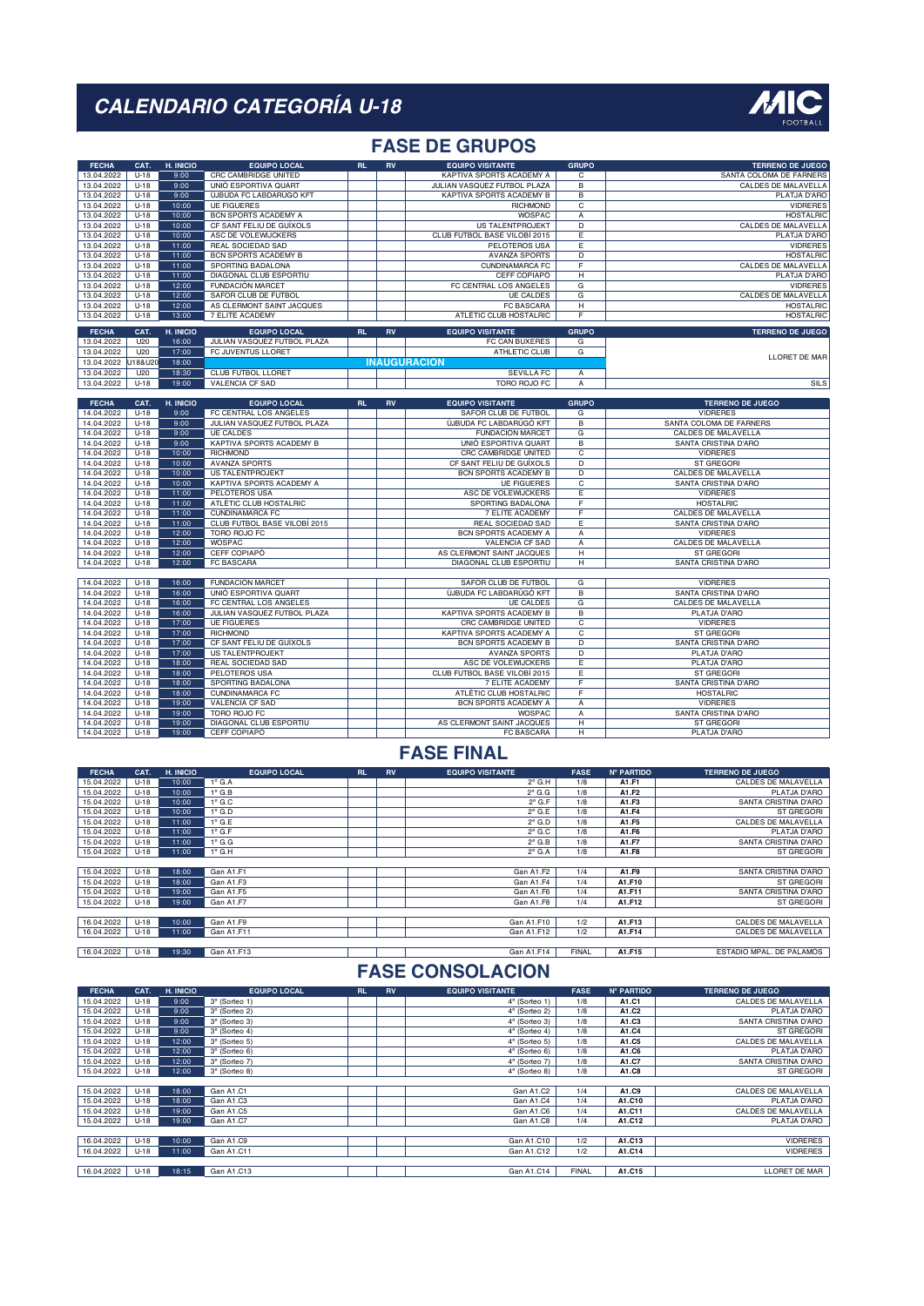

### **FASE DE GRUPOS**

| <b>FECHA</b> | CAT.   | H. INICIO | <b>EQUIPO LOCAL</b>          | RL.       | <b>RV</b> | <b>EQUIPO VISITANTE</b>      | <b>GRUPO</b>            | <b>TERRENO DE JUEGO</b>     |
|--------------|--------|-----------|------------------------------|-----------|-----------|------------------------------|-------------------------|-----------------------------|
| 13.04.2022   | $U-18$ | 9:00      | CRC CAMBRIDGE UNITED         |           |           | KAPTIVA SPORTS ACADEMY A     | С                       | SANTA COLOMA DE FARNERS     |
| 13.04.2022   | $U-18$ | 9:00      | UNIÓ ESPORTIVA QUART         |           |           | JULIAN VASQUEZ FUTBOL PLAZA  | $\overline{B}$          | CALDES DE MALAVELLA         |
| 13.04.2022   | $U-18$ | 9:00      | ÚJBUDA FC LABDARÚGÓ KFT      |           |           | KAPTIVA SPORTS ACADEMY B     | $\overline{B}$          | PLATJA D'ARO                |
| 13.04.2022   | $U-18$ | 10:00     | <b>UE FIGUERES</b>           |           |           | <b>RICHMOND</b>              | $\overline{c}$          | <b>VIDRERES</b>             |
| 13.04.2022   | $U-18$ | 10:00     | BCN SPORTS ACADEMY A         |           |           | WOSPAC                       | А                       | <b>HOSTALRIC</b>            |
| 13.04.2022   | $U-18$ | 10:00     | CF SANT FELIU DE GUÍXOLS     |           |           | <b>US TALENTPROJEKT</b>      | $\overline{D}$          | <b>CALDES DE MALAVELLA</b>  |
| 13.04.2022   | $U-18$ | 10:00     | ASC DE VOLEWIJCKERS          |           |           | CLUB FUTBOL BASE VILOBÍ 2015 | E                       | PLATJA D'ARO                |
| 13.04.2022   | $U-18$ | 11:00     | REAL SOCIEDAD SAD            |           |           | PELOTEROS USA                | Ε                       | <b>VIDRERES</b>             |
| 13.04.2022   | $U-18$ | 11:00     | <b>BCN SPORTS ACADEMY B</b>  |           |           | <b>AVANZA SPORTS</b>         | D                       | <b>HOSTALRIC</b>            |
| 13.04.2022   | $U-18$ | 11:00     | SPORTING BADALONA            |           |           | <b>CUNDINAMARCA FC</b>       | $\overline{F}$          | <b>CALDES DE MALAVELLA</b>  |
| 13.04.2022   | $U-18$ | 11:00     | DIAGONAL CLUB ESPORTIU       |           |           | CEFF COPIAPÓ                 | $\overline{H}$          | PLATJA D'ARO                |
| 13.04.2022   | $U-18$ | 12:00     | <b>FUNDACIÓN MARCET</b>      |           |           | FC CENTRAL LOS ANGELES       | $\overline{\mathsf{G}}$ | <b>VIDRERES</b>             |
| 13.04.2022   | $U-18$ | 12:00     | SAFOR CLUB DE FUTBOL         |           |           | <b>UE CALDES</b>             | $\overline{\mathsf{G}}$ | <b>CALDES DE MALAVELLA</b>  |
| 13.04.2022   | $U-18$ | 12:00     | AS CLERMONT SAINT JACQUES    |           |           | <b>FC BASCARA</b>            | $\overline{H}$          | <b>HOSTALRIC</b>            |
| 13.04.2022   | $U-18$ | 13:00     | 7 ELITE ACADEMY              |           |           | ATLÈTIC CLUB HOSTALRIC       | F                       | <b>HOSTALRIC</b>            |
|              |        |           |                              |           |           |                              |                         |                             |
| <b>FECHA</b> | CAT.   | H. INICIO | <b>EQUIPO LOCAL</b>          | <b>RL</b> | <b>RV</b> | <b>EQUIPO VISITANTE</b>      | <b>GRUPO</b>            | <b>TERRENO DE JUEGO</b>     |
| 13.04.2022   | U20    | 16:00     | JULIAN VASQUEZ FUTBOL PLAZA  |           |           | FC CAN BUXERES               | G                       |                             |
| 13.04.2022   | U20    | 17:00     | FC JUVENTUS LLORET           |           |           | ATHLETIC CLUB                | G                       | <b>LLORET DE MAR</b>        |
| 13.04.2022   | J18&U2 | 18:00     |                              |           |           | <b>INAUGURACIÓN</b>          |                         |                             |
| 13.04.2022   | U20    | 18:30     | <b>CLUB FUTBOL LLORET</b>    |           |           | <b>SEVILLA FC</b>            | А                       |                             |
| 13.04.2022   | $U-18$ | 19:00     | <b>VALENCIA CF SAD</b>       |           |           | TORO ROJO FC                 | A                       | SILS                        |
|              |        |           |                              |           |           |                              |                         |                             |
| <b>FECHA</b> | CAT.   | H. INICIO | <b>EQUIPO LOCAL</b>          | <b>RL</b> | <b>RV</b> | <b>EQUIPO VISITANTE</b>      | <b>GRUPO</b>            | <b>TERRENO DE JUEGO</b>     |
| 14.04.2022   | $U-18$ | 9:00      | FC CENTRAL LOS ANGELES       |           |           | SAFOR CLUB DE FUTBOL         | G                       | <b>VIDRERES</b>             |
| 14.04.2022   | $U-18$ | 9:00      | JULIAN VASQUEZ FUTBOL PLAZA  |           |           | ÚJBUDA FC LABDARÚGÓ KFT      | $\overline{B}$          | SANTA COLOMA DE FARNERS     |
| 14.04.2022   | $U-18$ | 9:00      | <b>UE CALDES</b>             |           |           | <b>FUNDACIÓN MARCET</b>      | $\overline{G}$          | CALDES DE MALAVELLA         |
| 14.04.2022   | $U-18$ | 9:00      | KAPTIVA SPORTS ACADEMY B     |           |           | UNIÓ ESPORTIVA QUART         | $\overline{B}$          | SANTA CRISTINA D'ARO        |
| 14.04.2022   | $U-18$ | 10:00     | <b>RICHMOND</b>              |           |           | CRC CAMBRIDGE UNITED         | $\overline{c}$          | <b>VIDRERES</b>             |
| 14.04.2022   | $U-18$ | 10:00     | <b>AVANZA SPORTS</b>         |           |           | CF SANT FELIU DE GUÍXOLS     | $\overline{\mathsf{D}}$ | ST GREGORI                  |
| 14.04.2022   | $U-18$ | 10:00     | <b>US TALENTPROJEKT</b>      |           |           | <b>BCN SPORTS ACADEMY B</b>  | $\overline{D}$          | CALDES DE MALAVELLA         |
| 14.04.2022   | $U-18$ | 10:00     | KAPTIVA SPORTS ACADEMY A     |           |           | <b>UE FIGUERES</b>           | $\overline{c}$          | SANTA CRISTINA D'ARO        |
| 14.04.2022   | $U-18$ | 11:00     | PELOTEROS USA                |           |           | ASC DE VOLEWIJCKERS          | E                       | <b>VIDRERES</b>             |
| 14.04.2022   | $U-18$ | 11:00     | ATLÈTIC CLUB HOSTALRIC       |           |           | SPORTING BADALONA            | F                       | <b>HOSTALRIC</b>            |
| 14.04.2022   | $U-18$ | 11:00     | <b>CUNDINAMARCA FC</b>       |           |           | 7 ELITE ACADEMY              | F                       | CALDES DE MALAVELLA         |
| 14.04.2022   | $U-18$ | 11:00     | CLUB FUTBOL BASE VILOBÍ 2015 |           |           | <b>REAL SOCIEDAD SAD</b>     | Έ                       | <b>SANTA CRISTINA D'ARO</b> |
| 14.04.2022   | $U-18$ | 12:00     | <b>TORO ROJO FC</b>          |           |           | <b>BCN SPORTS ACADEMY A</b>  | А                       | <b>VIDRERES</b>             |
| 14.04.2022   | $U-18$ | 12:00     | <b>WOSPAC</b>                |           |           | VALENCIA CF SAD              | A                       | CALDES DE MALAVELLA         |
| 14.04.2022   | $U-18$ | 12:00     | CEFF COPIAPÓ                 |           |           | AS CLERMONT SAINT JACQUES    | $\overline{H}$          | ST GREGORI                  |
| 14.04.2022   | $U-18$ | 12:00     | FC BASCARA                   |           |           | DIAGONAL CLUB ESPORTIU       | н                       | SANTA CRISTINA D'ARO        |
|              |        |           |                              |           |           |                              |                         |                             |
| 14.04.2022   | $U-18$ | 16:00     | FUNDACIÓN MARCET             |           |           | SAFOR CLUB DE FUTBOL         | G                       | <b>VIDRERES</b>             |
| 14.04.2022   | $U-18$ | 16:00     | UNIÓ ESPORTIVA QUART         |           |           | ÚJBUDA FC LABDARÚGÓ KFT      | $\overline{B}$          | SANTA CRISTINA D'ARO        |
| 14.04.2022   | $U-18$ | 16:00     | FC CENTRAL LOS ANGELES       |           |           | <b>UE CALDES</b>             | G                       | <b>CALDES DE MALAVELLA</b>  |
| 14.04.2022   | $U-18$ | 16:00     | JULIAN VASQUEZ FUTBOL PLAZA  |           |           | KAPTIVA SPORTS ACADEMY B     | $\overline{B}$          | PLATJA D'ARO                |
| 14.04.2022   | $U-18$ | 17:00     | <b>UE FIGUERES</b>           |           |           | CRC CAMBRIDGE UNITED         | $\overline{c}$          | <b>VIDRERES</b>             |
| 14.04.2022   | $U-18$ | 17:00     | RICHMOND                     |           |           | KAPTIVA SPORTS ACADEMY A     | $\overline{\text{c}}$   | <b>ST GREGORI</b>           |
| 14.04.2022   | $U-18$ | 17:00     | CF SANT FELIU DE GUÍXOLS     |           |           | <b>BCN SPORTS ACADEMY B</b>  | $\overline{D}$          | SANTA CRISTINA D'ARO        |
| 14.04.2022   | $U-18$ | 17:00     | <b>US TALENTPROJEKT</b>      |           |           | <b>AVANZA SPORTS</b>         | $\overline{D}$          | PLATJA D'ARO                |
| 14.04.2022   | $U-18$ | 18:00     | REAL SOCIEDAD SAD            |           |           | ASC DE VOLEWIJCKERS          | Ε                       | PLATJA D'ARO                |
| 14.04.2022   | $U-18$ | 18:00     | <b>PELOTEROS USA</b>         |           |           | CLUB FUTBOL BASE VILOBÍ 2015 | Έ                       | ST GREGORI                  |
| 14.04.2022   | $U-18$ | 18:00     | SPORTING BADALONA            |           |           | 7 ELITE ACADEMY              | F                       | SANTA CRISTINA D'ARO        |
| 14.04.2022   | $U-18$ | 18:00     | <b>CUNDINAMARCA FC</b>       |           |           | ATLÈTIC CLUB HOSTALRIC       | F                       | <b>HOSTALRIC</b>            |
| 14.04.2022   | $U-18$ | 19:00     | <b>VALENCIA CF SAD</b>       |           |           | BCN SPORTS ACADEMY A         | А                       | <b>VIDRERES</b>             |
| 14.04.2022   | $U-18$ | 19:00     | TORO ROJO FC                 |           |           | WOSPAC                       | A                       | SANTA CRISTINA D'ARO        |
| 14.04.2022   | $U-18$ | 19:00     | DIAGONAL CLUB ESPORTIU       |           |           | AS CLERMONT SAINT JACQUES    | н                       | ST GREGORI                  |
| 14.04.2022   | $U-18$ | 19:00     | CEFF COPIAPÓ                 |           |           | FC BASCARA                   | $\overline{H}$          | PLATJA D'ARO                |
|              |        |           |                              |           |           |                              |                         |                             |

### **FASE FINAL**

| <b>FECHA</b> | CAT.   | H. INICIO | <b>EQUIPO LOCAL</b> | <b>RL</b> | <b>RV</b> | <b>EQUIPO VISITANTE</b> | <b>FASE</b>  | N° PARTIDO | <b>TERRENO DE JUEGO</b>  |
|--------------|--------|-----------|---------------------|-----------|-----------|-------------------------|--------------|------------|--------------------------|
| 15.04.2022   | $U-18$ | 10:00     | $1^\circ$ G.A       |           |           | $2^{\circ}$ G.H         | 1/8          | A1.F1      | CALDES DE MALAVELLA      |
| 15.04.2022   | $U-18$ | 10:00     | $1^\circ$ G.B       |           |           | $2^{\circ}$ G.G         | 1/8          | A1.F2      | PLATJA D'ARO             |
| 15.04.2022   | $U-18$ | 10:00     | $1^\circ$ G.C       |           |           | $2^{\circ}$ G.F         | 1/8          | A1.F3      | SANTA CRISTINA D'ARO     |
| 15.04.2022   | $U-18$ | 10:00     | $1^\circ$ G.D       |           |           | $2^{\circ}$ G.E         | 1/8          | A1.F4      | ST GREGORI               |
| 15.04.2022   | $U-18$ | 11:00     | $1^\circ$ G.E       |           |           | $2^{\circ}$ G.D         | 1/8          | A1.F5      | CALDES DE MALAVELLA      |
| 15.04.2022   | $U-18$ | 11:00     | $1^\circ$ G.F       |           |           | $2^{\circ}$ G.C         | 1/8          | A1.F6      | PLATJA D'ARO             |
| 15.04.2022   | $U-18$ | 11:00     | $1^\circ$ G.G       |           |           | $2^{\circ}$ G.B         | 1/8          | A1.F7      | SANTA CRISTINA D'ARO     |
| 15.04.2022   | $U-18$ | 11:00     | $1^\circ$ G.H       |           |           | $2^{\circ}$ G.A         | 1/8          | A1.F8      | ST GREGORI               |
|              |        |           |                     |           |           |                         |              |            |                          |
| 15.04.2022   | $U-18$ | 18:00     | Gan A1.F1           |           |           | Gan A1.F2               | 1/4          | A1.F9      | SANTA CRISTINA D'ARO     |
| 15.04.2022   | $U-18$ | 18:00     | Gan A1.F3           |           |           | Gan A1.F4               | 1/4          | A1.F10     | ST GREGORI               |
| 15.04.2022   | $U-18$ | 19:00     | Gan A1.F5           |           |           | Gan A1.F6               | 1/4          | A1.F11     | SANTA CRISTINA D'ARO     |
| 15.04.2022   | $U-18$ | 19:00     | Gan A1.F7           |           |           | Gan A1.F8               | 1/4          | A1.F12     | ST GREGORI               |
|              |        |           |                     |           |           |                         |              |            |                          |
| 16.04.2022   | $U-18$ | 10:00     | Gan A1.F9           |           |           | Gan A1.F10              | 1/2          | A1.F13     | CALDES DE MALAVELLA      |
| 16.04.2022   | $U-18$ | 11:00     | Gan A1.F11          |           |           | Gan A1.F12              | 1/2          | A1.F14     | CALDES DE MALAVELLA      |
|              |        |           |                     |           |           |                         |              |            |                          |
| 16.04.2022   | $U-18$ | 19:30     | Gan A1.F13          |           |           | Gan A1.F14              | <b>FINAL</b> | A1.F15     | ESTADIO MPAL. DE PALAMÓS |

| <b>FECHA</b> | CAT.   | H. INICIO | <b>EQUIPO LOCAL</b> | <b>RL</b> | <b>RV</b> | <b>EQUIPO VISITANTE</b> | <b>FASE</b>  | <b>Nº PARTIDO</b> | <b>TERRENO DE JUEGO</b> |
|--------------|--------|-----------|---------------------|-----------|-----------|-------------------------|--------------|-------------------|-------------------------|
| 15.04.2022   | $U-18$ | 9:00      | 3° (Sorteo 1)       |           |           | 4° (Sorteo 1)           | 1/8          | A1.C1             | CALDES DE MALAVELLA     |
| 15.04.2022   | $U-18$ | 9:00      | 3° (Sorteo 2)       |           |           | 4° (Sorteo 2)           | 1/8          | A1.C2             | PLATJA D'ARO            |
| 15.04.2022   | $U-18$ | 9:00      | 3° (Sorteo 3)       |           |           | 4° (Sorteo 3)           | 1/8          | A1.C3             | SANTA CRISTINA D'ARO    |
| 15.04.2022   | $U-18$ | 9:00      | 3° (Sorteo 4)       |           |           | 4° (Sorteo 4)           | 1/8          | A1.C4             | ST GREGORI              |
| 15.04.2022   | $U-18$ | 12:00     | 3° (Sorteo 5)       |           |           | $4^\circ$ (Sorteo 5)    | 1/8          | A1.C5             | CALDES DE MALAVELLA     |
| 15.04.2022   | $U-18$ | 12:00     | 3° (Sorteo 6)       |           |           | $4^\circ$ (Sorteo 6)    | 1/8          | A1.C6             | PLATJA D'ARO            |
| 15.04.2022   | $U-18$ | 12:00     | 3° (Sorteo 7)       |           |           | 4° (Sorteo 7)           | 1/8          | A1.C7             | SANTA CRISTINA D'ARO    |
| 15.04.2022   | $U-18$ | 12:00     | 3° (Sorteo 8)       |           |           | 4° (Sorteo 8)           | 1/8          | A1.C8             | ST GREGORI              |
|              |        |           |                     |           |           |                         |              |                   |                         |
| 15.04.2022   | $U-18$ | 18:00     | Gan A1.C1           |           |           | Gan A1.C2               | 1/4          | A1.C9             | CALDES DE MALAVELLA     |
| 15.04.2022   | $U-18$ | 18:00     | Gan A1.C3           |           |           | Gan A1.C4               | 1/4          | A1.C10            | PLATJA D'ARO            |
| 15.04.2022   | $U-18$ | 19:00     | Gan A1.C5           |           |           | Gan A1.C6               | 1/4          | A1.C11            | CALDES DE MALAVELLA     |
| 15.04.2022   | $U-18$ | 19:00     | Gan A1.C7           |           |           | Gan A1.C8               | 1/4          | A1.C12            | PLATJA D'ARO            |
|              |        |           |                     |           |           |                         |              |                   |                         |
| 16.04.2022   | $U-18$ | 10:00     | Gan A1.C9           |           |           | Gan A1.C10              | 1/2          | A1.C13            | <b>VIDRERES</b>         |
| 16.04.2022   | $U-18$ | 11:00     | Gan A1.C11          |           |           | Gan A1.C12              | 1/2          | A1.C14            | <b>VIDRERES</b>         |
|              |        |           |                     |           |           |                         |              |                   |                         |
| 16.04.2022   | $U-18$ | 18:15     | Gan A1.C13          |           |           | Gan A1.C14              | <b>FINAL</b> | A1.C15            | LLORET DE MAR           |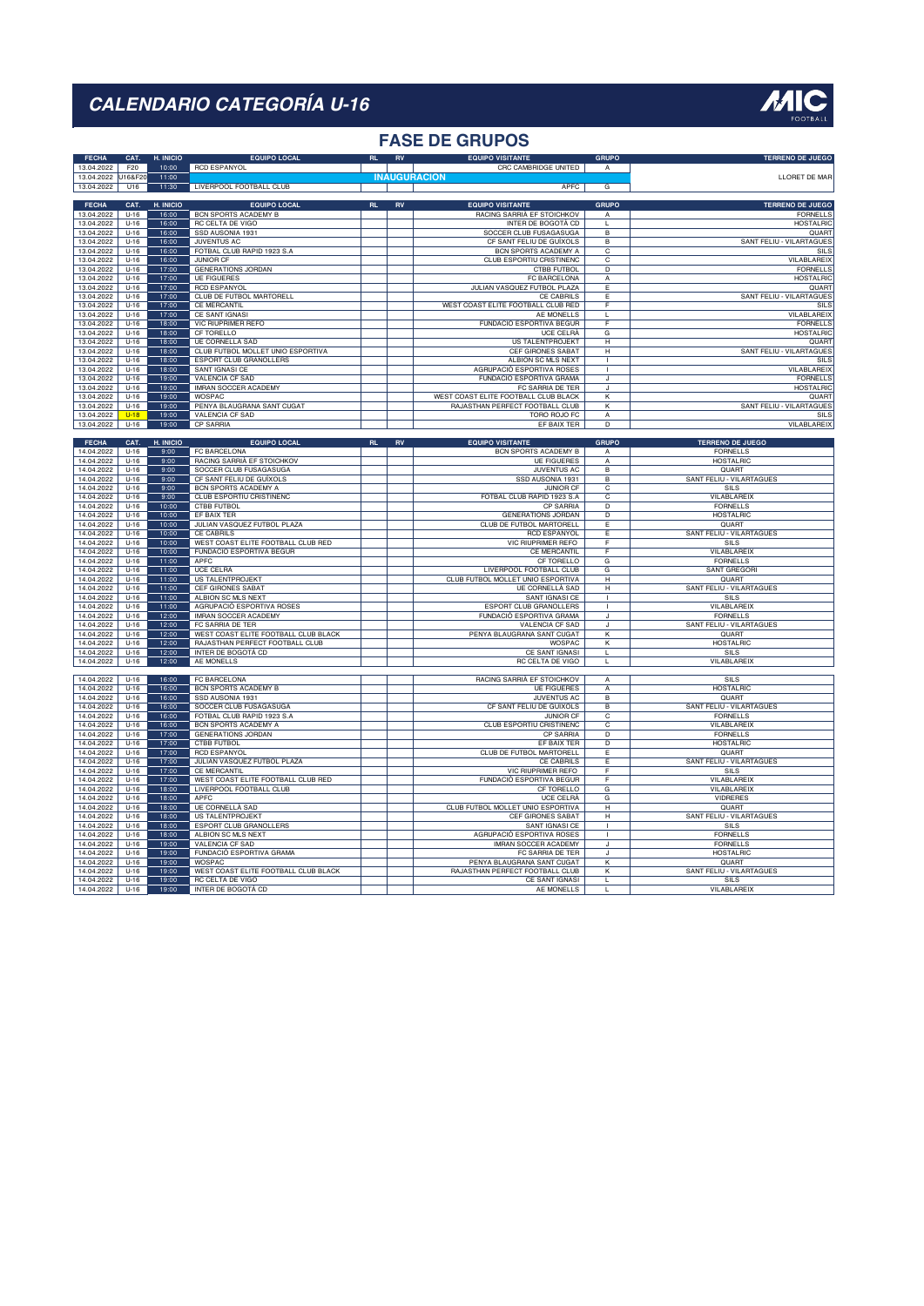#### **FASE DE GRUPOS**

| <b>FECHA</b>             | CAT.               | H. INICIO      | <b>EQUIPO LOCAL</b>                    | RL |            | <b>EQUIPO VISITANTE</b>                     | <b>GRUPO</b>                   | <b>TERRENO DE JUEGO</b>         |
|--------------------------|--------------------|----------------|----------------------------------------|----|------------|---------------------------------------------|--------------------------------|---------------------------------|
| 13.04.2022               | F20                | 10:00          | <b>RCD ESPANYOL</b>                    |    |            | CRC CAMBRIDGE UNITED                        | $\overline{A}$                 |                                 |
| 13.04.2022               | U16&F20            | 11:00          |                                        |    |            | <b>INAUGURACION</b>                         |                                | LLORET DE MAR                   |
| 13.04.2022               | U16                | 11:30          | LIVERPOOL FOOTBALL CLUB                |    |            | APFC                                        | G                              |                                 |
|                          |                    |                |                                        |    |            |                                             |                                |                                 |
| <b>FECHA</b>             | CAT.               | H. INICIO      | <b>EQUIPO LOCAL</b>                    | RL | RV         | <b>EQUIPO VISITANTE</b>                     | <b>GRUPO</b>                   | <b>TERRENO DE JUEGO</b>         |
| 13.04.2022               | $U-16$             | 16:00          | BCN SPORTS ACADEMY B                   |    |            | RACING SARRIÀ EF STOICHKOV                  | A                              | <b>FORNELLS</b>                 |
| 13.04.2022               | $U-16$             | 16:00          | RC CELTA DE VIGO                       |    |            | INTER DE BOGOTÁ CD                          | $\mathbf{L}$                   | <b>HOSTALRIC</b>                |
| 13.04.2022               | $U-16$             | 16:00          | SSD AUSONIA 1931                       |    |            | SOCCER CLUB FUSAGASUGA                      | $\overline{B}$                 | QUART                           |
| 13.04.2022               | $U-16$             | 16:00          | <b>JUVENTUS AC</b>                     |    |            | CF SANT FELIU DE GUÍXOLS                    | B                              | SANT FELIU - VILARTAGUES        |
| 13.04.2022               | $U-16$             | 16:00          | FOTBAL CLUB RAPID 1923 S.A             |    |            | BCN SPORTS ACADEMY A                        | C                              | SILS                            |
| 13.04.2022               | $U-16$             | 16:00          | JUNIOR CF                              |    |            | CLUB ESPORTIU CRISTINENC                    | C                              | VILABLAREIX                     |
| 13.04.2022               | $U-16$             | 17:00          | <b>GENERATIONS JORDAN</b>              |    |            | CTBB FUTBOL                                 | $\overline{D}$                 | <b>FORNELLS</b>                 |
| 13.04.2022               | $U-16$             | 17:00          | <b>UE FIGUERES</b>                     |    |            | FC BARCELONA                                | А                              | <b>HOSTALRIC</b>                |
| 13.04.2022               | $U-16$             | 17:00          | <b>RCD ESPANYOL</b>                    |    |            | JULIAN VASQUEZ FUTBOL PLAZA                 | Ε                              | QUART                           |
| 13.04.2022               | $U-16$             | 17:00          | <b>CLUB DE FUTBOL MARTORELL</b>        |    |            | <b>CE CABRILS</b>                           | Έ                              | SANT FELIU - VILARTAGUES        |
| 13.04.2022               | $U-16$             | 17:00          | <b>CE MERCANTIL</b>                    |    |            | WEST COAST ELITE FOOTBALL CLUB RED          | F                              | SILS                            |
| 13.04.2022               | $U-16$             | 17:00          | CE SANT IGNASI                         |    |            | AE MONELLS                                  | $\mathbf{L}$                   | VILABLAREIX                     |
| 13.04.2022               | $U-16$             | 18:00          | <b>VIC RIUPRIMER REFO</b>              |    |            | <b>FUNDACIÓ ESPORTIVA BEGUR</b>             | F                              | <b>FORNELLS</b>                 |
| 13.04.2022               | $U-16$             | 18:00          | CF TORFLLO                             |    |            | UCE CELBÀ                                   | G                              | <b>HOSTALRIC</b>                |
| 13.04.2022               | $U-16$             | 18:00          | UE CORNELLÀ SAD                        |    |            | US TALENTPROJEKT                            | Н                              | QUART                           |
| 13.04.2022               | $U-16$             | 18:00          | CLUB FUTBOL MOLLET UNIO ESPORTIVA      |    |            | <b>CEF GIRONES SABAT</b>                    | $\overline{\mathbf{H}}$        | SANT FELIU - VILARTAGUES        |
| 13.04.2022               | $U-16$             | 18:00          | ESPORT CLUB GRANOLLERS                 |    |            | ALBION SC MLS NEXT                          |                                | SILS                            |
| 13.04.2022               | $U-16$             | 18:00          | SANT IGNASI CE                         |    |            | AGRUPACIÓ ESPORTIVA ROSES                   |                                | VILABLAREIX                     |
| 13.04.2022               | $U-16$             | 19:00          | <b>VALENCIA CF SAD</b>                 |    |            | FUNDACIÓ ESPORTIVA GRAMA                    | J                              | <b>FORNELLS</b>                 |
| 13 04 2022               | $11-16$            | 19:00          | <b>IMRAN SOCCER ACADEMY</b>            |    |            | FC SARRIA DE TER                            | J                              | <b>HOSTALRIC</b>                |
| 13.04.2022               | $U-16$             | 19:00          | <b>WOSPAC</b>                          |    |            | WEST COAST ELITE FOOTBALL CLUB BLACK        | κ                              | QUART                           |
| 13.04.2022               | $U-16$             | 19:00          | PENYA BLAUGRANA SANT CUGAT             |    |            | RAJASTHAN PERFECT FOOTBALL CLUB             | κ                              | SANT FELIU - VILARTAGUES        |
| 13.04.2022               | $U-18$             | 19:00          | <b>VALENCIA CF SAD</b>                 |    |            | TORO ROJO FC                                | $\overline{A}$                 | SILS                            |
| 13.04.2022               | $U-16$             | 19:00          | <b>CP SARRIA</b>                       |    |            | EF BAIX TER                                 | $\overline{D}$                 | VILABLAREIX                     |
|                          |                    |                |                                        |    |            |                                             |                                |                                 |
| <b>FECHA</b>             | CAT.               | H. INICIO      | <b>EQUIPO LOCAL</b>                    | RL | ${\sf RV}$ | <b>EQUIPO VISITANTE</b>                     | <b>GRUPO</b>                   | TERRENO DE JUEGO                |
| 14.04.2022               | $U-16$             | 9:00           | FC BARCELONA                           |    |            | <b>BCN SPORTS ACADEMY B</b>                 | $\overline{A}$                 | <b>FORNELLS</b>                 |
| 14.04.2022               | $U-16$             | 9:00           | RACING SARRIÀ EF STOICHKOV             |    |            | <b>UE FIGUERES</b>                          | А                              | <b>HOSTALRIC</b>                |
| 14.04.2022               | $U-16$             | 9:00           | SOCCER CLUB FUSAGASUGA                 |    |            | <b>JUVENTUS AC</b>                          | в                              | QUART                           |
| 14.04.2022               | $U-16$             | 9:00           | CF SANT FELIU DE GUÍXOLS               |    |            | SSD AUSONIA 1931                            | $\overline{B}$                 | <b>SANT FELIU - VILARTAGUES</b> |
| 14.04.2022               | $U-16$             | 9:00           | <b>BCN SPORTS ACADEMY A</b>            |    |            | <b>JUNIOR CF</b>                            | $\overline{c}$                 | SILS                            |
| 14.04.2022               | $U-16$             | 9:00           | CLUB ESPORTIU CRISTINENC               |    |            | FOTBAL CLUB RAPID 1923 S.A                  | $\overline{\mathsf{c}}$        | VILABLAREIX                     |
| 14.04.2022               | $U-16$             | 10:00          | <b>CTBB FUTBOL</b>                     |    |            | <b>CP SARRIA</b>                            | D                              | <b>FORNELLS</b>                 |
| 14.04.2022               | $U-16$             | 10:00          | EF BAIX TER                            |    |            | <b>GENERATIONS JORDAN</b>                   | $\overline{D}$                 | <b>HOSTALRIC</b>                |
| 14.04.2022               | $U-16$             | 10:00          | JULIAN VASQUEZ FUTBOL PLAZA            |    |            | CLUB DE FUTBOL MARTORELL                    | Е                              | QUART                           |
| 14.04.2022               | $U-16$             | 10:00          | CE CABRILS                             |    |            | <b>RCD ESPANYOL</b>                         | Е                              | SANT FELIU - VILARTAGUES        |
| 14.04.2022               | $U-16$             | 10:00          | WEST COAST ELITE FOOTBALL CLUB RED     |    |            | <b>VIC RIUPRIMER REFO</b>                   | $\overline{F}$                 | SILS                            |
| 14.04.2022               |                    |                | <b>FUNDACIÓ ESPORTIVA BEGUR</b>        |    |            | <b>CE MERCANTIL</b>                         | $\overline{F}$                 | VILABLAREIX                     |
|                          |                    |                |                                        |    |            |                                             |                                |                                 |
|                          | $U-16$             | 10:00<br>11:00 |                                        |    |            |                                             |                                |                                 |
| 14.04.2022               | $U-16$             | 11:00          | APFC                                   |    |            | CF TORELLO                                  | G                              | <b>FORNELLS</b>                 |
| 14.04.2022               | $U-16$             |                | UCE CELRÀ                              |    |            | LIVERPOOL FOOTBALL CLUB                     | G<br>H                         | <b>SANT GREGORI</b>             |
| 14.04.2022               | $U-16$<br>$U-16$   | 11:00          | <b>US TALENTPROJEKT</b>                |    |            | CLUB FUTBOL MOLLET UNIO ESPORTIVA           |                                | QUART                           |
| 14.04.2022               |                    | 11:00          | <b>CEF GIRONES SABAT</b>               |    |            | <b>UE CORNELLÀ SAD</b>                      | $\overline{H}$<br>$\mathbf{I}$ | SANT FELIU - VILARTAGUES        |
| 14.04.2022               | $U-16$             | 11:00          | ALBION SC MLS NEXT                     |    |            | SANT IGNASI CE                              | $\mathbf{I}$                   | SILS                            |
| 14.04.2022               | $U-16$             | 11:00          | AGRUPACIÓ ESPORTIVA ROSES              |    |            | <b>ESPORT CLUB GRANOLLERS</b>               |                                | VILABLAREIX                     |
| 14.04.2022               | $U-16$             | 12:00          | <b>IMRAN SOCCER ACADEMY</b>            |    |            | <b>FUNDACIÓ ESPORTIVA GRAMA</b>             | J                              | <b>FORNELLS</b>                 |
| 14.04.2022               | $U-16$             | 12:00<br>12:00 | FC SARRIA DE TER                       |    |            | VALENCIA CF SAD                             | J.                             | SANT FELIU - VILARTAGUES        |
| 14.04.2022               | $U-16$             |                | WEST COAST ELITE FOOTBALL CLUB BLACK   |    |            | PENYA BLAUGRANA SANT CUGAT<br><b>WOSPAC</b> | К                              | QUART                           |
| 14.04.2022               | $U-16$             | 12:00          | RAJASTHAN PERFECT FOOTBALL CLUB        |    |            |                                             | $\overline{\mathsf{K}}$        | <b>HOSTALRIC</b>                |
| 14.04.2022               | $U-16$             | 12:00          | INTER DE BOGOTÁ CD                     |    |            | CE SANT IGNASI                              | L                              | SILS                            |
| 14.04.2022               | $U-16$             | 12:00          | AE MONELLS                             |    |            | RC CELTA DE VIGO                            | T.                             | VILABLAREIX                     |
|                          |                    |                |                                        |    |            |                                             |                                |                                 |
| 14.04.2022               | $U-16$             | 16:00          | FC BARCELONA                           |    |            | RACING SARRIA EF STOICHKOV                  | $\overline{A}$                 | SILS                            |
| 14.04.2022               | $U-16$             | 16:00          | BCN SPORTS ACADEMY B                   |    |            | <b>UE FIGUERES</b>                          | A<br>$\mathsf{B}$              | <b>HOSTALRIC</b>                |
| 14.04.2022               | $U-16$             | 16:00          | SSD AUSONIA 1931                       |    |            | <b>JUVENTUS AC</b>                          |                                | QUART                           |
| 14.04.2022               | $U-16$             | 16:00          | SOCCER CLUB FUSAGASUGA                 |    |            | CF SANT FELIU DE GUÍXOLS                    | в                              | SANT FELIU - VILARTAGUES        |
| 14.04.2022               | $U-16$             | 16:00          | FOTBAL CLUB RAPID 1923 S.A             |    |            | JUNIOR CF                                   | C                              | <b>FORNELLS</b>                 |
| 14.04.2022               | $U-16$             | 16:00          | BCN SPORTS ACADEMY A                   |    |            | CLUB ESPORTIU CRISTINENC                    | C                              | <b>VILABLAREIX</b>              |
| 14.04.2022               | $U-16$             | 17:00          | <b>GENERATIONS JORDAN</b>              |    |            | <b>CP SARRIA</b>                            | $\overline{D}$                 | <b>FORNELLS</b>                 |
| 14.04.2022               | $U-16$             | 17:00          | <b>CTBB FUTBOL</b>                     |    |            | EF BAIX TER                                 | D                              | <b>HOSTALRIC</b>                |
| 14.04.2022<br>14 04 2022 | $U-16$<br>$U - 16$ | 17:00          | <b>RCD ESPANYOL</b>                    |    |            | CLUB DE FUTBOL MARTORELL<br>CF CABBILS      | E                              | QUART                           |
|                          |                    | 17:00          | JULIAN VASQUEZ FUTBOL PLAZA            |    |            |                                             | Έ                              | SANT FELIU - VILARTAGUES        |
| 14.04.2022               | $U-16$             | 17:00          | CF MFRCANTIL                           |    |            | VIC RIUPRIMER REFO                          | F                              | SILS                            |
| 14.04.2022               | $U-16$             | 17:00          | WEST COAST ELITE FOOTBALL CLUB RED     |    |            | FUNDACIÓ ESPORTIVA BEGUR                    | F                              | VILABLAREIX                     |
| 14.04.2022               | $U-16$             | 18:00          | LIVERPOOL FOOTBALL CLUB                |    |            | <b>CF TORELLO</b>                           | G                              | VILABLAREIX                     |
| 14.04.2022               | $U-16$             | 18:00          | APFC                                   |    |            | <b>UCE CELRÀ</b>                            | G                              | <b>VIDRERES</b>                 |
| 14.04.2022               | $U-16$             | 18:00          | <b>UE CORNELLÀ SAD</b>                 |    |            | CLUB FUTBOL MOLLET UNIO ESPORTIVA           | H                              | QUART                           |
| 14.04.2022               | $U - 16$           | 18:00          | US TALENTPROJEKT                       |    |            | CEF GIRONES SABAT                           | H                              | SANT FELIU - VILARTAGUES        |
| 14 04 2022               | $U-16$             | 18:00          | ESPORT CLUB GRANOLLERS                 |    |            | SANT IGNASI CE                              | $\mathbf{I}$                   | <b>SILS</b>                     |
| 14.04.2022               | $U-16$             | 18:00          | ALBION SC MLS NEXT                     |    |            | AGRUPACIÓ ESPORTIVA ROSES                   | $\mathbf{I}$                   | <b>FORNELLS</b>                 |
| 14.04.2022               | $U-16$             | 19:00          | VALENCIA CF SAD                        |    |            | IMRAN SOCCER ACADEMY                        | J                              | <b>FORNELLS</b>                 |
| 14.04.2022               | $U-16$             | 19:00          | FUNDACIÓ ESPORTIVA GRAMA               |    |            | FC SARRIA DE TER                            | J                              | <b>HOSTALRIC</b>                |
| 14.04.2022               | $U-16$             | 19:00          | <b>WOSPAC</b>                          |    |            | PENYA BLAUGRANA SANT CUGAT                  | $\overline{\mathsf{k}}$        | QUART                           |
| 14.04.2022               | $U-16$             | 19:00          | WEST COAST ELITE FOOTBALL CLUB BLACK   |    |            | RAJASTHAN PERFECT FOOTBALL CLUB             | К                              | SANT FELIU - VILARTAGUES        |
| 14.04.2022<br>14.04.2022 | $U-16$<br>$U-16$   | 19:00<br>19:00 | RC CELTA DE VIGO<br>INTER DE BOGOTÁ CD |    |            | CE SANT IGNASI<br>AE MONELLS                | г<br>L                         | SILS<br>VILABLAREIX             |

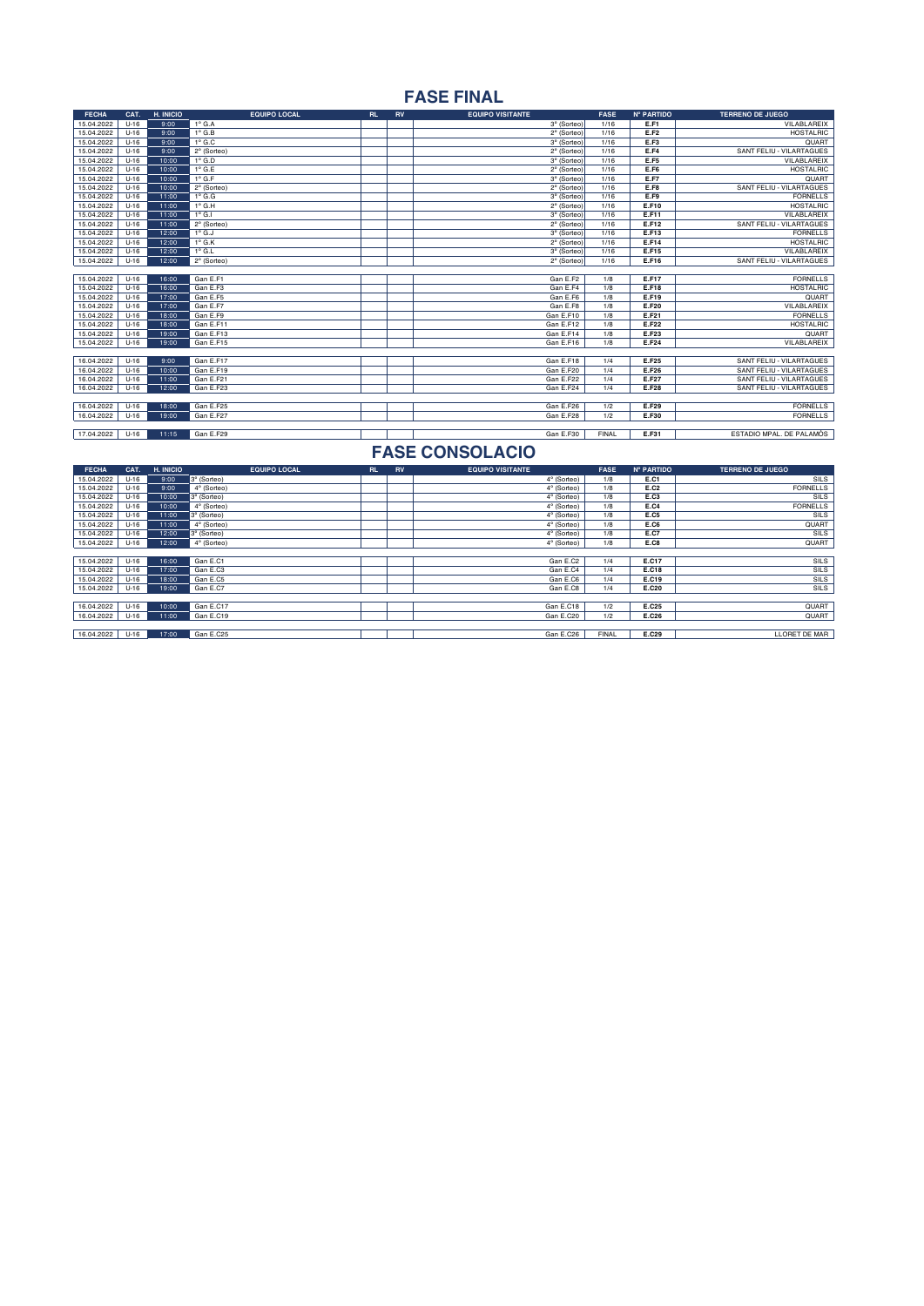# **FASE FINAL**

| <b>FECHA</b> | CAT.   | H. INICIO | <b>EQUIPO LOCAL</b> | <b>RL</b> | <b>RV</b> | <b>EQUIPO VISITANTE</b> | <b>FASE</b>  | Nº PARTIDO   | <b>TERRENO DE JUEGO</b>         |
|--------------|--------|-----------|---------------------|-----------|-----------|-------------------------|--------------|--------------|---------------------------------|
| 15.04.2022   | $U-16$ | 9:00      | $1^\circ$ G.A       |           |           | 3º (Sorteo)             | 1/16         | E.F1         | VILABLAREIX                     |
| 15.04.2022   | $U-16$ | 9:00      | $1^\circ$ G.B       |           |           | 2º (Sorteo)             | 1/16         | E.F2         | <b>HOSTALRIC</b>                |
| 15.04.2022   | $U-16$ | 9:00      | $1^\circ$ G.C       |           |           | 3º (Sorteo)             | 1/16         | E.F3         | QUART                           |
| 15.04.2022   | $U-16$ | 9:00      | $2°$ (Sorteo)       |           |           | 2º (Sorteo)             | 1/16         | E.F4         | <b>SANT FELIU - VILARTAGUES</b> |
| 15.04.2022   | $U-16$ | 10:00     | $1^\circ$ G.D       |           |           | 3° (Sorteo)             | 1/16         | E.F5         | VILABLAREIX                     |
| 15.04.2022   | $U-16$ | 10:00     | $1^\circ$ G.E       |           |           | 2º (Sorteo)             | 1/16         | E.F6         | HOSTALRIC                       |
| 15.04.2022   | $U-16$ | 10:00     | $1^\circ$ G.F       |           |           | 3º (Sorteo)             | 1/16         | E.F7         | QUART                           |
| 15.04.2022   | $U-16$ | 10:00     | 2º (Sorteo)         |           |           | 2º (Sorteo)             | 1/16         | E.F8         | SANT FELIU - VILARTAGUES        |
| 15.04.2022   | $U-16$ | 11:00     | $1^\circ$ G.G       |           |           | 3º (Sorteo)             | 1/16         | E.F9         | <b>FORNELLS</b>                 |
| 15.04.2022   | $U-16$ | 11:00     | $1^\circ$ G.H       |           |           | 2° (Sorteo)             | 1/16         | E.F10        | <b>HOSTALRIC</b>                |
| 15.04.2022   | $U-16$ | 11:00     | $1^\circ$ G.I       |           |           | 3° (Sorteo)             | 1/16         | E.F11        | VILABLAREIX                     |
| 15.04.2022   | $U-16$ | 11:00     | 2º (Sorteo)         |           |           | 2º (Sorteo)             | 1/16         | E.F12        | SANT FELIU - VILARTAGUES        |
| 15.04.2022   | $U-16$ | 12:00     | $1^\circ$ G.J       |           |           | 3º (Sorteo)             | 1/16         | E.F13        | <b>FORNELLS</b>                 |
| 15.04.2022   | $U-16$ | 12:00     | $1^\circ$ G.K       |           |           | 2º (Sorteo)             | 1/16         | E.F14        | <b>HOSTALRIC</b>                |
| 15.04.2022   | $U-16$ | 12:00     | $1^\circ$ G.L       |           |           | 3º (Sorteo)             | 1/16         | E.F15        | VILABLAREIX                     |
| 15.04.2022   | $U-16$ | 12:00     | 2º (Sorteo)         |           |           | 2º (Sorteo)             | 1/16         | E.F16        | SANT FELIU - VILARTAGUES        |
|              |        |           |                     |           |           |                         |              |              |                                 |
| 15.04.2022   | $U-16$ | 16:00     | Gan E.F1            |           |           | Gan E.F2                | 1/8          | E.F17        | <b>FORNELLS</b>                 |
| 15.04.2022   | $U-16$ | 16:00     | Gan E.F3            |           |           | Gan E.F4                | 1/8          | E.F18        | <b>HOSTALRIC</b>                |
| 15.04.2022   | $U-16$ | 17:00     | Gan E.F5            |           |           | Gan E.F6                | 1/8          | E.F19        | <b>QUART</b>                    |
| 15.04.2022   | $U-16$ | 17:00     | Gan E.F7            |           |           | Gan E.F8                | 1/8          | E.F20        | VILABLAREIX                     |
| 15.04.2022   | $U-16$ | 18:00     | Gan E.F9            |           |           | Gan E.F10               | 1/8          | E.F21        | <b>FORNELLS</b>                 |
| 15.04.2022   | $U-16$ | 18:00     | Gan E.F11           |           |           | Gan E.F12               | 1/8          | <b>E.F22</b> | <b>HOSTALRIC</b>                |
| 15.04.2022   | $U-16$ | 19:00     | Gan E.F13           |           |           | Gan E.F14               | 1/8          | E.F23        | QUART                           |
| 15.04.2022   | $U-16$ | 19:00     | Gan E.F15           |           |           | Gan E.F16               | 1/8          | E.F24        | VILABLAREIX                     |
|              |        |           |                     |           |           |                         |              |              |                                 |
| 16.04.2022   | $U-16$ | 9:00      | Gan E.F17           |           |           | Gan E.F18               | 1/4          | E.F25        | SANT FELIU - VILARTAGUES        |
| 16.04.2022   | $U-16$ | 10:00     | Gan E.F19           |           |           | Gan E.F20               | 1/4          | E.F26        | SANT FELIU - VILARTAGUES        |
| 16.04.2022   | $U-16$ | 11:00     | Gan E.F21           |           |           | Gan E.F22               | 1/4          | E.F27        | SANT FELIU - VILARTAGUES        |
| 16.04.2022   | $U-16$ | 12:00     | Gan E.F23           |           |           | Gan E.F24               | 1/4          | <b>E.F28</b> | <b>SANT FELIU - VILARTAGUES</b> |
|              |        |           |                     |           |           |                         |              |              |                                 |
| 16.04.2022   | $U-16$ | 18:00     | Gan E.F25           |           |           | Gan E.F26               | 1/2          | E.F29        | <b>FORNELLS</b>                 |
| 16.04.2022   | $U-16$ | 19:00     | Gan E.F27           |           |           | Gan E.F28               | 1/2          | E.F30        | <b>FORNELLS</b>                 |
|              |        |           |                     |           |           |                         |              |              |                                 |
| 17.04.2022   | $U-16$ | 11:15     | Gan E.F29           |           |           | Gan E.F30               | <b>FINAL</b> | E.F31        | ESTADIO MPAL. DE PALAMÓS        |

| <b>FECHA</b> | CAT.   | H. INICIO | <b>EQUIPO LOCAL</b> | <b>RL</b> | <b>RV</b> | <b>EQUIPO VISITANTE</b> | <b>FASE</b>  | Nº PARTIDO | <b>TERRENO DE JUEGO</b> |
|--------------|--------|-----------|---------------------|-----------|-----------|-------------------------|--------------|------------|-------------------------|
| 15.04.2022   | $U-16$ | 9:00      | 3° (Sorteo)         |           |           | 4° (Sorteo)             | 1/8          | E.C1       | SILS                    |
| 15.04.2022   | $U-16$ | 9:00      | 4° (Sorteo)         |           |           | 4° (Sorteo)             | 1/8          | E.C2       | <b>FORNELLS</b>         |
| 15.04.2022   | $U-16$ | 10:00     | 3° (Sorteo)         |           |           | 4° (Sorteo)             | 1/8          | E.C3       | <b>SILS</b>             |
| 15.04.2022   | $U-16$ | 10:00     | 4° (Sorteo)         |           |           | 4° (Sorteo)             | 1/8          | E.C4       | <b>FORNELLS</b>         |
| 15.04.2022   | $U-16$ | 11:00     | 3° (Sorteo)         |           |           | 4° (Sorteo)             | 1/8          | E.C5       | SILS                    |
| 15.04.2022   | $U-16$ | 11:00     | 4° (Sorteo)         |           |           | 4° (Sorteo)             | 1/8          | E.C6       | QUART                   |
| 15.04.2022   | $U-16$ | 12:00     | 3° (Sorteo)         |           |           | 4° (Sorteo)             | 1/8          | E.C7       | SILS                    |
| 15.04.2022   | $U-16$ | 12:00     | 4° (Sorteo)         |           |           | 4° (Sorteo)             | 1/8          | E.C8       | QUART                   |
|              |        |           |                     |           |           |                         |              |            |                         |
| 15.04.2022   | $U-16$ | 16:00     | Gan E.C1            |           |           | Gan E.C2                | 1/4          | E.C17      | SILS                    |
| 15.04.2022   | $U-16$ | 17:00     | Gan E.C3            |           |           | Gan E.C4                | 1/4          | E.C18      | SILS                    |
| 15.04.2022   | $U-16$ | 18:00     | Gan E.C5            |           |           | Gan E.C6                | 1/4          | E.C19      | SILS                    |
| 15.04.2022   | $U-16$ | 19:00     | Gan E.C7            |           |           | Gan E.C8                | 1/4          | E.C20      | <b>SILS</b>             |
|              |        |           |                     |           |           |                         |              |            |                         |
| 16.04.2022   | $U-16$ | 10:00     | Gan E.C17           |           |           | Gan E.C18               | 1/2          | E.C25      | QUART                   |
| 16.04.2022   | $U-16$ | 11:00     | Gan E.C19           |           |           | Gan E.C20               | 1/2          | E.C26      | QUART                   |
|              |        |           |                     |           |           |                         |              |            |                         |
| 16.04.2022   | $U-16$ | 17:00     | Gan E.C25           |           |           | Gan E.C26               | <b>FINAL</b> | E.C29      | LLORET DE MAR           |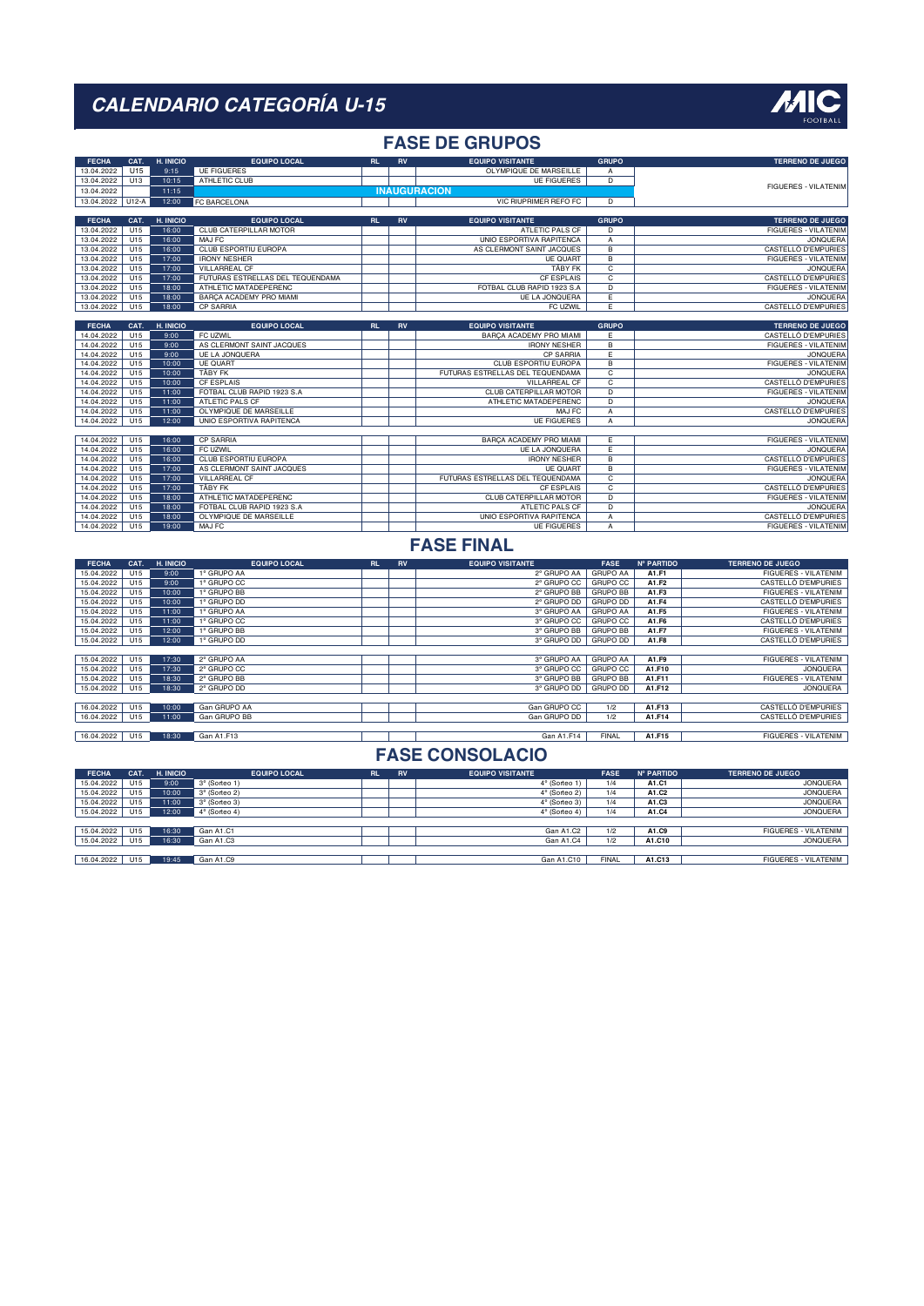#### **FASE DE GRUPOS**

| <b>FECHA</b> | CAT.    | H. INICIO | <b>EQUIPO LOCAL</b>              | <b>RL</b> | <b>RV</b> | <b>EQUIPO VISITANTE</b>          | <b>GRUPO</b>   | <b>TERRENO DE JUEGO</b>     |
|--------------|---------|-----------|----------------------------------|-----------|-----------|----------------------------------|----------------|-----------------------------|
| 13.04.2022   | U15     | 9:15      | <b>UE FIGUERES</b>               |           |           | OLYMPIQUE DE MARSEILLE           | A              |                             |
| 13.04.2022   | U13     | 10:15     | ATHLETIC CLUB                    |           |           | <b>UE FIGUERES</b>               | D              |                             |
| 13.04.2022   |         | 11:15     |                                  |           |           | <b>INAUGURACIÓN</b>              |                | <b>FIGUERES - VILATENIM</b> |
| 13.04.2022   | $U12-A$ | 12:00     | FC BARCELONA                     |           |           | <b>VIC RIUPRIMER REFO FC</b>     | D.             |                             |
|              |         |           |                                  |           |           |                                  |                |                             |
| <b>FECHA</b> | CAT.    | H. INICIO | <b>EQUIPO LOCAL</b>              | RL        | <b>RV</b> | <b>EQUIPO VISITANTE</b>          | <b>GRUPO</b>   | <b>TERRENO DE JUEGO</b>     |
| 13.04.2022   | U15     | 16:00     | CLUB CATERPILLAR MOTOR           |           |           | ATLETIC PALS CF                  | D.             | <b>FIGUERES - VILATENIM</b> |
| 13.04.2022   | U15     | 16:00     | MAJ FC                           |           |           | UNIO ESPORTIVA RAPITENCA         | A              | <b>JONQUERA</b>             |
| 13.04.2022   | U15     | 16:00     | <b>CLUB ESPORTIU EUROPA</b>      |           |           | AS CLERMONT SAINT JACQUES        | $\overline{B}$ | <b>CASTELLÓ D'EMPURIES</b>  |
| 13.04.2022   | U15     | 17:00     | <b>IRONY NESHER</b>              |           |           | <b>UE QUART</b>                  | B              | <b>FIGUERES - VILATENIM</b> |
| 13.04.2022   | U15     | 17:00     | <b>VILLARREAL CF</b>             |           |           | <b>TÄBY FK</b>                   | $\overline{c}$ | <b>JONQUERA</b>             |
| 13.04.2022   | U15     | 17:00     | FUTURAS ESTRELLAS DEL TEQUENDAMA |           |           | <b>CF ESPLAIS</b>                | C              | <b>CASTELLÓ D'EMPURIES</b>  |
| 13.04.2022   | U15     | 18:00     | ATHLETIC MATADEPERENC            |           |           | FOTBAL CLUB RAPID 1923 S.A.      | $\overline{D}$ | <b>FIGUERES - VILATENIM</b> |
| 13.04.2022   | U15     | 18:00     | BARCA ACADEMY PRO MIAMI          |           |           | <b>UE LA JONQUERA</b>            | E              | <b>JONQUERA</b>             |
| 13.04.2022   | U15     | 18:00     | CP SARRIA                        |           |           | FC UZWIL                         | E              | CASTELLÓ D'EMPURIES         |
|              |         |           |                                  |           |           |                                  |                |                             |
| <b>FECHA</b> | CAT.    | H. INICIO | <b>EQUIPO LOCAL</b>              | <b>RL</b> | <b>RV</b> | <b>EQUIPO VISITANTE</b>          | <b>GRUPO</b>   | <b>TERRENO DE JUEGO</b>     |
| 14.04.2022   | U15     | 9:00      | FC UZWIL                         |           |           | BARÇA ACADEMY PRO MIAMI          | F              | CASTELLÓ D'EMPURIES         |
| 14.04.2022   | U15     | 9:00      | AS CLERMONT SAINT JACQUES        |           |           | <b>IRONY NESHER</b>              | B              | <b>FIGUERES - VILATENIM</b> |
| 14.04.2022   | U15     | 9:00      | <b>UE LA JONQUERA</b>            |           |           | <b>CP SARRIA</b>                 | E              | <b>JONQUERA</b>             |
| 14.04.2022   | U15     | 10:00     | <b>UE QUART</b>                  |           |           | <b>CLUB ESPORTIU EUROPA</b>      | $\overline{B}$ | <b>FIGUERES - VILATENIM</b> |
| 14.04.2022   | U15     | 10:00     | TÄBY FK                          |           |           | FUTURAS ESTRELLAS DEL TEQUENDAMA | C              | <b>JONQUERA</b>             |
| 14.04.2022   | U15     | 10:00     | <b>CF ESPLAIS</b>                |           |           | <b>VILLARREAL CF</b>             | C              | <b>CASTELLÓ D'EMPURIES</b>  |
| 14.04.2022   | U15     | 11:00     | FOTBAL CLUB RAPID 1923 S.A       |           |           | CLUB CATERPILLAR MOTOR           | D              | <b>FIGUERES - VILATENIM</b> |
| 14.04.2022   | U15     | 11:00     | <b>ATLETIC PALS CF</b>           |           |           | ATHLETIC MATADEPERENC            | D.             | <b>JONQUERA</b>             |
| 14.04.2022   | U15     | 11:00     | OLYMPIQUE DE MARSEILLE           |           |           | MAJ FC                           | A              | CASTELLÓ D'EMPURIES         |
| 14.04.2022   | U15     | 12:00     | <b>UNIO ESPORTIVA RAPITENCA</b>  |           |           | <b>UE FIGUERES</b>               | A              | <b>JONQUERA</b>             |
|              |         |           |                                  |           |           |                                  |                |                             |
| 14.04.2022   | U15     | 16:00     | CP SARRIA                        |           |           | BARCA ACADEMY PRO MIAMI          | F              | <b>FIGUERES - VILATENIM</b> |
| 14.04.2022   | U15     | 16:00     | FC UZWIL                         |           |           | <b>UE LA JONQUERA</b>            | Έ              | <b>JONQUERA</b>             |
| 14.04.2022   | U15     | 16:00     | CLUB ESPORTIU EUROPA             |           |           | <b>IRONY NESHER</b>              | B              | CASTELLÓ D'EMPURIES         |
| 14.04.2022   | U15     | 17:00     | AS CLERMONT SAINT JACQUES        |           |           | <b>UE QUART</b>                  | $\overline{B}$ | <b>FIGUERES - VILATENIM</b> |
| 14.04.2022   | U15     | 17:00     | <b>VILLARREAL CF</b>             |           |           | FUTURAS ESTRELLAS DEL TEQUENDAMA | C              | <b>JONQUERA</b>             |
| 14.04.2022   | U15     | 17:00     | <b>TÄBY FK</b>                   |           |           | <b>CF ESPLAIS</b>                | $\overline{c}$ | <b>CASTELLÓ D'EMPURIES</b>  |
| 14.04.2022   | U15     | 18:00     | ATHLETIC MATADEPERENC            |           |           | CLUB CATERPILLAR MOTOR           | D.             | <b>FIGUERES - VILATENIM</b> |
| 14.04.2022   | U15     | 18:00     | FOTBAL CLUB RAPID 1923 S.A.      |           |           | ATLETIC PALS CF                  | $\overline{D}$ | <b>JONQUERA</b>             |
| 14.04.2022   | U15     | 18:00     | OLYMPIQUE DE MARSEILLE           |           |           | UNIO ESPORTIVA RAPITENCA         | A              | <b>CASTELLÓ D'EMPURIES</b>  |
| 14.04.2022   | U15     | 19:00     | MAJ FC                           |           |           | <b>UE FIGUERES</b>               | A              | <b>FIGUERES - VILATENIM</b> |

#### **FASE FINAL**

| <b>FECHA</b> | CAT. | H. INICIO | <b>EQUIPO LOCAL</b> | <b>RL</b> | <b>RV</b> | <b>EQUIPO VISITANTE</b> | <b>FASE</b>     | <b>Nº PARTIDO</b> | <b>TERRENO DE JUEGO</b>     |
|--------------|------|-----------|---------------------|-----------|-----------|-------------------------|-----------------|-------------------|-----------------------------|
| 15.04.2022   | U15  | 9:00      | 1° GRUPO AA         |           |           | 2° GRUPO AA             | <b>GRUPO AA</b> | A1.F1             | <b>FIGUERES - VILATENIM</b> |
| 15.04.2022   | U15  | 9:00      | 1° GRUPO CC         |           |           | 2° GRUPO CC             | <b>GRUPO CC</b> | A1.F2             | CASTELLÓ D'EMPURIES         |
| 15.04.2022   | U15  | 10:00     | 1° GRUPO BB         |           |           | 2° GRUPO BB             | <b>GRUPO BB</b> | A1.F3             | <b>FIGUERES - VILATENIM</b> |
| 15.04.2022   | U15  | 10:00     | 1° GRUPO DD         |           |           | 2° GRUPO DD             | <b>GRUPO DD</b> | A1.F4             | CASTELLÓ D'EMPURIES         |
| 15.04.2022   | U15  | 11:00     | 1° GRUPO AA         |           |           | 3° GRUPO AA             | <b>GRUPO AA</b> | A1.F5             | <b>FIGUERES - VILATENIM</b> |
| 15.04.2022   | U15  | 11:00     | 1° GRUPO CC         |           |           | 3° GRUPO CC             | <b>GRUPO CC</b> | A1.F6             | CASTELLÓ D'EMPURIES         |
| 15.04.2022   | U15  | 12:00     | 1° GRUPO BB         |           |           | 3° GRUPO BB             | <b>GRUPO BB</b> | A1.F7             | <b>FIGUERES - VILATENIM</b> |
| 15.04.2022   | U15  | 12:00     | 1° GRUPO DD         |           |           | 3° GRUPO DD   GRUPO DD  |                 | A1.F8             | CASTELLÓ D'EMPURIES         |
|              |      |           |                     |           |           |                         |                 |                   |                             |
| 15.04.2022   | U15  | 17:30     | 2° GRUPO AA         |           |           | 3° GRUPO AA GRUPO AA    |                 | A1.F9             | <b>FIGUERES - VILATENIM</b> |
| 15.04.2022   | U15  | 17:30     | 2° GRUPO CC         |           |           | 3° GRUPO CC GRUPO CC    |                 | A1.F10            | <b>JONQUERA</b>             |
| 15.04.2022   | U15  | 18:30     | 2° GRUPO BB         |           |           | 3° GRUPO BB             | <b>GRUPO BB</b> | A1.F11            | <b>FIGUERES - VILATENIM</b> |
| 15.04.2022   | U15  | 18:30     | 2° GRUPO DD         |           |           | 3° GRUPO DD   GRUPO DD  |                 | A1.F12            | <b>JONQUERA</b>             |
|              |      |           |                     |           |           |                         |                 |                   |                             |
| 16.04.2022   | U15  | 10:00     | Gan GRUPO AA        |           |           | Gan GRUPO CC            | 1/2             | A1.F13            | CASTELLÓ D'EMPURIES         |
| 16.04.2022   | U15  | 11:00     | Gan GRUPO BB        |           |           | Gan GRUPO DD            | 1/2             | A1.F14            | CASTELLÓ D'EMPURIES         |
|              |      |           |                     |           |           |                         |                 |                   |                             |
| 16.04.2022   | U15  | 18:30     | Gan A1.F13          |           |           | Gan A1.F14              | <b>FINAL</b>    | A1.F15            | <b>FIGUERES - VILATENIM</b> |

| <b>FECHA</b> | CAT. | H. INICIO | <b>EQUIPO LOCAL</b>  | RL | <b>RV</b> | <b>EQUIPO VISITANTE</b> | <b>FASE</b>  | <b>Nº PARTIDO</b> | <b>TERRENO DE JUEGO</b>     |
|--------------|------|-----------|----------------------|----|-----------|-------------------------|--------------|-------------------|-----------------------------|
| 15.04.2022   | U15  | 9:00      | 3° (Sorteo 1)        |    |           | 4° (Sorteo 1)           | 1/4          | A1.C1             | <b>JONQUERA</b>             |
| 15.04.2022   | U15  | 10:00     | 3° (Sorteo 2)        |    |           | 4° (Sorteo 2)           | 1/4          | A1.C2             | <b>JONQUERA</b>             |
| 15.04.2022   | U15  | 11:00     | 3° (Sorteo 3)        |    |           | 4° (Sorteo 3)           | 1/4          | A1.C3             | <b>JONQUERA</b>             |
| 15.04.2022   | U15  | 12:00     | $4^\circ$ (Sorteo 4) |    |           | $4^\circ$ (Sorteo 4)    | 1/4          | A1.C4             | <b>JONQUERA</b>             |
|              |      |           |                      |    |           |                         |              |                   |                             |
| 15.04.2022   | U15  | 16:30     | Gan A1.C1            |    |           | Gan A1.C2               | 1/2          | A1.C9             | FIGUERES - VILATENIM        |
| 15.04.2022   | U15  | 16:30     | Gan A1.C3            |    |           | Gan A1.C4               | 1/2          | A1.C10            | <b>JONQUERA</b>             |
|              |      |           |                      |    |           |                         |              |                   |                             |
| 16.04.2022   | U15  | 19:45     | Gan A1.C9            |    |           | Gan A1.C10              | <b>FINAL</b> | A1.C13            | <b>FIGUERES - VILATENIM</b> |

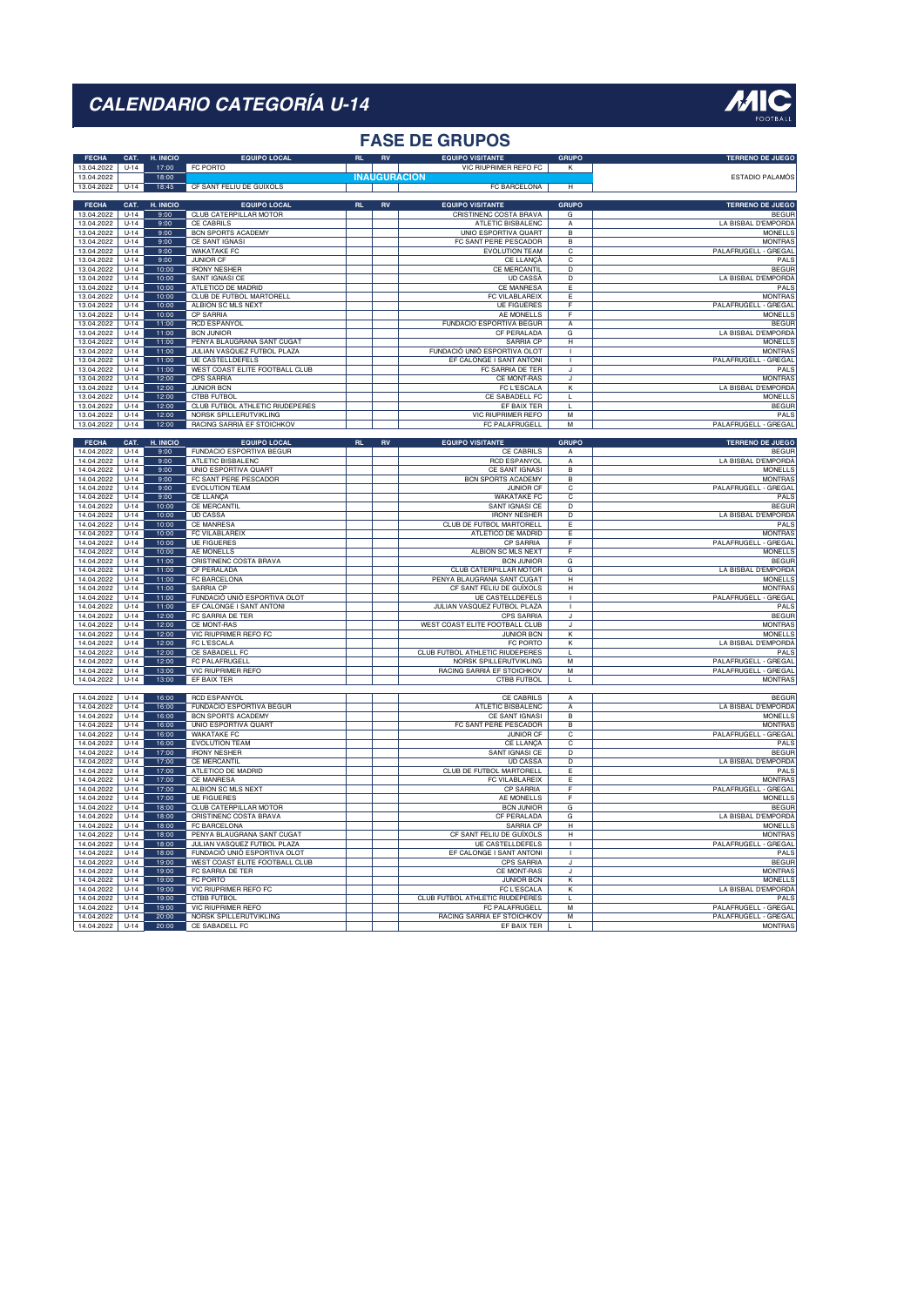#### **FASE DE GRUPOS**

| <b>FECHA</b><br>13.04.2022 | CAT.<br>$U-14$     | H. INICIO<br>17:00 | <b>EQUIPO LOCAL</b><br><b>FC PORTO</b>                 |           | RV         | <b>EQUIPO VISITANTE</b><br>VIC RIUPRIMER REFO FC       | <b>GRUPO</b><br>$\overline{\mathbf{K}}$ | <b>TERRENO DE JUEGO</b>                      |
|----------------------------|--------------------|--------------------|--------------------------------------------------------|-----------|------------|--------------------------------------------------------|-----------------------------------------|----------------------------------------------|
| 13.04.2022<br>13.04.2022   | $U-14$             | 18:00<br>18:45     | CF SANT FELIU DE GUÍXOLS                               |           |            | <b>INAUGURACION</b><br>FC BARCELONA                    | H                                       | ESTADIO PALAMÓS                              |
|                            |                    |                    |                                                        |           |            |                                                        |                                         |                                              |
| <b>FECHA</b><br>13.04.2022 | CAT.<br>$U-14$     | H. INICIO<br>9:00  | <b>EQUIPO LOCAL</b><br>CLUB CATERPILLAR MOTOR          | RL        | RV         | <b>EQUIPO VISITANTE</b><br>CRISTINENC COSTA BRAVA      | <b>GRUPO</b><br>G                       | <b>TERRENO DE JUEGO</b><br><b>BEGUF</b>      |
| 13.04.2022                 | $U-14$             | 9:00               | CE CABRILS                                             |           |            | ATLETIC BISBALENC                                      | А                                       | LA BISBAL D'EMPORDÀ                          |
| 13.04.2022                 | $U-14$             | 9:00               | <b>BCN SPORTS ACADEMY</b>                              |           |            | <b>UNIO ESPORTIVA QUART</b>                            | $\overline{B}$                          | <b>MONELLS</b>                               |
| 13.04.2022                 | $U-14$             | 9:00               | CE SANT IGNASI                                         |           |            | FC SANT PERE PESCADOR                                  | В                                       | <b>MONTRAS</b>                               |
| 13.04.2022                 | $U-14$             | 9:00               | <b>WAKATAKE FC</b>                                     |           |            | <b>EVOLUTION TEAM</b>                                  | C                                       | PALAFRUGELL - GREGAL                         |
| 13.04.2022<br>13.04.2022   | $U-14$<br>$U-14$   | 9:00<br>10:00      | <b>JUNIOR CF</b><br><b>IRONY NESHER</b>                |           |            | CE LLANÇÀ<br><b>CE MERCANTIL</b>                       | $\overline{c}$<br>$\overline{D}$        | PALS<br><b>BEGUF</b>                         |
| 13.04.2022                 | $U-14$             | 10:00              | SANT IGNASI CE                                         |           |            | UD CASSA                                               | D                                       | LA BISBAL D'EMPORDÀ                          |
| 13.04.2022                 | $U - 14$           | 10:00              | ATI FTICO DE MADRID                                    |           |            | <b>CE MANRESA</b>                                      | $\overline{F}$                          | PAI S                                        |
| 13.04.2022                 | $U-14$             | 10:00              | CLUB DE FUTBOL MARTORELL                               |           |            | FC VILABLAREIX                                         | Ε                                       | <b>MONTRAS</b>                               |
| 13.04.2022                 | $U-14$             | 10:00              | ALBION SC MLS NEXT                                     |           |            | <b>UE FIGUERES</b>                                     | $\overline{F}$                          | PALAFRUGELL - GREGAL                         |
| 13.04.2022                 | $U-14$             | 10:00              | CP SARRIA                                              |           |            | AE MONELLS                                             | $\overline{F}$                          | <b>MONELLS</b>                               |
| 13.04.2022<br>13.04.2022   | $U-14$<br>$U-14$   | 11:00<br>11:00     | <b>RCD ESPANYOL</b><br><b>BCN JUNIOR</b>               |           |            | <b>FUNDACIO ESPORTIVA BEGUR</b><br>CF PERALADA         | $\overline{A}$<br>G                     | <b>BEGUR</b><br>LA BISBAL D'EMPORDÀ          |
| 13 04 2022                 | $U - 14$           | 11:00              | PENYA BLAUGRANA SANT CUGAT                             |           |            | SARRIA CP                                              | $\overline{H}$                          | <b>MONELLS</b>                               |
| 13.04.2022                 | $U-14$             | 11:00              | JULIAN VASQUEZ FUTBOL PLAZA                            |           |            | FUNDACIÓ UNIÓ ESPORTIVA OLOT                           |                                         | <b>MONTRAS</b>                               |
| 13.04.2022                 | $U-14$             | 11:00              | <b>UE CASTELLDEFELS</b>                                |           |            | EF CALONGE I SANT ANTONI                               | $\mathbf{I}$                            | PALAFRUGELL - GREGAL                         |
| 13.04.2022                 | $U-14$             | 11:00              | WEST COAST ELITE FOOTBALL CLUB                         |           |            | FC SARRIA DE TER                                       | J                                       | PALS                                         |
| 13.04.2022                 | $U-14$             | 12:00              | <b>CPS SARRIA</b>                                      |           |            | <b>CE MONT-RAS</b>                                     | J                                       | <b>MONTRAS</b>                               |
| 13.04.2022<br>13 04 2022   | $U-14$<br>$U-14$   | 12:00<br>12:00     | JUNIOR BCN<br><b>CTBB FUTBOL</b>                       |           |            | FC L'ESCALA<br>CE SABADELL FC                          | К<br>T                                  | LA BISBAL D'EMPORDÀ<br><b>MONELLS</b>        |
| 13.04.2022                 | $U-14$             | 12:00              | CLUB FUTBOL ATHLETIC RIUDEPERES                        |           |            | EF BAIX TER                                            | L                                       | <b>BEGUF</b>                                 |
| 13.04.2022                 | $U-14$             | 12:00              | NORSK SPILLERUTVIKLING                                 |           |            | <b>VIC RIUPRIMER REFO</b>                              | M                                       | PALS                                         |
| 13.04.2022                 | $U-14$             | 12:00              | RACING SARRIÀ EF STOICHKOV                             |           |            | FC PALAFRUGELL                                         | M                                       | PALAFRUGELL - GREGAL                         |
|                            |                    |                    |                                                        |           |            |                                                        |                                         |                                              |
| <b>FECHA</b><br>14 04 2022 | CAT.<br>$11-14$    | H. INICIO<br>9:00  | <b>EQUIPO LOCAL</b><br><b>FUNDACIO ESPORTIVA BEGUR</b> | <b>RL</b> | ${\sf RV}$ | <b>EQUIPO VISITANTE</b><br>CF CABRILS                  | <b>GRUPO</b>                            | <b>TERRENO DE JUEGO</b><br><b>BEGUE</b>      |
| 14.04.2022                 | $U-14$             | 9:00               | ATLETIC BISBALENC                                      |           |            | <b>RCD ESPANYOL</b>                                    | $\mathsf{A}$<br>А                       | LA BISBAL D'EMPORDÀ                          |
| 14.04.2022                 | $U-14$             | 9:00               | UNIO ESPORTIVA QUART                                   |           |            | CE SANT IGNASI                                         | $\overline{B}$                          | <b>MONELLS</b>                               |
| 14.04.2022                 | $U-14$             | 9:00               | FC SANT PERE PESCADOR                                  |           |            | <b>BCN SPORTS ACADEMY</b>                              | $\overline{B}$                          | <b>MONTRAS</b>                               |
| 14 04 2022                 | $11-14$            | 9:00               | <b>EVOLUTION TEAM</b>                                  |           |            | <b>JUNIOR CF</b>                                       | $\overline{c}$                          | PALAFRUGELL - GREGAL                         |
| 14.04.2022                 | $U-14$             | 9:00               | CE LLANÇÀ                                              |           |            | <b>WAKATAKE FC</b>                                     | $\overline{c}$                          | PALS                                         |
| 14.04.2022                 | $U - 14$           | 10:00              | CF MFRCANTIL                                           |           |            | <b>SANT IGNASI CE</b>                                  | $\overline{D}$                          | <b>BEGUE</b>                                 |
| 14.04.2022                 | $U-14$             | 10:00              | <b>UD CASSA</b>                                        |           |            | <b>IRONY NESHER</b>                                    | D                                       | LA BISBAL D'EMPORDÀ                          |
| 14.04.2022<br>14.04.2022   | $U-14$<br>$U-14$   | 10:00<br>10:00     | <b>CE MANRESA</b><br>FC VILABLAREIX                    |           |            | <b>CLUB DE FUTBOL MARTORELL</b><br>ATLETICO DE MADRID  | Έ<br>Έ                                  | PALS<br><b>MONTRAS</b>                       |
| 14.04.2022                 | $U-14$             | 10:00              | UF FIGUERES                                            |           |            | <b>CP SARRIA</b>                                       | F                                       | PALAFRUGELL - GREGAL                         |
| 14.04.2022                 | $U-14$             | 10:00              | AE MONELLS                                             |           |            | ALBION SC MLS NEXT                                     | E                                       | <b>MONELLS</b>                               |
| 14 04 2022                 | $11-14$            | 11:00              | CRISTINENC COSTA BRAVA                                 |           |            | BCN JUNIOR                                             | $\overline{G}$                          | <b>BEGUE</b>                                 |
| 14.04.2022                 | $U-14$             | 11:00              | CF PERALADA                                            |           |            | CLUB CATERPILLAR MOTOR                                 | G                                       | LA BISBAL D'EMPORDÀ                          |
| 14.04.2022                 | $U-14$             | 11:00              | FC BARCELONA                                           |           |            | PENYA BLAUGRANA SANT CUGAT                             | H                                       | <b>MONELLS</b>                               |
| 14.04.2022<br>14 04 2022   | $U-14$<br>$U - 14$ | 11:00              | <b>SARRIA CP</b><br>FUNDACIÓ UNIÓ ESPORTIVA OLOT       |           |            | CF SANT FELIU DE GUÍXOLS                               | $\overline{H}$<br>$\overline{1}$        | <b>MONTRAS</b>                               |
| 14.04.2022                 | $U-14$             | 11:00<br>11:00     | EF CALONGE I SANT ANTONI                               |           |            | <b>UE CASTELLDEFELS</b><br>JULIAN VASQUEZ FUTBOL PLAZA | $\overline{1}$                          | PALAFRUGELL - GREGAL<br>PALS                 |
| 14 04 2022                 | $11-14$            | 12:00              | FC SARRIA DE TER                                       |           |            | <b>CPS SARRIA</b>                                      | $\overline{\mathbf{J}}$                 | <b>BEGUF</b>                                 |
| 14.04.2022                 | $U-14$             | 12:00              | CE MONT-RAS                                            |           |            | WEST COAST ELITE FOOTBALL CLUB                         | J                                       | <b>MONTRAS</b>                               |
| 14.04.2022                 | $U-14$             | 12:00              | VIC RIUPRIMER REFO FC                                  |           |            | <b>JUNIOR BCN</b>                                      | K                                       | <b>MONELLS</b>                               |
| 14.04.2022                 | $U-14$             | 12:00              | <b>FC L'ESCALA</b>                                     |           |            | FC PORTO                                               | $\overline{\mathsf{k}}$                 | LA BISBAL D'EMPORDA                          |
| 14.04.2022                 | $U-14$             | 12:00              | CE SABADELL FC                                         |           |            | <b>CLUB FUTBOL ATHLETIC RIUDEPERES</b>                 | T                                       | PAI S                                        |
| 14.04.2022<br>14 04 2022   | $U-14$<br>$U - 14$ | 12:00<br>13:00     | FC PALAFRUGELL<br>VIC RIUPRIMER REFO                   |           |            | NORSK SPILLERUTVIKLING<br>RACING SARRIA EF STOICHKOV   | $\overline{M}$<br>$\overline{M}$        | PALAFRUGELL - GREGAL<br>PALAFRUGELL - GREGAL |
| 14.04.2022                 | $U-14$             | 13:00              | EF BAIX TER                                            |           |            | <b>CTBB FUTBOL</b>                                     | L                                       | <b>MONTRAS</b>                               |
|                            |                    |                    |                                                        |           |            |                                                        |                                         |                                              |
| 14.04.2022                 | $U-14$             | 16:00              | <b>RCD ESPANYOL</b>                                    |           |            | <b>CE CABRILS</b>                                      | $\overline{A}$                          | <b>BEGUF</b>                                 |
| 14 04 2022                 | $11-14$            | 16:00              | FUNDACIO ESPORTIVA BEGUR                               |           |            | ATLETIC BISBALENC                                      | A                                       | LA BISBAL D'EMPORDÀ                          |
| 14.04.2022                 | $U-14$             | 16:00              | <b>BCN SPORTS ACADEMY</b>                              |           |            | CE SANT IGNASI                                         | $\overline{B}$                          | <b>MONELLS</b>                               |
| 14.04.2022<br>14.04.2022   | $U-14$<br>$U-14$   | 16:00<br>16:00     | UNIO ESPORTIVA QUART<br><b>WAKATAKE FC</b>             |           |            | FC SANT PERE PESCADOR<br><b>JUNIOR CF</b>              | $\overline{B}$<br>$\overline{c}$        | <b>MONTRAS</b><br>PALAFRUGELL - GREGAL       |
| 14.04.2022                 | $U-14$             | 16:00              | <b>EVOLUTION TEAM</b>                                  |           |            | CE LLANCA                                              | C                                       | PALS                                         |
| 14.04.2022                 | $U-14$             | 17:00              | <b>IRONY NESHER</b>                                    |           |            | SANT IGNASI CE                                         | $\overline{D}$                          | <b>BEGUF</b>                                 |
| 14.04.2022                 | $U-14$             | 17:00              | <b>CE MERCANTIL</b>                                    |           |            | <b>UD CASSA</b>                                        | $\overline{\phantom{1}}$                | LA BISBAL D'EMPORDA                          |
| 14.04.2022                 | $U-14$             | 17:00              | ATLETICO DE MADRID                                     |           |            | CLUB DE FUTBOL MARTORELL                               | E                                       | PALS                                         |
| 14.04.2022                 | $U-14$             | 17:00              | <b>CE MANRESA</b>                                      |           |            | FC VILABLAREIX                                         | E                                       | <b>MONTRAS</b>                               |
| 14.04.2022                 | $U-14$             | 17:00              | <b>ALBION SC MLS NEXT</b><br><b>UE FIGUERES</b>        |           |            | <b>CP SARRIA</b><br>AE MONELLS                         | Ŧ<br>$\overline{F}$                     | PALAFRUGELL - GREGAL                         |
| 14.04.2022<br>14.04.2022   | $U-14$<br>$U-14$   | 17:00<br>18:00     | CLUB CATERPILLAR MOTOR                                 |           |            | <b>BCN JUNIOR</b>                                      | G                                       | <b>MONELLS</b><br><b>BEGUR</b>               |
| 14 04 2022                 | $11-14$            | 18:00              | CRISTINENC COSTA BRAVA                                 |           |            | CF PFRAI ADA                                           | $\overline{G}$                          | LA BISBAL D'EMPORDÀ                          |
| 14.04.2022                 | $U-14$             | 18:00              | FC BARCELONA                                           |           |            | SARRIA CP                                              | H                                       | <b>MONELLS</b>                               |
| 14.04.2022                 | $U-14$             | 18:00              | PENYA BLAUGRANA SANT CUGAT                             |           |            | CF SANT FELIU DE GUÍXOLS                               | H                                       | <b>MONTRAS</b>                               |
| 14.04.2022                 | $U-14$             | 18:00              | JULIAN VASQUEZ FUTBOL PLAZA                            |           |            | <b>UE CASTELLDEFELS</b>                                | $\overline{1}$                          | PALAFRUGELL - GREGAL                         |
| 14.04.2022                 | $U-14$             | 18:00              | FUNDACIÓ UNIÓ ESPORTIVA OLOT                           |           |            | EF CALONGE I SANT ANTONI                               | $\mathbf{I}$                            | PALS                                         |
| 14.04.2022                 | $U-14$             | 19:00              | WEST COAST ELITE FOOTBALL CLUB                         |           |            | CPS SARRIA<br>CE MONT-RAS                              | J                                       | <b>BEGUF</b><br><b>MONTRAS</b>               |
| 14.04.2022<br>14.04.2022   | $U-14$<br>$U-14$   | 19:00<br>19:00     | FC SARRIA DE TER<br>FC PORTO                           |           |            | <b>JUNIOR BCN</b>                                      | J<br>K                                  | <b>MONELLS</b>                               |
| 14.04.2022                 | $U-14$             | 19:00              | VIC RIUPRIMER REFO FC                                  |           |            | FC L'ESCALA                                            | К                                       | LA BISBAL D'EMPORDÀ                          |
| 14.04.2022                 | $U-14$             | 19:00              | <b>CTBB FUTBOL</b>                                     |           |            | CLUB FUTBOL ATHLETIC RIUDEPERES                        | L                                       | <b>PALS</b>                                  |
| 14.04.2022                 | $U-14$             | 19:00              | <b>VIC RIUPRIMER REFO</b>                              |           |            | <b>FC PALAFRUGELL</b>                                  | $\overline{M}$                          | PALAFRUGELL - GREGAL                         |
| 14.04.2022                 | $U-14$             | 20:00              | NORSK SPILLERUTVIKLING                                 |           |            | RACING SARRIÀ EF STOICHKOV                             | M                                       | PALAFRUGELL - GREGAL                         |
| 14.04.2022                 | $U-14$             | 20:00              | CE SABADELL FC                                         |           |            | EF BAIX TER                                            | L                                       | <b>MONTRAS</b>                               |

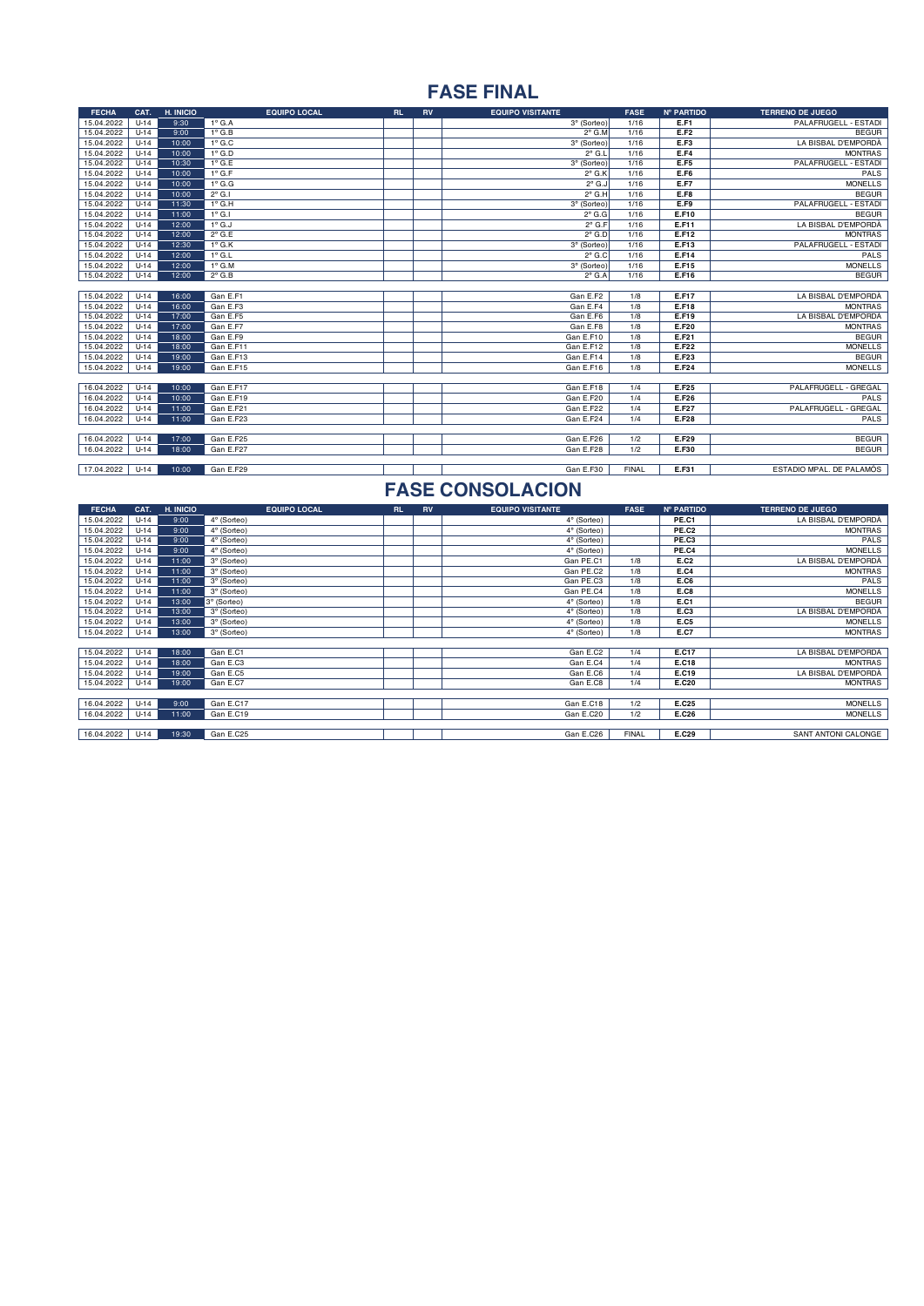### **FASE FINAL**

| <b>FECHA</b> | CAT.   | H. INICIO | <b>EQUIPO LOCAL</b> | <b>RL</b> | <b>RV</b> | <b>EQUIPO VISITANTE</b> | <b>FASE</b>  | Nº PARTIDO   | <b>TERRENO DE JUEGO</b>  |
|--------------|--------|-----------|---------------------|-----------|-----------|-------------------------|--------------|--------------|--------------------------|
| 15.04.2022   | $U-14$ | 9:30      | $1^\circ$ G.A       |           |           | 3° (Sorteo)             | 1/16         | E.F1         | PALAFRUGELL - ESTADI     |
| 15.04.2022   | $U-14$ | 9:00      | $1^\circ$ G.B       |           |           | $2^{\circ}$ G.M         | 1/16         | E.F2         | <b>BEGUR</b>             |
| 15.04.2022   | $U-14$ | 10:00     | $1^\circ$ G.C       |           |           | 3° (Sorteo)             | 1/16         | E.F3         | LA BISBAL D'EMPORDÀ      |
| 15.04.2022   | $U-14$ | 10:00     | $1^\circ$ G.D       |           |           | $2^{\circ}$ G.L         | 1/16         | E.F4         | <b>MONTRAS</b>           |
| 15.04.2022   | $U-14$ | 10:30     | $1^\circ$ G.E       |           |           | 3° (Sorteo)             | 1/16         | E.F5         | PALAFRUGELL - ESTADI     |
| 15.04.2022   | $U-14$ | 10:00     | $1^\circ$ G.F       |           |           | $2^{\circ}$ G.K         | 1/16         | E.F6         | PALS                     |
| 15.04.2022   | $U-14$ | 10:00     | $1^\circ$ G.G       |           |           | $2^{\circ}$ G.J         | 1/16         | <b>E.F7</b>  | <b>MONELLS</b>           |
| 15.04.2022   | $U-14$ | 10:00     | $2^{\circ}$ G.I     |           |           | $2^{\circ}$ G.H         | 1/16         | <b>E.F8</b>  | <b>BEGUR</b>             |
| 15.04.2022   | $U-14$ | 11:30     | $1^\circ$ G.H       |           |           | 3° (Sorteo)             | 1/16         | E.F9         | PALAFRUGELL - ESTADI     |
| 15.04.2022   | $U-14$ | 11:00     | $1°$ G.I            |           |           | $2^{\circ}$ G.G         | 1/16         | E.F10        | <b>BEGUR</b>             |
| 15.04.2022   | $U-14$ | 12:00     | $1^\circ$ G.J       |           |           | $2°$ G.F                | 1/16         | E.F11        | LA BISBAL D'EMPORDÀ      |
| 15.04.2022   | $U-14$ | 12:00     | $2^{\circ}$ G.E     |           |           | $2^{\circ}$ G.D         | 1/16         | E.F12        | <b>MONTRAS</b>           |
| 15.04.2022   | $U-14$ | 12:30     | $1^\circ$ G.K       |           |           | 3° (Sorteo)             | 1/16         | E.F13        | PALAFRUGELL - ESTADI     |
| 15.04.2022   | $U-14$ | 12:00     | $1^\circ$ G.L       |           |           | $2^{\circ}$ G.C         | 1/16         | E.F14        | PALS                     |
| 15.04.2022   | $U-14$ | 12:00     | $1^\circ$ G.M       |           |           | 3° (Sorteo)             | 1/16         | E.F15        | <b>MONELLS</b>           |
| 15.04.2022   | $U-14$ | 12:00     | $2^{\circ}$ G.B     |           |           | $2^{\circ}$ G.A         | 1/16         | E.F16        | <b>BEGUR</b>             |
|              |        |           |                     |           |           |                         |              |              |                          |
| 15.04.2022   | $U-14$ | 16:00     | Gan E.F1            |           |           | Gan E.F2                | 1/8          | E.F17        | LA BISBAL D'EMPORDÀ      |
| 15.04.2022   | $U-14$ | 16:00     | Gan E.F3            |           |           | Gan E.F4                | 1/8          | E.F18        | <b>MONTRAS</b>           |
| 15.04.2022   | $U-14$ | 17:00     | Gan E.F5            |           |           | Gan E.F6                | 1/8          | E.F19        | LA BISBAL D'EMPORDÀ      |
| 15.04.2022   | $U-14$ | 17:00     | Gan E.F7            |           |           | Gan E.F8                | 1/8          | E.F20        | <b>MONTRAS</b>           |
| 15.04.2022   | $U-14$ | 18:00     | Gan E.F9            |           |           | Gan E.F10               | 1/8          | E.F21        | <b>BEGUR</b>             |
| 15.04.2022   | $U-14$ | 18:00     | Gan E.F11           |           |           | Gan E.F12               | 1/8          | E.F22        | <b>MONELLS</b>           |
| 15.04.2022   | $U-14$ | 19:00     | Gan E.F13           |           |           | Gan E.F14               | 1/8          | E.F23        | <b>BEGUR</b>             |
| 15.04.2022   | $U-14$ | 19:00     | Gan E.F15           |           |           | Gan E.F16               | 1/8          | E.F24        | <b>MONELLS</b>           |
|              |        |           |                     |           |           |                         |              |              |                          |
| 16.04.2022   | $U-14$ | 10:00     | Gan E.F17           |           |           | Gan E.F18               | 1/4          | E.F25        | PALAFRUGELL - GREGAL     |
| 16.04.2022   | $U-14$ | 10:00     | Gan E.F19           |           |           | Gan E.F20               | 1/4          | E.F26        | PALS                     |
| 16.04.2022   | $U-14$ | 11:00     | Gan E.F21           |           |           | Gan E.F22               | 1/4          | <b>E.F27</b> | PALAFRUGELL - GREGAL     |
| 16.04.2022   | $U-14$ | 11:00     | Gan E.F23           |           |           | Gan E.F24               | 1/4          | <b>E.F28</b> | PALS                     |
|              |        |           |                     |           |           |                         |              |              |                          |
| 16.04.2022   | $U-14$ | 17:00     | Gan E.F25           |           |           | Gan E.F26               | 1/2          | E.F29        | <b>BEGUR</b>             |
| 16.04.2022   | $U-14$ | 18:00     | Gan E.F27           |           |           | Gan E.F28               | 1/2          | E.F30        | <b>BEGUR</b>             |
|              |        |           |                     |           |           |                         |              |              |                          |
| 17.04.2022   | $U-14$ | 10:00     | Gan E.F29           |           |           | Gan E.F30               | <b>FINAL</b> | E.F31        | ESTADIO MPAL. DE PALAMÓS |

| <b>FECHA</b>    | CAT.   | H. INICIO | <b>EQUIPO LOCAL</b> | <b>RL</b> | <b>RV</b> | <b>EQUIPO VISITANTE</b> | <b>FASE</b>  | Nº PARTIDO | <b>TERRENO DE JUEGO</b> |
|-----------------|--------|-----------|---------------------|-----------|-----------|-------------------------|--------------|------------|-------------------------|
| 15.04.2022      | $U-14$ | 9:00      | 4° (Sorteo)         |           |           | 4° (Sorteo)             |              | PE.C1      | LA BISBAL D'EMPORDÀ     |
| 15.04.2022      | $U-14$ | 9:00      | 4° (Sorteo)         |           |           | 4° (Sorteo)             |              | PE.C2      | <b>MONTRAS</b>          |
| 15.04.2022      | $U-14$ | 9:00      | 4° (Sorteo)         |           |           | 4° (Sorteo)             |              | PE.C3      | PALS                    |
| 15.04.2022      | $U-14$ | 9:00      | 4° (Sorteo)         |           |           | 4° (Sorteo)             |              | PE.C4      | <b>MONELLS</b>          |
| 15.04.2022      | $U-14$ | 11:00     | 3° (Sorteo)         |           |           | Gan PE.C1               | 1/8          | E.C2       | LA BISBAL D'EMPORDÀ     |
| 15.04.2022      | $U-14$ | 11:00     | 3° (Sorteo)         |           |           | Gan PE.C2               | 1/8          | E.C4       | <b>MONTRAS</b>          |
| 15.04.2022      | $U-14$ | 11:00     | 3º (Sorteo)         |           |           | Gan PE.C3               | 1/8          | E.C6       | PALS                    |
| 15.04.2022      | $U-14$ | 11:00     | 3° (Sorteo)         |           |           | Gan PE.C4               | 1/8          | E.C8       | <b>MONELLS</b>          |
| 15.04.2022      | $U-14$ | 13:00     | 3° (Sorteo)         |           |           | 4° (Sorteo)             | 1/8          | E.C1       | <b>BEGUR</b>            |
| 15.04.2022      | $U-14$ | 13:00     | 3° (Sorteo)         |           |           | 4° (Sorteo)             | 1/8          | E.C3       | LA BISBAL D'EMPORDÀ     |
| 15.04.2022      | $U-14$ | 13:00     | 3° (Sorteo)         |           |           | 4° (Sorteo)             | 1/8          | E.C5       | <b>MONELLS</b>          |
| 15.04.2022      | $U-14$ | 13:00     | 3° (Sorteo)         |           |           | 4° (Sorteo)             | 1/8          | E.C7       | <b>MONTRAS</b>          |
|                 |        |           |                     |           |           |                         |              |            |                         |
| 15.04.2022      | $U-14$ | 18:00     | Gan E.C1            |           |           | Gan E.C2                | 1/4          | E.C17      | LA BISBAL D'EMPORDÀ     |
| 15.04.2022      | $U-14$ | 18:00     | Gan E.C3            |           |           | Gan E.C4                | 1/4          | E.C18      | <b>MONTRAS</b>          |
| 15.04.2022      | $U-14$ | 19:00     | Gan E.C5            |           |           | Gan E.C6                | 1/4          | E.C19      | LA BISBAL D'EMPORDÀ     |
| 15.04.2022      | $U-14$ | 19:00     | Gan E.C7            |           |           | Gan E.C8                | 1/4          | E.C20      | <b>MONTRAS</b>          |
|                 |        |           |                     |           |           |                         |              |            |                         |
| 16.04.2022      | $U-14$ | 9:00      | Gan E.C17           |           |           | Gan E.C18               | 1/2          | E.C25      | <b>MONELLS</b>          |
| 16.04.2022      | $U-14$ | 11:00     | Gan E.C19           |           |           | Gan E.C20               | 1/2          | E.C26      | <b>MONELLS</b>          |
|                 |        |           |                     |           |           |                         |              |            |                         |
| 16.04.2022 U-14 |        | 19:30     | Gan E.C25           |           |           | Gan E.C26               | <b>FINAL</b> | E.C29      | SANT ANTONI CALONGE     |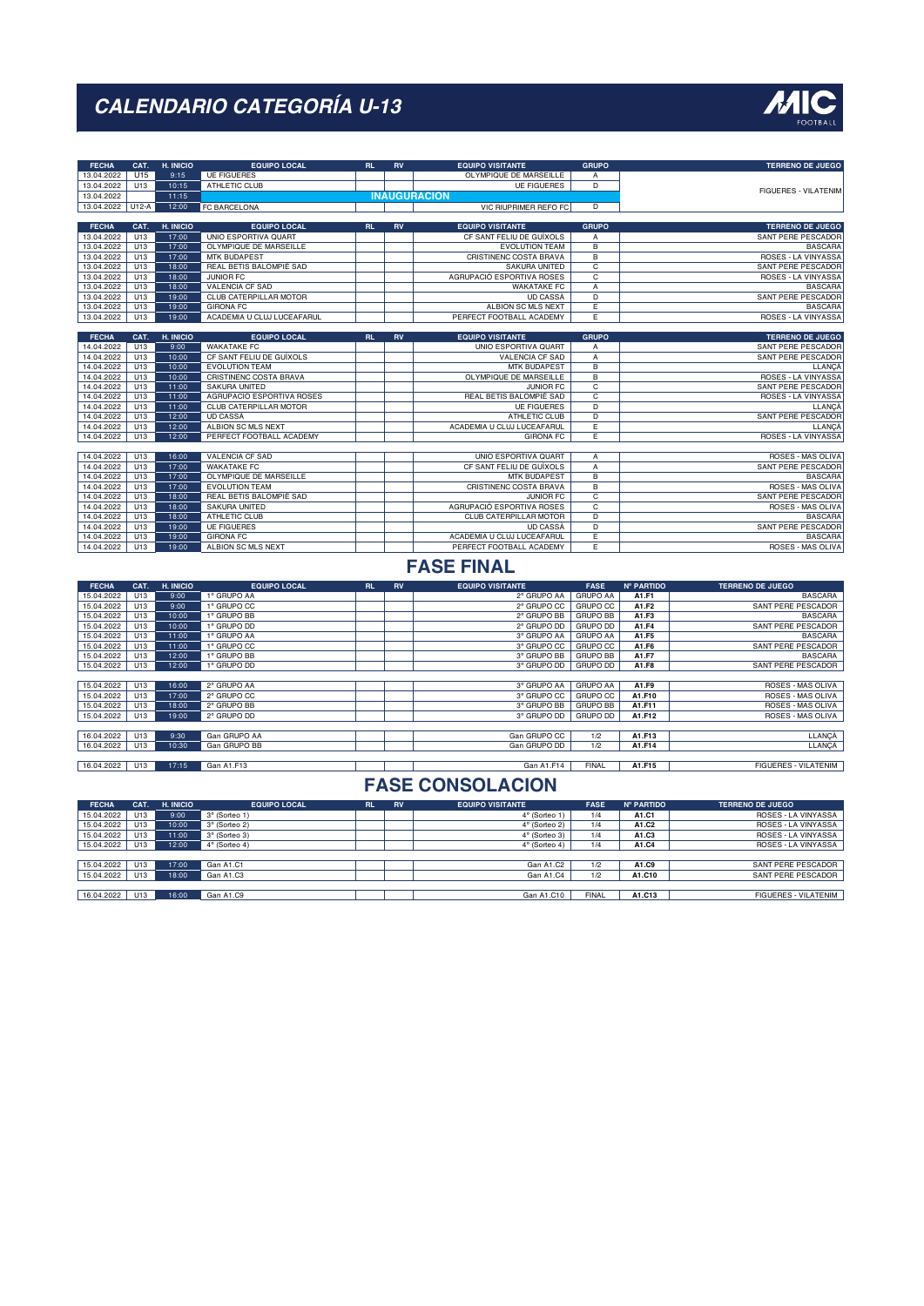

| 13.04.2022<br>U15<br>OLYMPIQUE DE MARSEILLE<br>9:15<br><b>UE FIGUERES</b><br>А<br>10:15<br>13.04.2022<br>U13<br>ATHLETIC CLUB<br><b>UE FIGUERES</b><br>D<br><b>FIGUERES - VILATENIM</b><br>11:15<br><b>INAUGURACION</b><br>13.04.2022<br>13.04.2022<br>$U12-A$<br>12:00<br><b>FC BARCELONA</b><br>VIC RIUPRIMER REFO FC<br>D<br>CAT.<br>H. INICIO<br><b>EQUIPO LOCAL</b><br>RL.<br><b>RV</b><br><b>EQUIPO VISITANTE</b><br><b>GRUPO</b><br><b>FECHA</b><br>13.04.2022<br>17:00<br>UNIO ESPORTIVA QUART<br>CF SANT FELIU DE GUÍXOLS<br>U13<br>Α<br>13.04.2022<br>U13<br>17:00<br>OLYMPIQUE DE MARSEILLE<br><b>EVOLUTION TEAM</b><br>В<br>13.04.2022<br>U13<br>17:00<br><b>MTK BUDAPEST</b><br>CRISTINENC COSTA BRAVA<br>B<br>13.04.2022<br>U13<br>18:00<br>REAL BETIS BALOMPIÉ SAD<br><b>SAKURA UNITED</b><br>$\overline{c}$<br>13.04.2022<br>JUNIOR FC<br>AGRUPACIÓ ESPORTIVA ROSES<br>C<br>U13<br>18:00<br>18:00<br>13.04.2022<br>U13<br>VALENCIA CF SAD<br><b>WAKATAKE FC</b><br>Α<br>13.04.2022<br>U13<br>19:00<br>CLUB CATERPILLAR MOTOR<br>$\overline{D}$<br><b>UD CASSA</b><br>13.04.2022<br>U13<br>19:00<br><b>GIRONA FC</b><br>ALBION SC MLS NEXT<br>Έ<br>Έ<br>13.04.2022<br>U13<br>19:00<br>ACADEMIA U CLUJ LUCEAFARUL<br>PERFECT FOOTBALL ACADEMY<br><b>FECHA</b><br>CAT.<br>H. INICIO<br>RL.<br><b>GRUPO</b><br><b>EQUIPO LOCAL</b><br><b>RV</b><br><b>EQUIPO VISITANTE</b><br>9:00<br>14.04.2022<br>U13<br><b>WAKATAKE FC</b><br>UNIO ESPORTIVA QUART<br>А<br>14.04.2022<br>U13<br>10:00<br>CF SANT FELIU DE GUÍXOLS<br>VALENCIA CF SAD<br>Α<br>10:00<br>14.04.2022<br>U13<br><b>EVOLUTION TEAM</b><br><b>MTK BUDAPEST</b><br>В<br>14.04.2022<br>U13<br>10:00<br>CRISTINENC COSTA BRAVA<br>OLYMPIQUE DE MARSEILLE<br>В<br>14.04.2022<br>U13<br>11:00<br>SAKURA UNITED<br>JUNIOR FC<br>с<br>14.04.2022<br>U13<br>11:00<br>AGRUPACIÓ ESPORTIVA ROSES<br>REAL BETIS BALOMPIÉ SAD<br>C<br>14.04.2022<br>11:00<br>CLUB CATERPILLAR MOTOR<br>D<br>U13<br><b>UE FIGUERES</b><br>12:00<br>14.04.2022<br>U13<br>UD CASSA<br>ATHLETIC CLUB<br>D<br>12:00<br>ALBION SC MLS NEXT<br>14.04.2022<br>U13<br>ACADEMIA U CLUJ LUCEAFARUL<br>E<br>14.04.2022<br>U13<br>12:00<br>PERFECT FOOTBALL ACADEMY<br><b>GIRONA FC</b><br>Ε<br>ROSES - LA VINYASSA<br>U13<br><b>VALENCIA CF SAD</b><br>UNIO ESPORTIVA QUART<br>14.04.2022<br>16:00<br>Α<br>14.04.2022<br>U13<br>17:00<br><b>WAKATAKE FC</b><br>CF SANT FELIU DE GUÍXOLS<br>$\overline{A}$<br>14.04.2022<br>U13<br>17:00<br>OLYMPIQUE DE MARSEILLE<br>MTK BUDAPEST<br>В<br>17:00<br>14.04.2022<br>U13<br><b>EVOLUTION TEAM</b><br>CRISTINENC COSTA BRAVA<br>В<br>$\overline{c}$<br>14.04.2022<br>18:00<br>REAL BETIS BALOMPIÉ SAD<br>JUNIOR FC<br>U13<br>AGRUPACIÓ ESPORTIVA ROSES<br>14.04.2022<br>U13<br>18:00<br>SAKURA UNITED<br>С<br><b>ATHLETIC CLUB</b><br>CLUB CATERPILLAR MOTOR<br>D<br>14.04.2022<br>U13<br>18:00<br>14.04.2022<br>U13<br>19:00<br><b>UE FIGUERES</b><br><b>UD CASSA</b><br>D<br>ACADEMIA U CLUJ LUCEAFARUL<br>U13<br>19:00<br><b>GIRONA FC</b><br>Ε<br>14.04.2022<br>14.04.2022<br>U13<br>19:00<br>ALBION SC MLS NEXT<br>PERFECT FOOTBALL ACADEMY<br>Ε<br><b>FASE FINAL</b><br>H. INICIO<br><b>EQUIPO LOCAL</b><br>RL<br>RV<br><b>EQUIPO VISITANTE</b><br><b>FASE</b><br><b>Nº PARTIDO</b><br><b>TERRENO DE JUEGO</b><br><b>FECHA</b><br>CAT.<br>9:00<br>15.04.2022<br>U13<br><b>GRUPO AA</b><br>1° GRUPO AA<br>2° GRUPO AA<br>A1.F1<br>15.04.2022<br>U13<br>9:00<br>1° GRUPO CC<br>2° GRUPO CC<br><b>GRUPO CC</b><br>A1.F2<br>SANT PERE PESCADOR<br>2° GRUPO BB<br>15.04.2022<br>U13<br>10:00<br>1° GRUPO BB<br><b>GRUPO BB</b><br>A1.F3<br>15.04.2022<br>10:00<br>1° GRUPO DD<br>2° GRUPO DD<br><b>GRUPO DD</b><br>A1.F4<br>U13<br>15.04.2022<br>11:00<br>1° GRUPO AA<br>3° GRUPO AA<br><b>GRUPO AA</b><br>A1.F5<br>U13<br>15.04.2022<br>U13<br>11:00<br>1° GRUPO CC<br>3° GRUPO CC<br><b>GRUPO CC</b><br>A1.F6<br>3° GRUPO BB<br><b>GRUPO BB</b><br>15.04.2022<br>U13<br>12:00<br>1° GRUPO BB<br>A1.F7<br><b>GRUPO DD</b><br>15.04.2022<br>U13<br>12:00<br>1° GRUPO DD<br>3° GRUPO DD<br>A1.F8<br>15.04.2022<br>U13<br>16:00<br>2° GRUPO AA<br>3° GRUPO AA<br><b>GRUPO AA</b><br>A1.F9<br>15.04.2022<br>U13<br>17:00<br>2° GRUPO CC<br>3° GRUPO CC<br><b>GRUPO CC</b><br>A1.F10<br>15.04.2022<br>U13<br>18:00<br>2° GRUPO BB<br>3° GRUPO BB<br><b>GRUPO BB</b><br>A1.F11<br>3° GRUPO DD<br>15.04.2022<br>U13<br>19:00<br>2° GRUPO DD<br>GRUPO DD<br>A1.F12<br>16.04.2022<br>U13<br>9:30<br>Gan GRUPO AA<br>Gan GRUPO CC<br>A1.F13<br>1/2<br>16.04.2022<br>U13<br>10:30<br>Gan GRUPO BB<br>Gan GRUPO DD<br>1/2<br>A1.F14<br>U13<br>17:15<br>Gan A1.F13<br>Gan A1.F14<br><b>FINAL</b><br>A1.F15<br>16.04.2022<br><b>FASE CONSOLACION</b><br><b>EQUIPO LOCAL</b><br>RL.<br><b>RV</b><br><b>EQUIPO VISITANTE</b><br><b>FASE</b><br><b>Nº PARTIDO</b><br><b>TERRENO DE JUEGO</b><br><b>FECHA</b><br>CAT.<br>H. INICIO<br>9:00<br>15.04.2022<br>U13<br>1/4<br>A1.C1<br>3° (Sorteo 1)<br>$4^\circ$ (Sorteo 1) | <b>FECHA</b> | CAT. | H. INICIO | <b>EQUIPO LOCAL</b> | RL | <b>RV</b> | <b>EQUIPO VISITANTE</b> | <b>GRUPO</b> |       | <b>TERRENO DE JUEGO</b>                    |
|-------------------------------------------------------------------------------------------------------------------------------------------------------------------------------------------------------------------------------------------------------------------------------------------------------------------------------------------------------------------------------------------------------------------------------------------------------------------------------------------------------------------------------------------------------------------------------------------------------------------------------------------------------------------------------------------------------------------------------------------------------------------------------------------------------------------------------------------------------------------------------------------------------------------------------------------------------------------------------------------------------------------------------------------------------------------------------------------------------------------------------------------------------------------------------------------------------------------------------------------------------------------------------------------------------------------------------------------------------------------------------------------------------------------------------------------------------------------------------------------------------------------------------------------------------------------------------------------------------------------------------------------------------------------------------------------------------------------------------------------------------------------------------------------------------------------------------------------------------------------------------------------------------------------------------------------------------------------------------------------------------------------------------------------------------------------------------------------------------------------------------------------------------------------------------------------------------------------------------------------------------------------------------------------------------------------------------------------------------------------------------------------------------------------------------------------------------------------------------------------------------------------------------------------------------------------------------------------------------------------------------------------------------------------------------------------------------------------------------------------------------------------------------------------------------------------------------------------------------------------------------------------------------------------------------------------------------------------------------------------------------------------------------------------------------------------------------------------------------------------------------------------------------------------------------------------------------------------------------------------------------------------------------------------------------------------------------------------------------------------------------------------------------------------------------------------------------------------------------------------------------------------------------------------------------------------------------------------------------------------------------------------------------------------------------------------------------------------------------------------------------------------------------------------------------------------------------------------------------------------------------------------------------------------------------------------------------------------------------------------------------------------------------------------------------------------------------------------------------------------------------------------------------------------------------------------------------------------------------------------------------------------------------------------------------------------------------------------------------------------------------------------------------------------------------------------------------------------------------------------------------------------------------------------------------------------------------------------------------------------------------------------------------------------------------------------------------------------------------------------------------------------------------------------------------------------------------------------------------------------------------------------------------------------------------------------------------------------------------------|--------------|------|-----------|---------------------|----|-----------|-------------------------|--------------|-------|--------------------------------------------|
|                                                                                                                                                                                                                                                                                                                                                                                                                                                                                                                                                                                                                                                                                                                                                                                                                                                                                                                                                                                                                                                                                                                                                                                                                                                                                                                                                                                                                                                                                                                                                                                                                                                                                                                                                                                                                                                                                                                                                                                                                                                                                                                                                                                                                                                                                                                                                                                                                                                                                                                                                                                                                                                                                                                                                                                                                                                                                                                                                                                                                                                                                                                                                                                                                                                                                                                                                                                                                                                                                                                                                                                                                                                                                                                                                                                                                                                                                                                                                                                                                                                                                                                                                                                                                                                                                                                                                                                                                                                                                                                                                                                                                                                                                                                                                                                                                                                                                                                                                                                     |              |      |           |                     |    |           |                         |              |       |                                            |
|                                                                                                                                                                                                                                                                                                                                                                                                                                                                                                                                                                                                                                                                                                                                                                                                                                                                                                                                                                                                                                                                                                                                                                                                                                                                                                                                                                                                                                                                                                                                                                                                                                                                                                                                                                                                                                                                                                                                                                                                                                                                                                                                                                                                                                                                                                                                                                                                                                                                                                                                                                                                                                                                                                                                                                                                                                                                                                                                                                                                                                                                                                                                                                                                                                                                                                                                                                                                                                                                                                                                                                                                                                                                                                                                                                                                                                                                                                                                                                                                                                                                                                                                                                                                                                                                                                                                                                                                                                                                                                                                                                                                                                                                                                                                                                                                                                                                                                                                                                                     |              |      |           |                     |    |           |                         |              |       |                                            |
|                                                                                                                                                                                                                                                                                                                                                                                                                                                                                                                                                                                                                                                                                                                                                                                                                                                                                                                                                                                                                                                                                                                                                                                                                                                                                                                                                                                                                                                                                                                                                                                                                                                                                                                                                                                                                                                                                                                                                                                                                                                                                                                                                                                                                                                                                                                                                                                                                                                                                                                                                                                                                                                                                                                                                                                                                                                                                                                                                                                                                                                                                                                                                                                                                                                                                                                                                                                                                                                                                                                                                                                                                                                                                                                                                                                                                                                                                                                                                                                                                                                                                                                                                                                                                                                                                                                                                                                                                                                                                                                                                                                                                                                                                                                                                                                                                                                                                                                                                                                     |              |      |           |                     |    |           |                         |              |       |                                            |
|                                                                                                                                                                                                                                                                                                                                                                                                                                                                                                                                                                                                                                                                                                                                                                                                                                                                                                                                                                                                                                                                                                                                                                                                                                                                                                                                                                                                                                                                                                                                                                                                                                                                                                                                                                                                                                                                                                                                                                                                                                                                                                                                                                                                                                                                                                                                                                                                                                                                                                                                                                                                                                                                                                                                                                                                                                                                                                                                                                                                                                                                                                                                                                                                                                                                                                                                                                                                                                                                                                                                                                                                                                                                                                                                                                                                                                                                                                                                                                                                                                                                                                                                                                                                                                                                                                                                                                                                                                                                                                                                                                                                                                                                                                                                                                                                                                                                                                                                                                                     |              |      |           |                     |    |           |                         |              |       |                                            |
|                                                                                                                                                                                                                                                                                                                                                                                                                                                                                                                                                                                                                                                                                                                                                                                                                                                                                                                                                                                                                                                                                                                                                                                                                                                                                                                                                                                                                                                                                                                                                                                                                                                                                                                                                                                                                                                                                                                                                                                                                                                                                                                                                                                                                                                                                                                                                                                                                                                                                                                                                                                                                                                                                                                                                                                                                                                                                                                                                                                                                                                                                                                                                                                                                                                                                                                                                                                                                                                                                                                                                                                                                                                                                                                                                                                                                                                                                                                                                                                                                                                                                                                                                                                                                                                                                                                                                                                                                                                                                                                                                                                                                                                                                                                                                                                                                                                                                                                                                                                     |              |      |           |                     |    |           |                         |              |       | <b>TERRENO DE JUEGO</b>                    |
|                                                                                                                                                                                                                                                                                                                                                                                                                                                                                                                                                                                                                                                                                                                                                                                                                                                                                                                                                                                                                                                                                                                                                                                                                                                                                                                                                                                                                                                                                                                                                                                                                                                                                                                                                                                                                                                                                                                                                                                                                                                                                                                                                                                                                                                                                                                                                                                                                                                                                                                                                                                                                                                                                                                                                                                                                                                                                                                                                                                                                                                                                                                                                                                                                                                                                                                                                                                                                                                                                                                                                                                                                                                                                                                                                                                                                                                                                                                                                                                                                                                                                                                                                                                                                                                                                                                                                                                                                                                                                                                                                                                                                                                                                                                                                                                                                                                                                                                                                                                     |              |      |           |                     |    |           |                         |              |       | SANT PERE PESCADOR                         |
|                                                                                                                                                                                                                                                                                                                                                                                                                                                                                                                                                                                                                                                                                                                                                                                                                                                                                                                                                                                                                                                                                                                                                                                                                                                                                                                                                                                                                                                                                                                                                                                                                                                                                                                                                                                                                                                                                                                                                                                                                                                                                                                                                                                                                                                                                                                                                                                                                                                                                                                                                                                                                                                                                                                                                                                                                                                                                                                                                                                                                                                                                                                                                                                                                                                                                                                                                                                                                                                                                                                                                                                                                                                                                                                                                                                                                                                                                                                                                                                                                                                                                                                                                                                                                                                                                                                                                                                                                                                                                                                                                                                                                                                                                                                                                                                                                                                                                                                                                                                     |              |      |           |                     |    |           |                         |              |       | <b>BASCARA</b>                             |
|                                                                                                                                                                                                                                                                                                                                                                                                                                                                                                                                                                                                                                                                                                                                                                                                                                                                                                                                                                                                                                                                                                                                                                                                                                                                                                                                                                                                                                                                                                                                                                                                                                                                                                                                                                                                                                                                                                                                                                                                                                                                                                                                                                                                                                                                                                                                                                                                                                                                                                                                                                                                                                                                                                                                                                                                                                                                                                                                                                                                                                                                                                                                                                                                                                                                                                                                                                                                                                                                                                                                                                                                                                                                                                                                                                                                                                                                                                                                                                                                                                                                                                                                                                                                                                                                                                                                                                                                                                                                                                                                                                                                                                                                                                                                                                                                                                                                                                                                                                                     |              |      |           |                     |    |           |                         |              |       | ROSES - LA VINYASSA                        |
|                                                                                                                                                                                                                                                                                                                                                                                                                                                                                                                                                                                                                                                                                                                                                                                                                                                                                                                                                                                                                                                                                                                                                                                                                                                                                                                                                                                                                                                                                                                                                                                                                                                                                                                                                                                                                                                                                                                                                                                                                                                                                                                                                                                                                                                                                                                                                                                                                                                                                                                                                                                                                                                                                                                                                                                                                                                                                                                                                                                                                                                                                                                                                                                                                                                                                                                                                                                                                                                                                                                                                                                                                                                                                                                                                                                                                                                                                                                                                                                                                                                                                                                                                                                                                                                                                                                                                                                                                                                                                                                                                                                                                                                                                                                                                                                                                                                                                                                                                                                     |              |      |           |                     |    |           |                         |              |       | SANT PERE PESCADOR                         |
|                                                                                                                                                                                                                                                                                                                                                                                                                                                                                                                                                                                                                                                                                                                                                                                                                                                                                                                                                                                                                                                                                                                                                                                                                                                                                                                                                                                                                                                                                                                                                                                                                                                                                                                                                                                                                                                                                                                                                                                                                                                                                                                                                                                                                                                                                                                                                                                                                                                                                                                                                                                                                                                                                                                                                                                                                                                                                                                                                                                                                                                                                                                                                                                                                                                                                                                                                                                                                                                                                                                                                                                                                                                                                                                                                                                                                                                                                                                                                                                                                                                                                                                                                                                                                                                                                                                                                                                                                                                                                                                                                                                                                                                                                                                                                                                                                                                                                                                                                                                     |              |      |           |                     |    |           |                         |              |       | ROSES - LA VINYASSA                        |
|                                                                                                                                                                                                                                                                                                                                                                                                                                                                                                                                                                                                                                                                                                                                                                                                                                                                                                                                                                                                                                                                                                                                                                                                                                                                                                                                                                                                                                                                                                                                                                                                                                                                                                                                                                                                                                                                                                                                                                                                                                                                                                                                                                                                                                                                                                                                                                                                                                                                                                                                                                                                                                                                                                                                                                                                                                                                                                                                                                                                                                                                                                                                                                                                                                                                                                                                                                                                                                                                                                                                                                                                                                                                                                                                                                                                                                                                                                                                                                                                                                                                                                                                                                                                                                                                                                                                                                                                                                                                                                                                                                                                                                                                                                                                                                                                                                                                                                                                                                                     |              |      |           |                     |    |           |                         |              |       | <b>BASCARA</b>                             |
|                                                                                                                                                                                                                                                                                                                                                                                                                                                                                                                                                                                                                                                                                                                                                                                                                                                                                                                                                                                                                                                                                                                                                                                                                                                                                                                                                                                                                                                                                                                                                                                                                                                                                                                                                                                                                                                                                                                                                                                                                                                                                                                                                                                                                                                                                                                                                                                                                                                                                                                                                                                                                                                                                                                                                                                                                                                                                                                                                                                                                                                                                                                                                                                                                                                                                                                                                                                                                                                                                                                                                                                                                                                                                                                                                                                                                                                                                                                                                                                                                                                                                                                                                                                                                                                                                                                                                                                                                                                                                                                                                                                                                                                                                                                                                                                                                                                                                                                                                                                     |              |      |           |                     |    |           |                         |              |       | <b>SANT PERE PESCADOR</b>                  |
|                                                                                                                                                                                                                                                                                                                                                                                                                                                                                                                                                                                                                                                                                                                                                                                                                                                                                                                                                                                                                                                                                                                                                                                                                                                                                                                                                                                                                                                                                                                                                                                                                                                                                                                                                                                                                                                                                                                                                                                                                                                                                                                                                                                                                                                                                                                                                                                                                                                                                                                                                                                                                                                                                                                                                                                                                                                                                                                                                                                                                                                                                                                                                                                                                                                                                                                                                                                                                                                                                                                                                                                                                                                                                                                                                                                                                                                                                                                                                                                                                                                                                                                                                                                                                                                                                                                                                                                                                                                                                                                                                                                                                                                                                                                                                                                                                                                                                                                                                                                     |              |      |           |                     |    |           |                         |              |       | <b>BASCARA</b>                             |
|                                                                                                                                                                                                                                                                                                                                                                                                                                                                                                                                                                                                                                                                                                                                                                                                                                                                                                                                                                                                                                                                                                                                                                                                                                                                                                                                                                                                                                                                                                                                                                                                                                                                                                                                                                                                                                                                                                                                                                                                                                                                                                                                                                                                                                                                                                                                                                                                                                                                                                                                                                                                                                                                                                                                                                                                                                                                                                                                                                                                                                                                                                                                                                                                                                                                                                                                                                                                                                                                                                                                                                                                                                                                                                                                                                                                                                                                                                                                                                                                                                                                                                                                                                                                                                                                                                                                                                                                                                                                                                                                                                                                                                                                                                                                                                                                                                                                                                                                                                                     |              |      |           |                     |    |           |                         |              |       | ROSES - LA VINYASSA                        |
|                                                                                                                                                                                                                                                                                                                                                                                                                                                                                                                                                                                                                                                                                                                                                                                                                                                                                                                                                                                                                                                                                                                                                                                                                                                                                                                                                                                                                                                                                                                                                                                                                                                                                                                                                                                                                                                                                                                                                                                                                                                                                                                                                                                                                                                                                                                                                                                                                                                                                                                                                                                                                                                                                                                                                                                                                                                                                                                                                                                                                                                                                                                                                                                                                                                                                                                                                                                                                                                                                                                                                                                                                                                                                                                                                                                                                                                                                                                                                                                                                                                                                                                                                                                                                                                                                                                                                                                                                                                                                                                                                                                                                                                                                                                                                                                                                                                                                                                                                                                     |              |      |           |                     |    |           |                         |              |       | <b>TERRENO DE JUEGO</b>                    |
|                                                                                                                                                                                                                                                                                                                                                                                                                                                                                                                                                                                                                                                                                                                                                                                                                                                                                                                                                                                                                                                                                                                                                                                                                                                                                                                                                                                                                                                                                                                                                                                                                                                                                                                                                                                                                                                                                                                                                                                                                                                                                                                                                                                                                                                                                                                                                                                                                                                                                                                                                                                                                                                                                                                                                                                                                                                                                                                                                                                                                                                                                                                                                                                                                                                                                                                                                                                                                                                                                                                                                                                                                                                                                                                                                                                                                                                                                                                                                                                                                                                                                                                                                                                                                                                                                                                                                                                                                                                                                                                                                                                                                                                                                                                                                                                                                                                                                                                                                                                     |              |      |           |                     |    |           |                         |              |       | SANT PERE PESCADOR                         |
|                                                                                                                                                                                                                                                                                                                                                                                                                                                                                                                                                                                                                                                                                                                                                                                                                                                                                                                                                                                                                                                                                                                                                                                                                                                                                                                                                                                                                                                                                                                                                                                                                                                                                                                                                                                                                                                                                                                                                                                                                                                                                                                                                                                                                                                                                                                                                                                                                                                                                                                                                                                                                                                                                                                                                                                                                                                                                                                                                                                                                                                                                                                                                                                                                                                                                                                                                                                                                                                                                                                                                                                                                                                                                                                                                                                                                                                                                                                                                                                                                                                                                                                                                                                                                                                                                                                                                                                                                                                                                                                                                                                                                                                                                                                                                                                                                                                                                                                                                                                     |              |      |           |                     |    |           |                         |              |       | SANT PERE PESCADOR                         |
|                                                                                                                                                                                                                                                                                                                                                                                                                                                                                                                                                                                                                                                                                                                                                                                                                                                                                                                                                                                                                                                                                                                                                                                                                                                                                                                                                                                                                                                                                                                                                                                                                                                                                                                                                                                                                                                                                                                                                                                                                                                                                                                                                                                                                                                                                                                                                                                                                                                                                                                                                                                                                                                                                                                                                                                                                                                                                                                                                                                                                                                                                                                                                                                                                                                                                                                                                                                                                                                                                                                                                                                                                                                                                                                                                                                                                                                                                                                                                                                                                                                                                                                                                                                                                                                                                                                                                                                                                                                                                                                                                                                                                                                                                                                                                                                                                                                                                                                                                                                     |              |      |           |                     |    |           |                         |              |       | LLANCA                                     |
|                                                                                                                                                                                                                                                                                                                                                                                                                                                                                                                                                                                                                                                                                                                                                                                                                                                                                                                                                                                                                                                                                                                                                                                                                                                                                                                                                                                                                                                                                                                                                                                                                                                                                                                                                                                                                                                                                                                                                                                                                                                                                                                                                                                                                                                                                                                                                                                                                                                                                                                                                                                                                                                                                                                                                                                                                                                                                                                                                                                                                                                                                                                                                                                                                                                                                                                                                                                                                                                                                                                                                                                                                                                                                                                                                                                                                                                                                                                                                                                                                                                                                                                                                                                                                                                                                                                                                                                                                                                                                                                                                                                                                                                                                                                                                                                                                                                                                                                                                                                     |              |      |           |                     |    |           |                         |              |       | ROSES - LA VINYASSA                        |
|                                                                                                                                                                                                                                                                                                                                                                                                                                                                                                                                                                                                                                                                                                                                                                                                                                                                                                                                                                                                                                                                                                                                                                                                                                                                                                                                                                                                                                                                                                                                                                                                                                                                                                                                                                                                                                                                                                                                                                                                                                                                                                                                                                                                                                                                                                                                                                                                                                                                                                                                                                                                                                                                                                                                                                                                                                                                                                                                                                                                                                                                                                                                                                                                                                                                                                                                                                                                                                                                                                                                                                                                                                                                                                                                                                                                                                                                                                                                                                                                                                                                                                                                                                                                                                                                                                                                                                                                                                                                                                                                                                                                                                                                                                                                                                                                                                                                                                                                                                                     |              |      |           |                     |    |           |                         |              |       | SANT PERE PESCADOR                         |
|                                                                                                                                                                                                                                                                                                                                                                                                                                                                                                                                                                                                                                                                                                                                                                                                                                                                                                                                                                                                                                                                                                                                                                                                                                                                                                                                                                                                                                                                                                                                                                                                                                                                                                                                                                                                                                                                                                                                                                                                                                                                                                                                                                                                                                                                                                                                                                                                                                                                                                                                                                                                                                                                                                                                                                                                                                                                                                                                                                                                                                                                                                                                                                                                                                                                                                                                                                                                                                                                                                                                                                                                                                                                                                                                                                                                                                                                                                                                                                                                                                                                                                                                                                                                                                                                                                                                                                                                                                                                                                                                                                                                                                                                                                                                                                                                                                                                                                                                                                                     |              |      |           |                     |    |           |                         |              |       | ROSES - LA VINYASSA                        |
|                                                                                                                                                                                                                                                                                                                                                                                                                                                                                                                                                                                                                                                                                                                                                                                                                                                                                                                                                                                                                                                                                                                                                                                                                                                                                                                                                                                                                                                                                                                                                                                                                                                                                                                                                                                                                                                                                                                                                                                                                                                                                                                                                                                                                                                                                                                                                                                                                                                                                                                                                                                                                                                                                                                                                                                                                                                                                                                                                                                                                                                                                                                                                                                                                                                                                                                                                                                                                                                                                                                                                                                                                                                                                                                                                                                                                                                                                                                                                                                                                                                                                                                                                                                                                                                                                                                                                                                                                                                                                                                                                                                                                                                                                                                                                                                                                                                                                                                                                                                     |              |      |           |                     |    |           |                         |              |       | LLANCA                                     |
|                                                                                                                                                                                                                                                                                                                                                                                                                                                                                                                                                                                                                                                                                                                                                                                                                                                                                                                                                                                                                                                                                                                                                                                                                                                                                                                                                                                                                                                                                                                                                                                                                                                                                                                                                                                                                                                                                                                                                                                                                                                                                                                                                                                                                                                                                                                                                                                                                                                                                                                                                                                                                                                                                                                                                                                                                                                                                                                                                                                                                                                                                                                                                                                                                                                                                                                                                                                                                                                                                                                                                                                                                                                                                                                                                                                                                                                                                                                                                                                                                                                                                                                                                                                                                                                                                                                                                                                                                                                                                                                                                                                                                                                                                                                                                                                                                                                                                                                                                                                     |              |      |           |                     |    |           |                         |              |       | SANT PERE PESCADOR                         |
|                                                                                                                                                                                                                                                                                                                                                                                                                                                                                                                                                                                                                                                                                                                                                                                                                                                                                                                                                                                                                                                                                                                                                                                                                                                                                                                                                                                                                                                                                                                                                                                                                                                                                                                                                                                                                                                                                                                                                                                                                                                                                                                                                                                                                                                                                                                                                                                                                                                                                                                                                                                                                                                                                                                                                                                                                                                                                                                                                                                                                                                                                                                                                                                                                                                                                                                                                                                                                                                                                                                                                                                                                                                                                                                                                                                                                                                                                                                                                                                                                                                                                                                                                                                                                                                                                                                                                                                                                                                                                                                                                                                                                                                                                                                                                                                                                                                                                                                                                                                     |              |      |           |                     |    |           |                         |              |       | LLANCÀ                                     |
|                                                                                                                                                                                                                                                                                                                                                                                                                                                                                                                                                                                                                                                                                                                                                                                                                                                                                                                                                                                                                                                                                                                                                                                                                                                                                                                                                                                                                                                                                                                                                                                                                                                                                                                                                                                                                                                                                                                                                                                                                                                                                                                                                                                                                                                                                                                                                                                                                                                                                                                                                                                                                                                                                                                                                                                                                                                                                                                                                                                                                                                                                                                                                                                                                                                                                                                                                                                                                                                                                                                                                                                                                                                                                                                                                                                                                                                                                                                                                                                                                                                                                                                                                                                                                                                                                                                                                                                                                                                                                                                                                                                                                                                                                                                                                                                                                                                                                                                                                                                     |              |      |           |                     |    |           |                         |              |       |                                            |
|                                                                                                                                                                                                                                                                                                                                                                                                                                                                                                                                                                                                                                                                                                                                                                                                                                                                                                                                                                                                                                                                                                                                                                                                                                                                                                                                                                                                                                                                                                                                                                                                                                                                                                                                                                                                                                                                                                                                                                                                                                                                                                                                                                                                                                                                                                                                                                                                                                                                                                                                                                                                                                                                                                                                                                                                                                                                                                                                                                                                                                                                                                                                                                                                                                                                                                                                                                                                                                                                                                                                                                                                                                                                                                                                                                                                                                                                                                                                                                                                                                                                                                                                                                                                                                                                                                                                                                                                                                                                                                                                                                                                                                                                                                                                                                                                                                                                                                                                                                                     |              |      |           |                     |    |           |                         |              |       | ROSES - MAS OLIVA                          |
|                                                                                                                                                                                                                                                                                                                                                                                                                                                                                                                                                                                                                                                                                                                                                                                                                                                                                                                                                                                                                                                                                                                                                                                                                                                                                                                                                                                                                                                                                                                                                                                                                                                                                                                                                                                                                                                                                                                                                                                                                                                                                                                                                                                                                                                                                                                                                                                                                                                                                                                                                                                                                                                                                                                                                                                                                                                                                                                                                                                                                                                                                                                                                                                                                                                                                                                                                                                                                                                                                                                                                                                                                                                                                                                                                                                                                                                                                                                                                                                                                                                                                                                                                                                                                                                                                                                                                                                                                                                                                                                                                                                                                                                                                                                                                                                                                                                                                                                                                                                     |              |      |           |                     |    |           |                         |              |       | SANT PERE PESCADOR                         |
|                                                                                                                                                                                                                                                                                                                                                                                                                                                                                                                                                                                                                                                                                                                                                                                                                                                                                                                                                                                                                                                                                                                                                                                                                                                                                                                                                                                                                                                                                                                                                                                                                                                                                                                                                                                                                                                                                                                                                                                                                                                                                                                                                                                                                                                                                                                                                                                                                                                                                                                                                                                                                                                                                                                                                                                                                                                                                                                                                                                                                                                                                                                                                                                                                                                                                                                                                                                                                                                                                                                                                                                                                                                                                                                                                                                                                                                                                                                                                                                                                                                                                                                                                                                                                                                                                                                                                                                                                                                                                                                                                                                                                                                                                                                                                                                                                                                                                                                                                                                     |              |      |           |                     |    |           |                         |              |       | <b>BASCARA</b>                             |
|                                                                                                                                                                                                                                                                                                                                                                                                                                                                                                                                                                                                                                                                                                                                                                                                                                                                                                                                                                                                                                                                                                                                                                                                                                                                                                                                                                                                                                                                                                                                                                                                                                                                                                                                                                                                                                                                                                                                                                                                                                                                                                                                                                                                                                                                                                                                                                                                                                                                                                                                                                                                                                                                                                                                                                                                                                                                                                                                                                                                                                                                                                                                                                                                                                                                                                                                                                                                                                                                                                                                                                                                                                                                                                                                                                                                                                                                                                                                                                                                                                                                                                                                                                                                                                                                                                                                                                                                                                                                                                                                                                                                                                                                                                                                                                                                                                                                                                                                                                                     |              |      |           |                     |    |           |                         |              |       | ROSES - MAS OLIVA                          |
|                                                                                                                                                                                                                                                                                                                                                                                                                                                                                                                                                                                                                                                                                                                                                                                                                                                                                                                                                                                                                                                                                                                                                                                                                                                                                                                                                                                                                                                                                                                                                                                                                                                                                                                                                                                                                                                                                                                                                                                                                                                                                                                                                                                                                                                                                                                                                                                                                                                                                                                                                                                                                                                                                                                                                                                                                                                                                                                                                                                                                                                                                                                                                                                                                                                                                                                                                                                                                                                                                                                                                                                                                                                                                                                                                                                                                                                                                                                                                                                                                                                                                                                                                                                                                                                                                                                                                                                                                                                                                                                                                                                                                                                                                                                                                                                                                                                                                                                                                                                     |              |      |           |                     |    |           |                         |              |       | SANT PERE PESCADOR                         |
|                                                                                                                                                                                                                                                                                                                                                                                                                                                                                                                                                                                                                                                                                                                                                                                                                                                                                                                                                                                                                                                                                                                                                                                                                                                                                                                                                                                                                                                                                                                                                                                                                                                                                                                                                                                                                                                                                                                                                                                                                                                                                                                                                                                                                                                                                                                                                                                                                                                                                                                                                                                                                                                                                                                                                                                                                                                                                                                                                                                                                                                                                                                                                                                                                                                                                                                                                                                                                                                                                                                                                                                                                                                                                                                                                                                                                                                                                                                                                                                                                                                                                                                                                                                                                                                                                                                                                                                                                                                                                                                                                                                                                                                                                                                                                                                                                                                                                                                                                                                     |              |      |           |                     |    |           |                         |              |       | ROSES - MAS OLIVA                          |
|                                                                                                                                                                                                                                                                                                                                                                                                                                                                                                                                                                                                                                                                                                                                                                                                                                                                                                                                                                                                                                                                                                                                                                                                                                                                                                                                                                                                                                                                                                                                                                                                                                                                                                                                                                                                                                                                                                                                                                                                                                                                                                                                                                                                                                                                                                                                                                                                                                                                                                                                                                                                                                                                                                                                                                                                                                                                                                                                                                                                                                                                                                                                                                                                                                                                                                                                                                                                                                                                                                                                                                                                                                                                                                                                                                                                                                                                                                                                                                                                                                                                                                                                                                                                                                                                                                                                                                                                                                                                                                                                                                                                                                                                                                                                                                                                                                                                                                                                                                                     |              |      |           |                     |    |           |                         |              |       | <b>BASCARA</b>                             |
|                                                                                                                                                                                                                                                                                                                                                                                                                                                                                                                                                                                                                                                                                                                                                                                                                                                                                                                                                                                                                                                                                                                                                                                                                                                                                                                                                                                                                                                                                                                                                                                                                                                                                                                                                                                                                                                                                                                                                                                                                                                                                                                                                                                                                                                                                                                                                                                                                                                                                                                                                                                                                                                                                                                                                                                                                                                                                                                                                                                                                                                                                                                                                                                                                                                                                                                                                                                                                                                                                                                                                                                                                                                                                                                                                                                                                                                                                                                                                                                                                                                                                                                                                                                                                                                                                                                                                                                                                                                                                                                                                                                                                                                                                                                                                                                                                                                                                                                                                                                     |              |      |           |                     |    |           |                         |              |       | SANT PERE PESCADOR                         |
|                                                                                                                                                                                                                                                                                                                                                                                                                                                                                                                                                                                                                                                                                                                                                                                                                                                                                                                                                                                                                                                                                                                                                                                                                                                                                                                                                                                                                                                                                                                                                                                                                                                                                                                                                                                                                                                                                                                                                                                                                                                                                                                                                                                                                                                                                                                                                                                                                                                                                                                                                                                                                                                                                                                                                                                                                                                                                                                                                                                                                                                                                                                                                                                                                                                                                                                                                                                                                                                                                                                                                                                                                                                                                                                                                                                                                                                                                                                                                                                                                                                                                                                                                                                                                                                                                                                                                                                                                                                                                                                                                                                                                                                                                                                                                                                                                                                                                                                                                                                     |              |      |           |                     |    |           |                         |              |       | <b>BASCARA</b>                             |
|                                                                                                                                                                                                                                                                                                                                                                                                                                                                                                                                                                                                                                                                                                                                                                                                                                                                                                                                                                                                                                                                                                                                                                                                                                                                                                                                                                                                                                                                                                                                                                                                                                                                                                                                                                                                                                                                                                                                                                                                                                                                                                                                                                                                                                                                                                                                                                                                                                                                                                                                                                                                                                                                                                                                                                                                                                                                                                                                                                                                                                                                                                                                                                                                                                                                                                                                                                                                                                                                                                                                                                                                                                                                                                                                                                                                                                                                                                                                                                                                                                                                                                                                                                                                                                                                                                                                                                                                                                                                                                                                                                                                                                                                                                                                                                                                                                                                                                                                                                                     |              |      |           |                     |    |           |                         |              |       | ROSES - MAS OLIVA                          |
|                                                                                                                                                                                                                                                                                                                                                                                                                                                                                                                                                                                                                                                                                                                                                                                                                                                                                                                                                                                                                                                                                                                                                                                                                                                                                                                                                                                                                                                                                                                                                                                                                                                                                                                                                                                                                                                                                                                                                                                                                                                                                                                                                                                                                                                                                                                                                                                                                                                                                                                                                                                                                                                                                                                                                                                                                                                                                                                                                                                                                                                                                                                                                                                                                                                                                                                                                                                                                                                                                                                                                                                                                                                                                                                                                                                                                                                                                                                                                                                                                                                                                                                                                                                                                                                                                                                                                                                                                                                                                                                                                                                                                                                                                                                                                                                                                                                                                                                                                                                     |              |      |           |                     |    |           |                         |              |       |                                            |
|                                                                                                                                                                                                                                                                                                                                                                                                                                                                                                                                                                                                                                                                                                                                                                                                                                                                                                                                                                                                                                                                                                                                                                                                                                                                                                                                                                                                                                                                                                                                                                                                                                                                                                                                                                                                                                                                                                                                                                                                                                                                                                                                                                                                                                                                                                                                                                                                                                                                                                                                                                                                                                                                                                                                                                                                                                                                                                                                                                                                                                                                                                                                                                                                                                                                                                                                                                                                                                                                                                                                                                                                                                                                                                                                                                                                                                                                                                                                                                                                                                                                                                                                                                                                                                                                                                                                                                                                                                                                                                                                                                                                                                                                                                                                                                                                                                                                                                                                                                                     |              |      |           |                     |    |           |                         |              |       |                                            |
|                                                                                                                                                                                                                                                                                                                                                                                                                                                                                                                                                                                                                                                                                                                                                                                                                                                                                                                                                                                                                                                                                                                                                                                                                                                                                                                                                                                                                                                                                                                                                                                                                                                                                                                                                                                                                                                                                                                                                                                                                                                                                                                                                                                                                                                                                                                                                                                                                                                                                                                                                                                                                                                                                                                                                                                                                                                                                                                                                                                                                                                                                                                                                                                                                                                                                                                                                                                                                                                                                                                                                                                                                                                                                                                                                                                                                                                                                                                                                                                                                                                                                                                                                                                                                                                                                                                                                                                                                                                                                                                                                                                                                                                                                                                                                                                                                                                                                                                                                                                     |              |      |           |                     |    |           |                         |              |       |                                            |
|                                                                                                                                                                                                                                                                                                                                                                                                                                                                                                                                                                                                                                                                                                                                                                                                                                                                                                                                                                                                                                                                                                                                                                                                                                                                                                                                                                                                                                                                                                                                                                                                                                                                                                                                                                                                                                                                                                                                                                                                                                                                                                                                                                                                                                                                                                                                                                                                                                                                                                                                                                                                                                                                                                                                                                                                                                                                                                                                                                                                                                                                                                                                                                                                                                                                                                                                                                                                                                                                                                                                                                                                                                                                                                                                                                                                                                                                                                                                                                                                                                                                                                                                                                                                                                                                                                                                                                                                                                                                                                                                                                                                                                                                                                                                                                                                                                                                                                                                                                                     |              |      |           |                     |    |           |                         |              |       | <b>BASCARA</b>                             |
|                                                                                                                                                                                                                                                                                                                                                                                                                                                                                                                                                                                                                                                                                                                                                                                                                                                                                                                                                                                                                                                                                                                                                                                                                                                                                                                                                                                                                                                                                                                                                                                                                                                                                                                                                                                                                                                                                                                                                                                                                                                                                                                                                                                                                                                                                                                                                                                                                                                                                                                                                                                                                                                                                                                                                                                                                                                                                                                                                                                                                                                                                                                                                                                                                                                                                                                                                                                                                                                                                                                                                                                                                                                                                                                                                                                                                                                                                                                                                                                                                                                                                                                                                                                                                                                                                                                                                                                                                                                                                                                                                                                                                                                                                                                                                                                                                                                                                                                                                                                     |              |      |           |                     |    |           |                         |              |       | <b>BASCARA</b>                             |
|                                                                                                                                                                                                                                                                                                                                                                                                                                                                                                                                                                                                                                                                                                                                                                                                                                                                                                                                                                                                                                                                                                                                                                                                                                                                                                                                                                                                                                                                                                                                                                                                                                                                                                                                                                                                                                                                                                                                                                                                                                                                                                                                                                                                                                                                                                                                                                                                                                                                                                                                                                                                                                                                                                                                                                                                                                                                                                                                                                                                                                                                                                                                                                                                                                                                                                                                                                                                                                                                                                                                                                                                                                                                                                                                                                                                                                                                                                                                                                                                                                                                                                                                                                                                                                                                                                                                                                                                                                                                                                                                                                                                                                                                                                                                                                                                                                                                                                                                                                                     |              |      |           |                     |    |           |                         |              |       | SANT PERE PESCADOR                         |
|                                                                                                                                                                                                                                                                                                                                                                                                                                                                                                                                                                                                                                                                                                                                                                                                                                                                                                                                                                                                                                                                                                                                                                                                                                                                                                                                                                                                                                                                                                                                                                                                                                                                                                                                                                                                                                                                                                                                                                                                                                                                                                                                                                                                                                                                                                                                                                                                                                                                                                                                                                                                                                                                                                                                                                                                                                                                                                                                                                                                                                                                                                                                                                                                                                                                                                                                                                                                                                                                                                                                                                                                                                                                                                                                                                                                                                                                                                                                                                                                                                                                                                                                                                                                                                                                                                                                                                                                                                                                                                                                                                                                                                                                                                                                                                                                                                                                                                                                                                                     |              |      |           |                     |    |           |                         |              |       | <b>BASCARA</b>                             |
|                                                                                                                                                                                                                                                                                                                                                                                                                                                                                                                                                                                                                                                                                                                                                                                                                                                                                                                                                                                                                                                                                                                                                                                                                                                                                                                                                                                                                                                                                                                                                                                                                                                                                                                                                                                                                                                                                                                                                                                                                                                                                                                                                                                                                                                                                                                                                                                                                                                                                                                                                                                                                                                                                                                                                                                                                                                                                                                                                                                                                                                                                                                                                                                                                                                                                                                                                                                                                                                                                                                                                                                                                                                                                                                                                                                                                                                                                                                                                                                                                                                                                                                                                                                                                                                                                                                                                                                                                                                                                                                                                                                                                                                                                                                                                                                                                                                                                                                                                                                     |              |      |           |                     |    |           |                         |              |       | SANT PERE PESCADOR                         |
|                                                                                                                                                                                                                                                                                                                                                                                                                                                                                                                                                                                                                                                                                                                                                                                                                                                                                                                                                                                                                                                                                                                                                                                                                                                                                                                                                                                                                                                                                                                                                                                                                                                                                                                                                                                                                                                                                                                                                                                                                                                                                                                                                                                                                                                                                                                                                                                                                                                                                                                                                                                                                                                                                                                                                                                                                                                                                                                                                                                                                                                                                                                                                                                                                                                                                                                                                                                                                                                                                                                                                                                                                                                                                                                                                                                                                                                                                                                                                                                                                                                                                                                                                                                                                                                                                                                                                                                                                                                                                                                                                                                                                                                                                                                                                                                                                                                                                                                                                                                     |              |      |           |                     |    |           |                         |              |       | <b>BASCARA</b>                             |
|                                                                                                                                                                                                                                                                                                                                                                                                                                                                                                                                                                                                                                                                                                                                                                                                                                                                                                                                                                                                                                                                                                                                                                                                                                                                                                                                                                                                                                                                                                                                                                                                                                                                                                                                                                                                                                                                                                                                                                                                                                                                                                                                                                                                                                                                                                                                                                                                                                                                                                                                                                                                                                                                                                                                                                                                                                                                                                                                                                                                                                                                                                                                                                                                                                                                                                                                                                                                                                                                                                                                                                                                                                                                                                                                                                                                                                                                                                                                                                                                                                                                                                                                                                                                                                                                                                                                                                                                                                                                                                                                                                                                                                                                                                                                                                                                                                                                                                                                                                                     |              |      |           |                     |    |           |                         |              |       | SANT PERE PESCADOR                         |
|                                                                                                                                                                                                                                                                                                                                                                                                                                                                                                                                                                                                                                                                                                                                                                                                                                                                                                                                                                                                                                                                                                                                                                                                                                                                                                                                                                                                                                                                                                                                                                                                                                                                                                                                                                                                                                                                                                                                                                                                                                                                                                                                                                                                                                                                                                                                                                                                                                                                                                                                                                                                                                                                                                                                                                                                                                                                                                                                                                                                                                                                                                                                                                                                                                                                                                                                                                                                                                                                                                                                                                                                                                                                                                                                                                                                                                                                                                                                                                                                                                                                                                                                                                                                                                                                                                                                                                                                                                                                                                                                                                                                                                                                                                                                                                                                                                                                                                                                                                                     |              |      |           |                     |    |           |                         |              |       |                                            |
|                                                                                                                                                                                                                                                                                                                                                                                                                                                                                                                                                                                                                                                                                                                                                                                                                                                                                                                                                                                                                                                                                                                                                                                                                                                                                                                                                                                                                                                                                                                                                                                                                                                                                                                                                                                                                                                                                                                                                                                                                                                                                                                                                                                                                                                                                                                                                                                                                                                                                                                                                                                                                                                                                                                                                                                                                                                                                                                                                                                                                                                                                                                                                                                                                                                                                                                                                                                                                                                                                                                                                                                                                                                                                                                                                                                                                                                                                                                                                                                                                                                                                                                                                                                                                                                                                                                                                                                                                                                                                                                                                                                                                                                                                                                                                                                                                                                                                                                                                                                     |              |      |           |                     |    |           |                         |              |       | ROSES - MAS OLIVA                          |
|                                                                                                                                                                                                                                                                                                                                                                                                                                                                                                                                                                                                                                                                                                                                                                                                                                                                                                                                                                                                                                                                                                                                                                                                                                                                                                                                                                                                                                                                                                                                                                                                                                                                                                                                                                                                                                                                                                                                                                                                                                                                                                                                                                                                                                                                                                                                                                                                                                                                                                                                                                                                                                                                                                                                                                                                                                                                                                                                                                                                                                                                                                                                                                                                                                                                                                                                                                                                                                                                                                                                                                                                                                                                                                                                                                                                                                                                                                                                                                                                                                                                                                                                                                                                                                                                                                                                                                                                                                                                                                                                                                                                                                                                                                                                                                                                                                                                                                                                                                                     |              |      |           |                     |    |           |                         |              |       | ROSES - MAS OLIVA                          |
|                                                                                                                                                                                                                                                                                                                                                                                                                                                                                                                                                                                                                                                                                                                                                                                                                                                                                                                                                                                                                                                                                                                                                                                                                                                                                                                                                                                                                                                                                                                                                                                                                                                                                                                                                                                                                                                                                                                                                                                                                                                                                                                                                                                                                                                                                                                                                                                                                                                                                                                                                                                                                                                                                                                                                                                                                                                                                                                                                                                                                                                                                                                                                                                                                                                                                                                                                                                                                                                                                                                                                                                                                                                                                                                                                                                                                                                                                                                                                                                                                                                                                                                                                                                                                                                                                                                                                                                                                                                                                                                                                                                                                                                                                                                                                                                                                                                                                                                                                                                     |              |      |           |                     |    |           |                         |              |       | ROSES - MAS OLIVA                          |
|                                                                                                                                                                                                                                                                                                                                                                                                                                                                                                                                                                                                                                                                                                                                                                                                                                                                                                                                                                                                                                                                                                                                                                                                                                                                                                                                                                                                                                                                                                                                                                                                                                                                                                                                                                                                                                                                                                                                                                                                                                                                                                                                                                                                                                                                                                                                                                                                                                                                                                                                                                                                                                                                                                                                                                                                                                                                                                                                                                                                                                                                                                                                                                                                                                                                                                                                                                                                                                                                                                                                                                                                                                                                                                                                                                                                                                                                                                                                                                                                                                                                                                                                                                                                                                                                                                                                                                                                                                                                                                                                                                                                                                                                                                                                                                                                                                                                                                                                                                                     |              |      |           |                     |    |           |                         |              |       | ROSES - MAS OLIVA                          |
|                                                                                                                                                                                                                                                                                                                                                                                                                                                                                                                                                                                                                                                                                                                                                                                                                                                                                                                                                                                                                                                                                                                                                                                                                                                                                                                                                                                                                                                                                                                                                                                                                                                                                                                                                                                                                                                                                                                                                                                                                                                                                                                                                                                                                                                                                                                                                                                                                                                                                                                                                                                                                                                                                                                                                                                                                                                                                                                                                                                                                                                                                                                                                                                                                                                                                                                                                                                                                                                                                                                                                                                                                                                                                                                                                                                                                                                                                                                                                                                                                                                                                                                                                                                                                                                                                                                                                                                                                                                                                                                                                                                                                                                                                                                                                                                                                                                                                                                                                                                     |              |      |           |                     |    |           |                         |              |       |                                            |
|                                                                                                                                                                                                                                                                                                                                                                                                                                                                                                                                                                                                                                                                                                                                                                                                                                                                                                                                                                                                                                                                                                                                                                                                                                                                                                                                                                                                                                                                                                                                                                                                                                                                                                                                                                                                                                                                                                                                                                                                                                                                                                                                                                                                                                                                                                                                                                                                                                                                                                                                                                                                                                                                                                                                                                                                                                                                                                                                                                                                                                                                                                                                                                                                                                                                                                                                                                                                                                                                                                                                                                                                                                                                                                                                                                                                                                                                                                                                                                                                                                                                                                                                                                                                                                                                                                                                                                                                                                                                                                                                                                                                                                                                                                                                                                                                                                                                                                                                                                                     |              |      |           |                     |    |           |                         |              |       | LLANCÀ<br><b>LLANCÀ</b>                    |
|                                                                                                                                                                                                                                                                                                                                                                                                                                                                                                                                                                                                                                                                                                                                                                                                                                                                                                                                                                                                                                                                                                                                                                                                                                                                                                                                                                                                                                                                                                                                                                                                                                                                                                                                                                                                                                                                                                                                                                                                                                                                                                                                                                                                                                                                                                                                                                                                                                                                                                                                                                                                                                                                                                                                                                                                                                                                                                                                                                                                                                                                                                                                                                                                                                                                                                                                                                                                                                                                                                                                                                                                                                                                                                                                                                                                                                                                                                                                                                                                                                                                                                                                                                                                                                                                                                                                                                                                                                                                                                                                                                                                                                                                                                                                                                                                                                                                                                                                                                                     |              |      |           |                     |    |           |                         |              |       |                                            |
|                                                                                                                                                                                                                                                                                                                                                                                                                                                                                                                                                                                                                                                                                                                                                                                                                                                                                                                                                                                                                                                                                                                                                                                                                                                                                                                                                                                                                                                                                                                                                                                                                                                                                                                                                                                                                                                                                                                                                                                                                                                                                                                                                                                                                                                                                                                                                                                                                                                                                                                                                                                                                                                                                                                                                                                                                                                                                                                                                                                                                                                                                                                                                                                                                                                                                                                                                                                                                                                                                                                                                                                                                                                                                                                                                                                                                                                                                                                                                                                                                                                                                                                                                                                                                                                                                                                                                                                                                                                                                                                                                                                                                                                                                                                                                                                                                                                                                                                                                                                     |              |      |           |                     |    |           |                         |              |       | FIGUERES - VILATENIM                       |
|                                                                                                                                                                                                                                                                                                                                                                                                                                                                                                                                                                                                                                                                                                                                                                                                                                                                                                                                                                                                                                                                                                                                                                                                                                                                                                                                                                                                                                                                                                                                                                                                                                                                                                                                                                                                                                                                                                                                                                                                                                                                                                                                                                                                                                                                                                                                                                                                                                                                                                                                                                                                                                                                                                                                                                                                                                                                                                                                                                                                                                                                                                                                                                                                                                                                                                                                                                                                                                                                                                                                                                                                                                                                                                                                                                                                                                                                                                                                                                                                                                                                                                                                                                                                                                                                                                                                                                                                                                                                                                                                                                                                                                                                                                                                                                                                                                                                                                                                                                                     |              |      |           |                     |    |           |                         |              |       |                                            |
|                                                                                                                                                                                                                                                                                                                                                                                                                                                                                                                                                                                                                                                                                                                                                                                                                                                                                                                                                                                                                                                                                                                                                                                                                                                                                                                                                                                                                                                                                                                                                                                                                                                                                                                                                                                                                                                                                                                                                                                                                                                                                                                                                                                                                                                                                                                                                                                                                                                                                                                                                                                                                                                                                                                                                                                                                                                                                                                                                                                                                                                                                                                                                                                                                                                                                                                                                                                                                                                                                                                                                                                                                                                                                                                                                                                                                                                                                                                                                                                                                                                                                                                                                                                                                                                                                                                                                                                                                                                                                                                                                                                                                                                                                                                                                                                                                                                                                                                                                                                     |              |      |           |                     |    |           |                         |              |       |                                            |
|                                                                                                                                                                                                                                                                                                                                                                                                                                                                                                                                                                                                                                                                                                                                                                                                                                                                                                                                                                                                                                                                                                                                                                                                                                                                                                                                                                                                                                                                                                                                                                                                                                                                                                                                                                                                                                                                                                                                                                                                                                                                                                                                                                                                                                                                                                                                                                                                                                                                                                                                                                                                                                                                                                                                                                                                                                                                                                                                                                                                                                                                                                                                                                                                                                                                                                                                                                                                                                                                                                                                                                                                                                                                                                                                                                                                                                                                                                                                                                                                                                                                                                                                                                                                                                                                                                                                                                                                                                                                                                                                                                                                                                                                                                                                                                                                                                                                                                                                                                                     |              |      |           |                     |    |           |                         |              |       |                                            |
|                                                                                                                                                                                                                                                                                                                                                                                                                                                                                                                                                                                                                                                                                                                                                                                                                                                                                                                                                                                                                                                                                                                                                                                                                                                                                                                                                                                                                                                                                                                                                                                                                                                                                                                                                                                                                                                                                                                                                                                                                                                                                                                                                                                                                                                                                                                                                                                                                                                                                                                                                                                                                                                                                                                                                                                                                                                                                                                                                                                                                                                                                                                                                                                                                                                                                                                                                                                                                                                                                                                                                                                                                                                                                                                                                                                                                                                                                                                                                                                                                                                                                                                                                                                                                                                                                                                                                                                                                                                                                                                                                                                                                                                                                                                                                                                                                                                                                                                                                                                     |              |      |           |                     |    |           |                         |              |       | ROSES - LA VINYASSA                        |
|                                                                                                                                                                                                                                                                                                                                                                                                                                                                                                                                                                                                                                                                                                                                                                                                                                                                                                                                                                                                                                                                                                                                                                                                                                                                                                                                                                                                                                                                                                                                                                                                                                                                                                                                                                                                                                                                                                                                                                                                                                                                                                                                                                                                                                                                                                                                                                                                                                                                                                                                                                                                                                                                                                                                                                                                                                                                                                                                                                                                                                                                                                                                                                                                                                                                                                                                                                                                                                                                                                                                                                                                                                                                                                                                                                                                                                                                                                                                                                                                                                                                                                                                                                                                                                                                                                                                                                                                                                                                                                                                                                                                                                                                                                                                                                                                                                                                                                                                                                                     | 15.04.2022   | U13  | 10:00     | 3° (Sorteo 2)       |    |           | 4° (Sorteo 2)           | 1/4          | A1.C2 | ROSES - LA VINYASSA                        |
| U13<br>11:00<br>3° (Sorteo 3)<br>A1.C3<br>15.04.2022<br>4° (Sorteo 3)<br>1/4<br>15.04.2022<br>U13<br>12:00<br>1/4<br>A1.C4                                                                                                                                                                                                                                                                                                                                                                                                                                                                                                                                                                                                                                                                                                                                                                                                                                                                                                                                                                                                                                                                                                                                                                                                                                                                                                                                                                                                                                                                                                                                                                                                                                                                                                                                                                                                                                                                                                                                                                                                                                                                                                                                                                                                                                                                                                                                                                                                                                                                                                                                                                                                                                                                                                                                                                                                                                                                                                                                                                                                                                                                                                                                                                                                                                                                                                                                                                                                                                                                                                                                                                                                                                                                                                                                                                                                                                                                                                                                                                                                                                                                                                                                                                                                                                                                                                                                                                                                                                                                                                                                                                                                                                                                                                                                                                                                                                                          |              |      |           |                     |    |           |                         |              |       | ROSES - LA VINYASSA<br>ROSES - LA VINYASSA |
| 4° (Sorteo 4)<br>4° (Sorteo 4)                                                                                                                                                                                                                                                                                                                                                                                                                                                                                                                                                                                                                                                                                                                                                                                                                                                                                                                                                                                                                                                                                                                                                                                                                                                                                                                                                                                                                                                                                                                                                                                                                                                                                                                                                                                                                                                                                                                                                                                                                                                                                                                                                                                                                                                                                                                                                                                                                                                                                                                                                                                                                                                                                                                                                                                                                                                                                                                                                                                                                                                                                                                                                                                                                                                                                                                                                                                                                                                                                                                                                                                                                                                                                                                                                                                                                                                                                                                                                                                                                                                                                                                                                                                                                                                                                                                                                                                                                                                                                                                                                                                                                                                                                                                                                                                                                                                                                                                                                      |              |      |           |                     |    |           |                         |              |       |                                            |

15.04.2022 U13 17:00 Gan A1.C1 Gan A1.C2 1/2 **A1.C9** SANT PERE PESCADOR 15.04.2022 U13 18:00 Gan A1.C3 Gan A1.C4 1/2 **A1.C10** SANT PERE PESCADOR 16.04.2022 U13 16:00 Gan A1.C9 Gan A1.C10 FINAL **A1.C13** FIGUERES - VILATENIM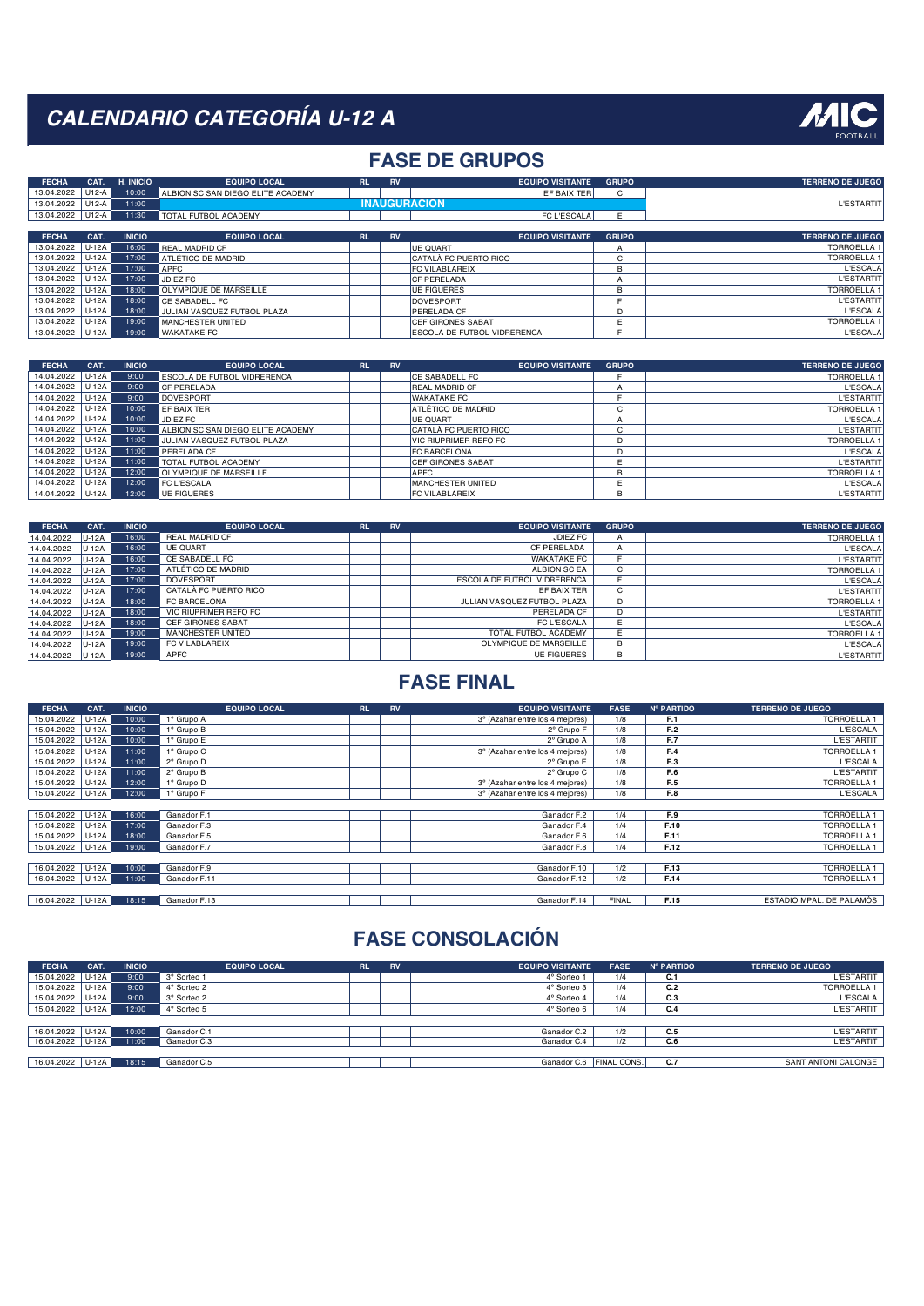

## **FASE DE GRUPOS**

| <b>FECHA</b>       | CAT.      | H. INICIO     | <b>EQUIPO LOCAL</b>                | RL'       | <b>RV</b> | <b>EQUIPO VISITANTE</b>             | <b>GRUPO</b> | <b>TERRENO DE JUEGO</b> |
|--------------------|-----------|---------------|------------------------------------|-----------|-----------|-------------------------------------|--------------|-------------------------|
| 13.04.2022         | U12-A     | 10:00         | ALBION SC SAN DIEGO ELITE ACADEMY  |           |           | EF BAIX TER                         | C            |                         |
| 13.04.2022         | l U12-A l | 11:00         |                                    |           |           | <b>INAUGURACION</b>                 |              | <b>L'ESTARTIT</b>       |
| 13.04.2022   U12-A |           | 11:30         | TOTAL FUTBOL ACADEMY               |           |           | <b>FC L'ESCALA</b>                  | Ε            |                         |
|                    |           |               |                                    |           |           |                                     |              |                         |
| <b>FECHA</b>       | CAT.      | <b>INICIO</b> | <b>EQUIPO LOCAL</b>                | <b>RL</b> | <b>RV</b> | <b>EQUIPO VISITANTE</b>             | <b>GRUPO</b> | <b>TERRENO DE JUEGO</b> |
| 13.04.2022         | U-12A     | 16:00         | <b>REAL MADRID CF</b>              |           |           | <b>UE QUART</b>                     | A            | <b>TORROELLA1</b>       |
| 13.04.2022         | U-12A     | 17:00         | ATLÉTICO DE MADRID                 |           |           | ICATALÀ FC PUERTO RICO              | C            | <b>TORROELLA 1</b>      |
| 13.04.2022         | U-12A     | 17:00         | <b>APFC</b>                        |           |           | <b>FC VILABLAREIX</b>               | B            | <b>L'ESCALA</b>         |
| 13.04.2022         | U-12A     | 17:00         | JDIEZ FC                           |           |           | <b>CF PERELADA</b>                  |              | <b>L'ESTARTIT</b>       |
| 13.04.2022         | U-12A     | 18:00         | <b>OLYMPIQUE DE MARSEILLE</b>      |           |           | UE FIGUERES                         | B            | <b>TORROELLA1</b>       |
| 13.04.2022   U-12A |           | 18:00         | <b>CE SABADELL FC</b>              |           |           | <b>IDOVESPORT</b>                   |              | <b>L'ESTARTIT</b>       |
| 13.04.2022         | l U-12A l | 18:00         | <b>JULIAN VASQUEZ FUTBOL PLAZA</b> |           |           | <b>IPERELADA CF</b>                 |              | <b>L'ESCALA</b>         |
| 13.04.2022 U-12A   |           | 19:00         | MANCHESTER UNITED                  |           |           | <b>ICEF GIRONES SABAT</b>           | E            | <b>TORROELLA1</b>       |
| 13.04.2022         | U-12A     | 19:00         | <b>WAKATAKE FC</b>                 |           |           | <b>IESCOLA DE FUTBOL VIDRERENCA</b> |              | <b>L'ESCALA</b>         |

| <b>FECHA</b> | CAT.      | <b>INICIO</b> | <b>EQUIPO LOCAL</b>               | <b>RL</b> | <b>RV</b> | <b>EQUIPO VISITANTE</b>      | <b>GRUPO</b> | <b>TERRENO DE JUEGO</b> |
|--------------|-----------|---------------|-----------------------------------|-----------|-----------|------------------------------|--------------|-------------------------|
| 14.04.2022   | U-12A     | 9:00          | ESCOLA DE FUTBOL VIDRERENCA       |           |           | <b>ICE SABADELL FC</b>       |              | <b>TORROELLA 1</b>      |
| 14.04.2022   | U-12A     | 9:00          | <b>CF PERELADA</b>                |           |           | <b>REAL MADRID CF</b>        |              | L'ESCALA                |
| 14.04.2022   | $U-12A$   | 9:00          | <b>DOVESPORT</b>                  |           |           | <b>WAKATAKE FC</b>           |              | <b>L'ESTARTIT</b>       |
| 14.04.2022   | $ U-12A $ | 10:00         | <b>FF BAIX TFR</b>                |           |           | ATLÉTICO DE MADRID           | $\sim$       | <b>TORROELLA 1</b>      |
| 14.04.2022   | $U-12A$   | 10:00         | JDIEZ FC                          |           |           | UE QUART                     |              | <b>L'ESCALA</b>         |
| 14.04.2022   | $U-12A$   | 10:00         | ALBION SC SAN DIEGO ELITE ACADEMY |           |           | <b>CATALA FC PUERTO RICO</b> | $\sim$       | <b>L'ESTARTIT</b>       |
| 14.04.2022   | U-12A     | 11:00         | JULIAN VASQUEZ FUTBOL PLAZA       |           |           | VIC RIUPRIMER REFO FC        |              | <b>TORROELLA 1</b>      |
| 14.04.2022   | U-12A     | 11:00         | PERFLADA CF                       |           |           | <b>FC BARCELONA</b>          |              | <b>L'ESCALA</b>         |
| 14.04.2022   | U-12A     | 11:00         | TOTAL FUTBOL ACADEMY              |           |           | CEF GIRONES SABAT            |              | <b>L'ESTARTIT</b>       |
| 14.04.2022   | U-12A     | 12:00         | OLYMPIQUE DE MARSEILLE            |           |           | <b>APFC</b>                  | R            | <b>TORROELLA 1</b>      |
| 14.04.2022   | U-12A     | 12:00         | <b>FC L'ESCALA</b>                |           |           | <b>MANCHESTER UNITED</b>     |              | <b>L'ESCALA</b>         |
| 14.04.2022   | $U-12A$   | 12:00         | UE FIGUERES                       |           |           | <b>FC VILABLAREIX</b>        | B            | <b>L'ESTARTIT</b>       |

| <b>FECHA</b>     | CAT.    | <b>INICIO</b> | <b>EQUIPO LOCAL</b>      | <b>RL</b> | <b>RV</b> | <b>EQUIPO VISITANTE</b>     | <b>GRUPO</b> | <b>TERRENO DE JUEGO</b> |
|------------------|---------|---------------|--------------------------|-----------|-----------|-----------------------------|--------------|-------------------------|
| 14.04.2022       | U-12A   | 16:00         | <b>REAL MADRID CF</b>    |           |           | JDIEZ FC                    | $\mathsf{A}$ | <b>TORROELLA 1</b>      |
| 14.04.2022 U-12A |         | 16:00         | <b>UE QUART</b>          |           |           | CF PERELADA                 |              | <b>L'ESCALA</b>         |
| 14.04.2022 U-12A |         | 16:00         | CE SABADELL FC           |           |           | <b>WAKATAKE FC</b>          |              | <b>L'ESTARTIT</b>       |
| 14.04.2022       | $U-12A$ | 17:00         | ATLÉTICO DE MADRID       |           |           | ALBION SC EA                | C            | <b>TORROELLA1</b>       |
| 14.04.2022 U-12A |         | 17:00         | <b>DOVESPORT</b>         |           |           | ESCOLA DE FUTBOL VIDRERENCA |              | <b>L'ESCALA</b>         |
| 14.04.2022 U-12A |         | 17:00         | CATALÀ FC PUERTO RICO    |           |           | EF BAIX TER                 | C            | <b>L'ESTARTIT</b>       |
| 14.04.2022 U-12A |         | 18:00         | FC BARCELONA             |           |           | JULIAN VASQUEZ FUTBOL PLAZA | D            | <b>TORROELLA1</b>       |
| 14.04.2022 U-12A |         | 18:00         | VIC RIUPRIMER REFO FC    |           |           | PERELADA CF                 | D            | <b>L'ESTARTIT</b>       |
| 14.04.2022 U-12A |         | 18:00         | <b>CEF GIRONES SABAT</b> |           |           | FC L'ESCALA                 |              | <b>L'ESCALA</b>         |
| 14.04.2022       | $U-12A$ | 19:00         | MANCHESTER UNITED        |           |           | TOTAL FUTBOL ACADEMY        |              | <b>TORROELLA 1</b>      |
| 14.04.2022 U-12A |         | 19:00         | FC VILABLAREIX           |           |           | OLYMPIQUE DE MARSEILLE      | в            | <b>L'ESCALA</b>         |
| 14.04.2022 U-12A |         | 19:00         | APFC                     |           |           | <b>UE FIGUERES</b>          | B            | <b>L'ESTARTIT</b>       |

## **FASE FINAL**

| <b>FECHA</b> | CAT.    | <b>INICIO</b> | <b>EQUIPO LOCAL</b>    | <b>RL</b> | <b>RV</b> | <b>EQUIPO VISITANTE</b>         | <b>FASE</b>  | Nº PARTIDO | <b>TERRENO DE JUEGO</b>  |
|--------------|---------|---------------|------------------------|-----------|-----------|---------------------------------|--------------|------------|--------------------------|
| 15.04.2022   | $U-12A$ | 10:00         | 1º Grupo A             |           |           | 3° (Azahar entre los 4 mejores) | 1/8          | F.1        | <b>TORROELLA 1</b>       |
| 15.04.2022   | $U-12A$ | 10:00         | 1 <sup>°</sup> Grupo B |           |           | 2° Grupo F                      | 1/8          | F.2        | <b>L'ESCALA</b>          |
| 15.04.2022   | U-12A   | 10:00         | 1º Grupo E             |           |           | 2° Grupo A                      | 1/8          | F.7        | <b>L'ESTARTIT</b>        |
| 15.04.2022   | $U-12A$ | 11:00         | 1º Grupo C             |           |           | 3° (Azahar entre los 4 mejores) | 1/8          | F.4        | <b>TORROELLA 1</b>       |
| 15.04.2022   | $U-12A$ | 11:00         | 2° Grupo D             |           |           | 2° Grupo E                      | 1/8          | F.3        | <b>L'ESCALA</b>          |
| 15.04.2022   | U-12A   | 11:00         | 2° Grupo B             |           |           | 2° Grupo C                      | 1/8          | F.6        | <b>L'ESTARTIT</b>        |
| 15.04.2022   | U-12A   | 12:00         | 1º Grupo D             |           |           | 3° (Azahar entre los 4 mejores) | 1/8          | F.5        | <b>TORROELLA 1</b>       |
| 15.04.2022   | U-12A   | 12:00         | 1º Grupo F             |           |           | 3° (Azahar entre los 4 mejores) | 1/8          | F.8        | <b>L'ESCALA</b>          |
|              |         |               |                        |           |           |                                 |              |            |                          |
| 15.04.2022   | U-12A   | 16:00         | Ganador F.1            |           |           | Ganador F.2                     | 1/4          | F.9        | <b>TORROELLA 1</b>       |
| 15.04.2022   | U-12A   | 17:00         | Ganador F.3            |           |           | Ganador F.4                     | 1/4          | F.10       | <b>TORROELLA1</b>        |
| 15.04.2022   | $U-12A$ | 18:00         | Ganador F.5            |           |           | Ganador F.6                     | 1/4          | F.11       | <b>TORROELLA 1</b>       |
| 15.04.2022   | U-12A   | 19:00         | Ganador F.7            |           |           | Ganador F.8                     | 1/4          | F.12       | <b>TORROELLA 1</b>       |
|              |         |               |                        |           |           |                                 |              |            |                          |
| 16.04.2022   | $U-12A$ | 10:00         | Ganador F.9            |           |           | Ganador F.10                    | 1/2          | F.13       | <b>TORROELLA 1</b>       |
| 16.04.2022   | U-12A   | 11:00         | Ganador F.11           |           |           | Ganador F.12                    | 1/2          | F.14       | <b>TORROELLA 1</b>       |
|              |         |               |                        |           |           |                                 |              |            |                          |
| 16.04.2022   | U-12A   | 18:15         | Ganador F.13           |           |           | Ganador F.14                    | <b>FINAL</b> | F.15       | ESTADIO MPAL. DE PALAMÓS |

| <b>FECHA</b>     | CAT.    | <b>INICIO</b> | <b>EQUIPO LOCAL</b> | <b>RL</b> | <b>RV</b> | <b>EQUIPO VISITANTE</b> | <b>FASE</b>        | Nº PARTIDO | <b>TERRENO DE JUEGO</b> |
|------------------|---------|---------------|---------------------|-----------|-----------|-------------------------|--------------------|------------|-------------------------|
| 15.04.2022       | $U-12A$ | 9:00          | 3° Sorteo 1         |           |           | 4° Sorteo 1             | 1/4                | C.1        | <b>L'ESTARTIT</b>       |
| 15.04.2022       | U-12A   | 9:00          | 4° Sorteo 2         |           |           | 4° Sorteo 3             | 1/4                | C.2        | <b>TORROELLA 1</b>      |
| 15.04.2022       | $U-12A$ | 9:00          | 3° Sorteo 2         |           |           | 4° Sorteo 4             | 1/4                | C.3        | <b>L'ESCALA</b>         |
| 15.04.2022       | U-12A   | 12:00         | 4° Sorteo 5         |           |           | 4° Sorteo 6             | 1/4                | C.4        | L'ESTARTIT              |
|                  |         |               |                     |           |           |                         |                    |            |                         |
| 16.04.2022 U-12A |         | 10:00         | Ganador C.1         |           |           | Ganador C.2             | 1/2                | C.5        | <b>L'ESTARTIT</b>       |
| 16.04.2022       | U-12A   | 11:00         | Ganador C.3         |           |           | Ganador C.4             | 1/2                | C.6        | <b>ESTARTIT</b>         |
|                  |         |               |                     |           |           |                         |                    |            |                         |
| 16.04.2022       | U-12A   | 18:15         | Ganador C.5         |           |           | Ganador C.6             | <b>FINAL CONS.</b> | C.7        | SANT ANTONI CALONGE     |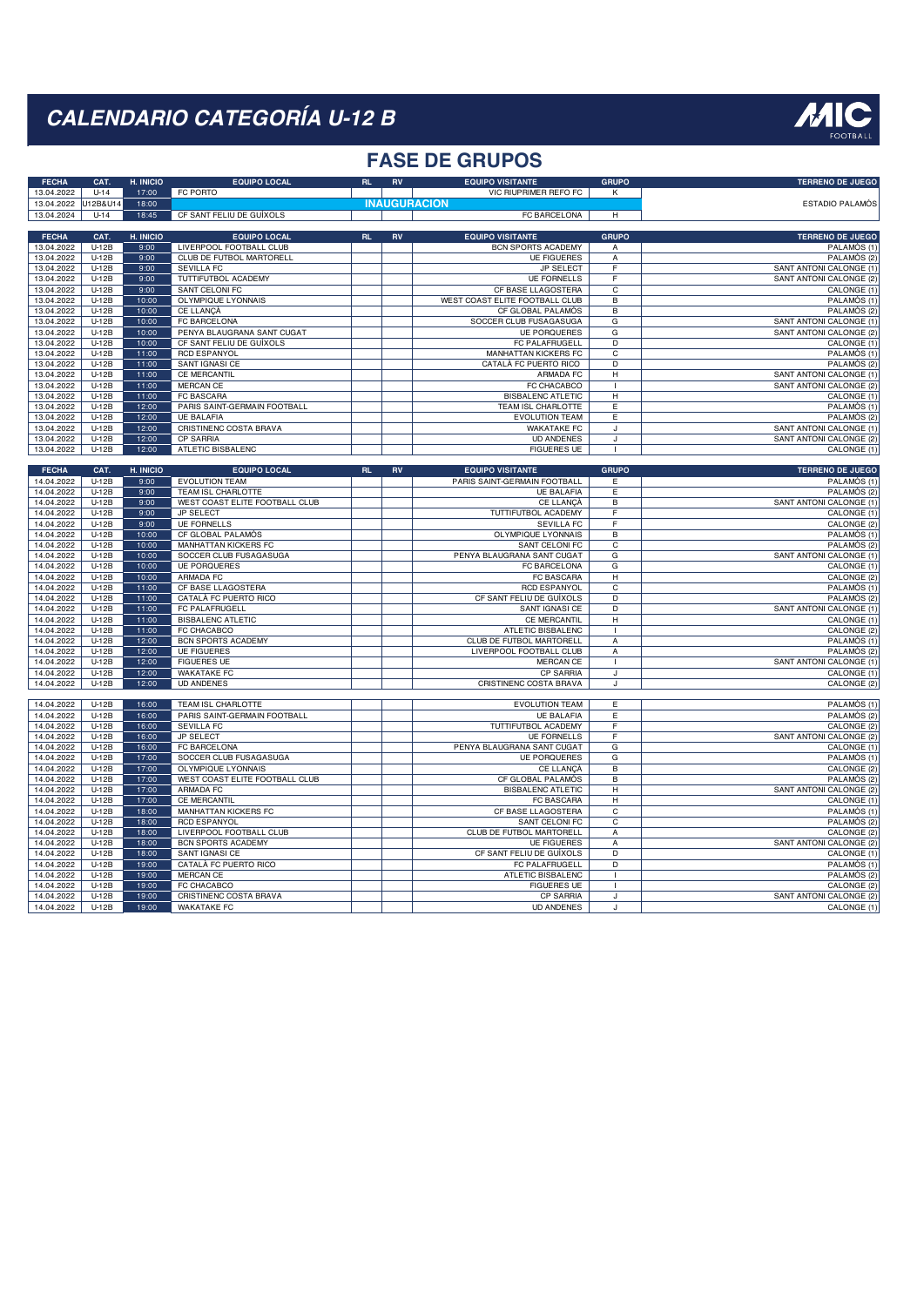

### **FASE DE GRUPOS**

| 13.04.2022<br>$U-14$<br>17:00<br>FC PORTO<br>VIC RIUPRIMER REFO FC<br>K<br>12B&U14<br>18:00<br><b>INAUGURACION</b><br>13.04.2022<br><b>ESTADIO PALAMÓS</b><br>13.04.2024<br>$U-14$<br>18:45<br>CF SANT FELIU DE GUÍXOLS<br>FC BARCELONA<br>H<br><b>FECHA</b><br>CAT.<br>H. INICIO<br><b>EQUIPO LOCAL</b><br><b>EQUIPO VISITANTE</b><br><b>GRUPO</b><br><b>TERRENO DE JUEGO</b><br><b>RL</b><br><b>RV</b><br>13.04.2022<br>$U-12B$<br>9:00<br>LIVERPOOL FOOTBALL CLUB<br>BCN SPORTS ACADEMY<br>PALAMÓS (1)<br>Α<br>13.04.2022<br>$U-12B$<br>9:00<br><b>CLUB DE FUTBOL MARTORELL</b><br><b>UE FIGUERES</b><br>PALAMÓS (2)<br>A<br>9:00<br>$\overline{F}$<br>13.04.2022<br>$U-12B$<br><b>SEVILLA FC</b><br><b>JP SELECT</b><br>SANT ANTONI CALONGE (1)<br>TUTTIFUTBOL ACADEMY<br><b>UE FORNELLS</b><br>F<br>SANT ANTONI CALONGE (2)<br>13.04.2022<br>$U-12B$<br>9:00<br>13.04.2022<br>$U-12B$<br>9:00<br><b>SANT CELONI FC</b><br>CF BASE LLAGOSTERA<br>$\overline{c}$<br>CALONGE (1)<br>13.04.2022<br>$U-12B$<br>10:00<br><b>OLYMPIQUE LYONNAIS</b><br>WEST COAST ELITE FOOTBALL CLUB<br>PALAMÓS (1)<br>B<br>13.04.2022<br>$U-12B$<br>10:00<br>CE LLANCÀ<br>CF GLOBAL PALAMÓS<br>B<br>PALAMÓS (2)<br>10:00<br>13.04.2022<br>$U-12B$<br>FC BARCELONA<br>SOCCER CLUB FUSAGASUGA<br>G<br>SANT ANTONI CALONGE (1)<br>13.04.2022<br>$U-12B$<br>10:00<br>PENYA BLAUGRANA SANT CUGAT<br><b>UE PORQUERES</b><br>G<br>SANT ANTONI CALONGE (2)<br>CF SANT FELIU DE GUÍXOLS<br>FC PALAFRUGELL<br>$\overline{D}$<br>13.04.2022<br>$U-12B$<br>10:00<br>CALONGE (1)<br>$\overline{\mathsf{c}}$<br>$U-12B$<br>11:00<br><b>RCD ESPANYOL</b><br>MANHATTAN KICKERS FC<br>PALAMÓS (1)<br>13.04.2022<br>13.04.2022<br>$U-12B$<br>11:00<br><b>SANT IGNASI CE</b><br>CATALÀ FC PUERTO RICO<br>$\overline{D}$<br>PALAMÓS (2)<br>13.04.2022<br>$U-12B$<br>11:00<br><b>CE MERCANTIL</b><br>$\overline{H}$<br>SANT ANTONI CALONGE (1)<br>ARMADA FC<br>$U-12B$<br>FC CHACABCO<br>SANT ANTONI CALONGE (2)<br>13.04.2022<br>11:00<br><b>MERCAN CE</b><br>-1<br>13.04.2022<br>$U-12B$<br>11:00<br><b>FC BASCARA</b><br><b>BISBALENC ATLETIC</b><br>H<br>CALONGE (1)<br>13.04.2022<br>$U-12B$<br>12:00<br>PARIS SAINT-GERMAIN FOOTBALL<br>TEAM ISL CHARLOTTE<br>E<br>PALAMÓS (1)<br>12:00<br>E<br>PALAMÓS <sub>(2)</sub><br>13.04.2022<br>$U-12B$<br><b>UE BALAFIA</b><br><b>EVOLUTION TEAM</b><br>12:00<br>CRISTINENC COSTA BRAVA<br><b>WAKATAKE FC</b><br>SANT ANTONI CALONGE (1)<br>13.04.2022<br>$U-12B$<br>J<br>13.04.2022<br>$U-12B$<br>12:00<br><b>CP SARRIA</b><br><b>UD ANDENES</b><br>SANT ANTONI CALONGE (2)<br>J.<br>13.04.2022<br>$U-12B$<br>12:00<br>ATLETIC BISBALENC<br><b>FIGUERES UE</b><br>CALONGE (1)<br>$\mathbf{I}$<br>CAT.<br>H. INICIO<br><b>EQUIPO LOCAL</b><br><b>EQUIPO VISITANTE</b><br><b>GRUPO</b><br><b>TERRENO DE JUEGO</b><br><b>FECHA</b><br>RL<br>RV<br>$U-12B$<br>PALAMÓS (1)<br>14.04.2022<br>9:00<br><b>EVOLUTION TEAM</b><br>PARIS SAINT-GERMAIN FOOTBALL<br>E<br>$U-12B$<br>9:00<br>E<br>PALAMÓS (2)<br>14.04.2022<br>TEAM ISL CHARLOTTE<br><b>UE BALAFIA</b><br>9:00<br><b>SANT ANTONI CALONGE (1)</b><br>$U-12B$<br>WEST COAST ELITE FOOTBALL CLUB<br><b>CE LLANCÀ</b><br>$\overline{B}$<br>14.04.2022<br>$U-12B$<br>9:00<br>TUTTIFUTBOL ACADEMY<br>F<br>CALONGE (1)<br>14.04.2022<br>JP SELECT<br>$U-12B$<br>9:00<br><b>UE FORNELLS</b><br>E<br>CALONGE <sub>(2)</sub><br>14.04.2022<br><b>SEVILLA FC</b><br><b>OLYMPIQUE LYONNAIS</b><br>10:00<br>14.04.2022<br>$U-12B$<br>CF GLOBAL PALAMÓS<br>В<br>PALAMÓS (1)<br>14.04.2022<br>$U-12B$<br>10:00<br>MANHATTAN KICKERS FC<br>SANT CELONI FC<br>PALAMÓS (2)<br>C<br>14.04.2022<br>$U-12B$<br>10:00<br>SOCCER CLUB FUSAGASUGA<br>PENYA BLAUGRANA SANT CUGAT<br>G<br>SANT ANTONI CALONGE (1)<br>14.04.2022<br>$U-12B$<br>FC BARCELONA<br>CALONGE <sup>(1)</sup><br>10:00<br><b>UE PORQUERES</b><br>G<br>10:00<br>14.04.2022<br><b>ARMADA FC</b><br><b>FC BASCARA</b><br>CALONGE (2)<br>$U-12B$<br>H<br>$U-12B$<br>11:00<br><b>CF BASE LLAGOSTERA</b><br><b>RCD ESPANYOL</b><br>PALAMÓS (1)<br>14.04.2022<br>C<br>14.04.2022<br>$U-12B$<br>11:00<br>CATALÀ FC PUERTO RICO<br>CF SANT FELIU DE GUÍXOLS<br>$\mathsf{D}$<br>PALAMÓS (2)<br>SANT ANTONI CALONGE (1)<br>14.04.2022<br>$U-12B$<br>11:00<br>FC PALAFRUGELL<br>$\overline{D}$<br>SANT IGNASI CE<br>14.04.2022<br>$U-12B$<br>11:00<br><b>BISBALENC ATLETIC</b><br>CE MERCANTIL<br>H<br>CALONGE (1)<br>14.04.2022<br>$U-12B$<br>11:00<br>FC CHACABCO<br>ATLETIC BISBALENC<br>CALONGE (2)<br>$\overline{1}$<br>14.04.2022<br>$U-12B$<br>12:00<br><b>BCN SPORTS ACADEMY</b><br>CLUB DE FUTBOL MARTORELL<br>$\overline{A}$<br>PALAMÓS (1)<br>12:00<br>LIVERPOOL FOOTBALL CLUB<br>PALAMÓS <sub>(2)</sub><br>14.04.2022<br>$U-12B$<br><b>UE FIGUERES</b><br>A<br>$U-12B$<br>12:00<br><b>FIGUERES UE</b><br>SANT ANTONI CALONGE (1)<br>14.04.2022<br><b>MERCAN CE</b><br>14.04.2022<br>$U-12B$<br>12:00<br><b>WAKATAKE FC</b><br><b>CP SARRIA</b><br>CALONGE (1)<br>$\cdot$<br>12:00<br>CRISTINENC COSTA BRAVA<br>CALONGE (2)<br>14.04.2022<br>$U-12B$<br><b>UD ANDENES</b><br>J<br><b>EVOLUTION TEAM</b><br>14.04.2022<br>$U-12B$<br>16:00<br>TEAM ISL CHARLOTTE<br>E<br>PALAMÓS (1)<br>16:00<br>PARIS SAINT-GERMAIN FOOTBALL<br>PALAMÓS <sub>(2)</sub><br>14.04.2022<br>$U-12B$<br><b>UE BALAFIA</b><br>Έ<br>16:00<br>CALONGE (2)<br>14.04.2022<br>$U-12B$<br><b>SEVILLA FC</b><br>TUTTIFUTBOL ACADEMY<br>F<br>$U-12B$<br>16:00<br>JP SELECT<br><b>UE FORNELLS</b><br>SANT ANTONI CALONGE (2)<br>14.04.2022<br>E<br>14.04.2022<br>$U-12B$<br>16:00<br>FC BARCELONA<br>PENYA BLAUGRANA SANT CUGAT<br>CALONGE (1)<br>G<br>17:00<br>14.04.2022<br>$U-12B$<br>SOCCER CLUB FUSAGASUGA<br><b>UE PORQUERES</b><br>PALAMÓS (1)<br>G<br>14.04.2022<br>$U-12B$<br>17:00<br>OLYMPIQUE LYONNAIS<br>CE LLANCÀ<br>CALONGE (2)<br>B<br>$U-12B$<br>WEST COAST ELITE FOOTBALL CLUB<br>CF GLOBAL PALAMÓS<br>14.04.2022<br>17:00<br>В<br>PALAMÓS (2)<br>$U-12B$<br>17:00<br><b>ARMADA FC</b><br><b>BISBALENC ATLETIC</b><br>$\overline{H}$<br><b>SANT ANTONI CALONGE (2)</b><br>14.04.2022<br>17:00<br>$U-12B$<br><b>CE MERCANTIL</b><br>14.04.2022<br>FC BASCARA<br>H<br>CALONGE (1)<br>$U-12B$<br>18:00<br>MANHATTAN KICKERS FC<br>CF BASE LLAGOSTERA<br>C<br>PALAMÓS (1)<br>14.04.2022<br>14.04.2022<br>$U-12B$<br>18:00<br><b>RCD ESPANYOL</b><br>SANT CELONI FC<br>$\overline{c}$<br>PALAMÓS (2)<br>CLUB DE FUTBOL MARTORELL<br>$U-12B$<br>18:00<br>LIVERPOOL FOOTBALL CLUB<br>CALONGE (2)<br>14.04.2022<br>A<br>14.04.2022<br>$U-12B$<br>18:00<br><b>BCN SPORTS ACADEMY</b><br><b>UE FIGUERES</b><br>SANT ANTONI CALONGE (2)<br>Α<br>18:00<br>14.04.2022<br>$U-12B$<br><b>SANT IGNASI CE</b><br>CF SANT FELIU DE GUÍXOLS<br>$\overline{D}$<br>CALONGE (1)<br>14.04.2022<br>$U-12B$<br>19:00<br>CATALÀ FC PUERTO RICO<br>FC PALAFRUGELL<br>D<br>PALAMÓS (1)<br>14.04.2022<br>$U-12B$<br>19:00<br><b>MERCAN CE</b><br>ATLETIC BISBALENC<br>PALAMÓS (2)<br>$\mathbf{I}$<br>$U-12B$<br>19:00<br>FC CHACABCO<br><b>FIGUERES UE</b><br>CALONGE (2)<br>14.04.2022<br>$\overline{\phantom{a}}$<br>14.04.2022<br>$U-12B$<br>19:00<br>CRISTINENC COSTA BRAVA<br><b>CP SARRIA</b><br>SANT ANTONI CALONGE (2)<br>J<br>19:00<br><b>UD ANDENES</b><br>14.04.2022<br>$U-12B$<br><b>WAKATAKE FC</b><br>CALONGE (1)<br>J | <b>FECHA</b> | CAT. | H. INICIO | <b>EQUIPO LOCAL</b> | <b>RL</b> | RV | <b>EQUIPO VISITANTE</b> | <b>GRUPO</b> | <b>TERRENO DE JUEGO</b> |
|------------------------------------------------------------------------------------------------------------------------------------------------------------------------------------------------------------------------------------------------------------------------------------------------------------------------------------------------------------------------------------------------------------------------------------------------------------------------------------------------------------------------------------------------------------------------------------------------------------------------------------------------------------------------------------------------------------------------------------------------------------------------------------------------------------------------------------------------------------------------------------------------------------------------------------------------------------------------------------------------------------------------------------------------------------------------------------------------------------------------------------------------------------------------------------------------------------------------------------------------------------------------------------------------------------------------------------------------------------------------------------------------------------------------------------------------------------------------------------------------------------------------------------------------------------------------------------------------------------------------------------------------------------------------------------------------------------------------------------------------------------------------------------------------------------------------------------------------------------------------------------------------------------------------------------------------------------------------------------------------------------------------------------------------------------------------------------------------------------------------------------------------------------------------------------------------------------------------------------------------------------------------------------------------------------------------------------------------------------------------------------------------------------------------------------------------------------------------------------------------------------------------------------------------------------------------------------------------------------------------------------------------------------------------------------------------------------------------------------------------------------------------------------------------------------------------------------------------------------------------------------------------------------------------------------------------------------------------------------------------------------------------------------------------------------------------------------------------------------------------------------------------------------------------------------------------------------------------------------------------------------------------------------------------------------------------------------------------------------------------------------------------------------------------------------------------------------------------------------------------------------------------------------------------------------------------------------------------------------------------------------------------------------------------------------------------------------------------------------------------------------------------------------------------------------------------------------------------------------------------------------------------------------------------------------------------------------------------------------------------------------------------------------------------------------------------------------------------------------------------------------------------------------------------------------------------------------------------------------------------------------------------------------------------------------------------------------------------------------------------------------------------------------------------------------------------------------------------------------------------------------------------------------------------------------------------------------------------------------------------------------------------------------------------------------------------------------------------------------------------------------------------------------------------------------------------------------------------------------------------------------------------------------------------------------------------------------------------------------------------------------------------------------------------------------------------------------------------------------------------------------------------------------------------------------------------------------------------------------------------------------------------------------------------------------------------------------------------------------------------------------------------------------------------------------------------------------------------------------------------------------------------------------------------------------------------------------------------------------------------------------------------------------------------------------------------------------------------------------------------------------------------------------------------------------------------------------------------------------------------------------------------------------------------------------------------------------------------------------------------------------------------------------------------------------------------------------------------------------------------------------------------------------------------------------------------------------------------------------------------------------------------------------------------------------------------------------------------------------------------------------------------------------------------------------------------------------------------------------------------------------------------------------------------------------------------------------------------------------------------------------------------------------------------------------------------------------------------------------------------------------------------------------------------------------------------------------------------------------------------------------------------------------------------------------------------------------------------------------------------------------------------------------------------------------------------------------------------------------------------------------------------------------------------------------------------------------------------------------------------------------------------------------------------------|--------------|------|-----------|---------------------|-----------|----|-------------------------|--------------|-------------------------|
|                                                                                                                                                                                                                                                                                                                                                                                                                                                                                                                                                                                                                                                                                                                                                                                                                                                                                                                                                                                                                                                                                                                                                                                                                                                                                                                                                                                                                                                                                                                                                                                                                                                                                                                                                                                                                                                                                                                                                                                                                                                                                                                                                                                                                                                                                                                                                                                                                                                                                                                                                                                                                                                                                                                                                                                                                                                                                                                                                                                                                                                                                                                                                                                                                                                                                                                                                                                                                                                                                                                                                                                                                                                                                                                                                                                                                                                                                                                                                                                                                                                                                                                                                                                                                                                                                                                                                                                                                                                                                                                                                                                                                                                                                                                                                                                                                                                                                                                                                                                                                                                                                                                                                                                                                                                                                                                                                                                                                                                                                                                                                                                                                                                                                                                                                                                                                                                                                                                                                                                                                                                                                                                                                                                                                                                                                                                                                                                                                                                                                                                                                                                                                                                                                                                                                                                                                                                                                                                                                                                                                                                                                                                                                                                                                                                                                                      |              |      |           |                     |           |    |                         |              |                         |
|                                                                                                                                                                                                                                                                                                                                                                                                                                                                                                                                                                                                                                                                                                                                                                                                                                                                                                                                                                                                                                                                                                                                                                                                                                                                                                                                                                                                                                                                                                                                                                                                                                                                                                                                                                                                                                                                                                                                                                                                                                                                                                                                                                                                                                                                                                                                                                                                                                                                                                                                                                                                                                                                                                                                                                                                                                                                                                                                                                                                                                                                                                                                                                                                                                                                                                                                                                                                                                                                                                                                                                                                                                                                                                                                                                                                                                                                                                                                                                                                                                                                                                                                                                                                                                                                                                                                                                                                                                                                                                                                                                                                                                                                                                                                                                                                                                                                                                                                                                                                                                                                                                                                                                                                                                                                                                                                                                                                                                                                                                                                                                                                                                                                                                                                                                                                                                                                                                                                                                                                                                                                                                                                                                                                                                                                                                                                                                                                                                                                                                                                                                                                                                                                                                                                                                                                                                                                                                                                                                                                                                                                                                                                                                                                                                                                                                      |              |      |           |                     |           |    |                         |              |                         |
|                                                                                                                                                                                                                                                                                                                                                                                                                                                                                                                                                                                                                                                                                                                                                                                                                                                                                                                                                                                                                                                                                                                                                                                                                                                                                                                                                                                                                                                                                                                                                                                                                                                                                                                                                                                                                                                                                                                                                                                                                                                                                                                                                                                                                                                                                                                                                                                                                                                                                                                                                                                                                                                                                                                                                                                                                                                                                                                                                                                                                                                                                                                                                                                                                                                                                                                                                                                                                                                                                                                                                                                                                                                                                                                                                                                                                                                                                                                                                                                                                                                                                                                                                                                                                                                                                                                                                                                                                                                                                                                                                                                                                                                                                                                                                                                                                                                                                                                                                                                                                                                                                                                                                                                                                                                                                                                                                                                                                                                                                                                                                                                                                                                                                                                                                                                                                                                                                                                                                                                                                                                                                                                                                                                                                                                                                                                                                                                                                                                                                                                                                                                                                                                                                                                                                                                                                                                                                                                                                                                                                                                                                                                                                                                                                                                                                                      |              |      |           |                     |           |    |                         |              |                         |
|                                                                                                                                                                                                                                                                                                                                                                                                                                                                                                                                                                                                                                                                                                                                                                                                                                                                                                                                                                                                                                                                                                                                                                                                                                                                                                                                                                                                                                                                                                                                                                                                                                                                                                                                                                                                                                                                                                                                                                                                                                                                                                                                                                                                                                                                                                                                                                                                                                                                                                                                                                                                                                                                                                                                                                                                                                                                                                                                                                                                                                                                                                                                                                                                                                                                                                                                                                                                                                                                                                                                                                                                                                                                                                                                                                                                                                                                                                                                                                                                                                                                                                                                                                                                                                                                                                                                                                                                                                                                                                                                                                                                                                                                                                                                                                                                                                                                                                                                                                                                                                                                                                                                                                                                                                                                                                                                                                                                                                                                                                                                                                                                                                                                                                                                                                                                                                                                                                                                                                                                                                                                                                                                                                                                                                                                                                                                                                                                                                                                                                                                                                                                                                                                                                                                                                                                                                                                                                                                                                                                                                                                                                                                                                                                                                                                                                      |              |      |           |                     |           |    |                         |              |                         |
|                                                                                                                                                                                                                                                                                                                                                                                                                                                                                                                                                                                                                                                                                                                                                                                                                                                                                                                                                                                                                                                                                                                                                                                                                                                                                                                                                                                                                                                                                                                                                                                                                                                                                                                                                                                                                                                                                                                                                                                                                                                                                                                                                                                                                                                                                                                                                                                                                                                                                                                                                                                                                                                                                                                                                                                                                                                                                                                                                                                                                                                                                                                                                                                                                                                                                                                                                                                                                                                                                                                                                                                                                                                                                                                                                                                                                                                                                                                                                                                                                                                                                                                                                                                                                                                                                                                                                                                                                                                                                                                                                                                                                                                                                                                                                                                                                                                                                                                                                                                                                                                                                                                                                                                                                                                                                                                                                                                                                                                                                                                                                                                                                                                                                                                                                                                                                                                                                                                                                                                                                                                                                                                                                                                                                                                                                                                                                                                                                                                                                                                                                                                                                                                                                                                                                                                                                                                                                                                                                                                                                                                                                                                                                                                                                                                                                                      |              |      |           |                     |           |    |                         |              |                         |
|                                                                                                                                                                                                                                                                                                                                                                                                                                                                                                                                                                                                                                                                                                                                                                                                                                                                                                                                                                                                                                                                                                                                                                                                                                                                                                                                                                                                                                                                                                                                                                                                                                                                                                                                                                                                                                                                                                                                                                                                                                                                                                                                                                                                                                                                                                                                                                                                                                                                                                                                                                                                                                                                                                                                                                                                                                                                                                                                                                                                                                                                                                                                                                                                                                                                                                                                                                                                                                                                                                                                                                                                                                                                                                                                                                                                                                                                                                                                                                                                                                                                                                                                                                                                                                                                                                                                                                                                                                                                                                                                                                                                                                                                                                                                                                                                                                                                                                                                                                                                                                                                                                                                                                                                                                                                                                                                                                                                                                                                                                                                                                                                                                                                                                                                                                                                                                                                                                                                                                                                                                                                                                                                                                                                                                                                                                                                                                                                                                                                                                                                                                                                                                                                                                                                                                                                                                                                                                                                                                                                                                                                                                                                                                                                                                                                                                      |              |      |           |                     |           |    |                         |              |                         |
|                                                                                                                                                                                                                                                                                                                                                                                                                                                                                                                                                                                                                                                                                                                                                                                                                                                                                                                                                                                                                                                                                                                                                                                                                                                                                                                                                                                                                                                                                                                                                                                                                                                                                                                                                                                                                                                                                                                                                                                                                                                                                                                                                                                                                                                                                                                                                                                                                                                                                                                                                                                                                                                                                                                                                                                                                                                                                                                                                                                                                                                                                                                                                                                                                                                                                                                                                                                                                                                                                                                                                                                                                                                                                                                                                                                                                                                                                                                                                                                                                                                                                                                                                                                                                                                                                                                                                                                                                                                                                                                                                                                                                                                                                                                                                                                                                                                                                                                                                                                                                                                                                                                                                                                                                                                                                                                                                                                                                                                                                                                                                                                                                                                                                                                                                                                                                                                                                                                                                                                                                                                                                                                                                                                                                                                                                                                                                                                                                                                                                                                                                                                                                                                                                                                                                                                                                                                                                                                                                                                                                                                                                                                                                                                                                                                                                                      |              |      |           |                     |           |    |                         |              |                         |
|                                                                                                                                                                                                                                                                                                                                                                                                                                                                                                                                                                                                                                                                                                                                                                                                                                                                                                                                                                                                                                                                                                                                                                                                                                                                                                                                                                                                                                                                                                                                                                                                                                                                                                                                                                                                                                                                                                                                                                                                                                                                                                                                                                                                                                                                                                                                                                                                                                                                                                                                                                                                                                                                                                                                                                                                                                                                                                                                                                                                                                                                                                                                                                                                                                                                                                                                                                                                                                                                                                                                                                                                                                                                                                                                                                                                                                                                                                                                                                                                                                                                                                                                                                                                                                                                                                                                                                                                                                                                                                                                                                                                                                                                                                                                                                                                                                                                                                                                                                                                                                                                                                                                                                                                                                                                                                                                                                                                                                                                                                                                                                                                                                                                                                                                                                                                                                                                                                                                                                                                                                                                                                                                                                                                                                                                                                                                                                                                                                                                                                                                                                                                                                                                                                                                                                                                                                                                                                                                                                                                                                                                                                                                                                                                                                                                                                      |              |      |           |                     |           |    |                         |              |                         |
|                                                                                                                                                                                                                                                                                                                                                                                                                                                                                                                                                                                                                                                                                                                                                                                                                                                                                                                                                                                                                                                                                                                                                                                                                                                                                                                                                                                                                                                                                                                                                                                                                                                                                                                                                                                                                                                                                                                                                                                                                                                                                                                                                                                                                                                                                                                                                                                                                                                                                                                                                                                                                                                                                                                                                                                                                                                                                                                                                                                                                                                                                                                                                                                                                                                                                                                                                                                                                                                                                                                                                                                                                                                                                                                                                                                                                                                                                                                                                                                                                                                                                                                                                                                                                                                                                                                                                                                                                                                                                                                                                                                                                                                                                                                                                                                                                                                                                                                                                                                                                                                                                                                                                                                                                                                                                                                                                                                                                                                                                                                                                                                                                                                                                                                                                                                                                                                                                                                                                                                                                                                                                                                                                                                                                                                                                                                                                                                                                                                                                                                                                                                                                                                                                                                                                                                                                                                                                                                                                                                                                                                                                                                                                                                                                                                                                                      |              |      |           |                     |           |    |                         |              |                         |
|                                                                                                                                                                                                                                                                                                                                                                                                                                                                                                                                                                                                                                                                                                                                                                                                                                                                                                                                                                                                                                                                                                                                                                                                                                                                                                                                                                                                                                                                                                                                                                                                                                                                                                                                                                                                                                                                                                                                                                                                                                                                                                                                                                                                                                                                                                                                                                                                                                                                                                                                                                                                                                                                                                                                                                                                                                                                                                                                                                                                                                                                                                                                                                                                                                                                                                                                                                                                                                                                                                                                                                                                                                                                                                                                                                                                                                                                                                                                                                                                                                                                                                                                                                                                                                                                                                                                                                                                                                                                                                                                                                                                                                                                                                                                                                                                                                                                                                                                                                                                                                                                                                                                                                                                                                                                                                                                                                                                                                                                                                                                                                                                                                                                                                                                                                                                                                                                                                                                                                                                                                                                                                                                                                                                                                                                                                                                                                                                                                                                                                                                                                                                                                                                                                                                                                                                                                                                                                                                                                                                                                                                                                                                                                                                                                                                                                      |              |      |           |                     |           |    |                         |              |                         |
|                                                                                                                                                                                                                                                                                                                                                                                                                                                                                                                                                                                                                                                                                                                                                                                                                                                                                                                                                                                                                                                                                                                                                                                                                                                                                                                                                                                                                                                                                                                                                                                                                                                                                                                                                                                                                                                                                                                                                                                                                                                                                                                                                                                                                                                                                                                                                                                                                                                                                                                                                                                                                                                                                                                                                                                                                                                                                                                                                                                                                                                                                                                                                                                                                                                                                                                                                                                                                                                                                                                                                                                                                                                                                                                                                                                                                                                                                                                                                                                                                                                                                                                                                                                                                                                                                                                                                                                                                                                                                                                                                                                                                                                                                                                                                                                                                                                                                                                                                                                                                                                                                                                                                                                                                                                                                                                                                                                                                                                                                                                                                                                                                                                                                                                                                                                                                                                                                                                                                                                                                                                                                                                                                                                                                                                                                                                                                                                                                                                                                                                                                                                                                                                                                                                                                                                                                                                                                                                                                                                                                                                                                                                                                                                                                                                                                                      |              |      |           |                     |           |    |                         |              |                         |
|                                                                                                                                                                                                                                                                                                                                                                                                                                                                                                                                                                                                                                                                                                                                                                                                                                                                                                                                                                                                                                                                                                                                                                                                                                                                                                                                                                                                                                                                                                                                                                                                                                                                                                                                                                                                                                                                                                                                                                                                                                                                                                                                                                                                                                                                                                                                                                                                                                                                                                                                                                                                                                                                                                                                                                                                                                                                                                                                                                                                                                                                                                                                                                                                                                                                                                                                                                                                                                                                                                                                                                                                                                                                                                                                                                                                                                                                                                                                                                                                                                                                                                                                                                                                                                                                                                                                                                                                                                                                                                                                                                                                                                                                                                                                                                                                                                                                                                                                                                                                                                                                                                                                                                                                                                                                                                                                                                                                                                                                                                                                                                                                                                                                                                                                                                                                                                                                                                                                                                                                                                                                                                                                                                                                                                                                                                                                                                                                                                                                                                                                                                                                                                                                                                                                                                                                                                                                                                                                                                                                                                                                                                                                                                                                                                                                                                      |              |      |           |                     |           |    |                         |              |                         |
|                                                                                                                                                                                                                                                                                                                                                                                                                                                                                                                                                                                                                                                                                                                                                                                                                                                                                                                                                                                                                                                                                                                                                                                                                                                                                                                                                                                                                                                                                                                                                                                                                                                                                                                                                                                                                                                                                                                                                                                                                                                                                                                                                                                                                                                                                                                                                                                                                                                                                                                                                                                                                                                                                                                                                                                                                                                                                                                                                                                                                                                                                                                                                                                                                                                                                                                                                                                                                                                                                                                                                                                                                                                                                                                                                                                                                                                                                                                                                                                                                                                                                                                                                                                                                                                                                                                                                                                                                                                                                                                                                                                                                                                                                                                                                                                                                                                                                                                                                                                                                                                                                                                                                                                                                                                                                                                                                                                                                                                                                                                                                                                                                                                                                                                                                                                                                                                                                                                                                                                                                                                                                                                                                                                                                                                                                                                                                                                                                                                                                                                                                                                                                                                                                                                                                                                                                                                                                                                                                                                                                                                                                                                                                                                                                                                                                                      |              |      |           |                     |           |    |                         |              |                         |
|                                                                                                                                                                                                                                                                                                                                                                                                                                                                                                                                                                                                                                                                                                                                                                                                                                                                                                                                                                                                                                                                                                                                                                                                                                                                                                                                                                                                                                                                                                                                                                                                                                                                                                                                                                                                                                                                                                                                                                                                                                                                                                                                                                                                                                                                                                                                                                                                                                                                                                                                                                                                                                                                                                                                                                                                                                                                                                                                                                                                                                                                                                                                                                                                                                                                                                                                                                                                                                                                                                                                                                                                                                                                                                                                                                                                                                                                                                                                                                                                                                                                                                                                                                                                                                                                                                                                                                                                                                                                                                                                                                                                                                                                                                                                                                                                                                                                                                                                                                                                                                                                                                                                                                                                                                                                                                                                                                                                                                                                                                                                                                                                                                                                                                                                                                                                                                                                                                                                                                                                                                                                                                                                                                                                                                                                                                                                                                                                                                                                                                                                                                                                                                                                                                                                                                                                                                                                                                                                                                                                                                                                                                                                                                                                                                                                                                      |              |      |           |                     |           |    |                         |              |                         |
|                                                                                                                                                                                                                                                                                                                                                                                                                                                                                                                                                                                                                                                                                                                                                                                                                                                                                                                                                                                                                                                                                                                                                                                                                                                                                                                                                                                                                                                                                                                                                                                                                                                                                                                                                                                                                                                                                                                                                                                                                                                                                                                                                                                                                                                                                                                                                                                                                                                                                                                                                                                                                                                                                                                                                                                                                                                                                                                                                                                                                                                                                                                                                                                                                                                                                                                                                                                                                                                                                                                                                                                                                                                                                                                                                                                                                                                                                                                                                                                                                                                                                                                                                                                                                                                                                                                                                                                                                                                                                                                                                                                                                                                                                                                                                                                                                                                                                                                                                                                                                                                                                                                                                                                                                                                                                                                                                                                                                                                                                                                                                                                                                                                                                                                                                                                                                                                                                                                                                                                                                                                                                                                                                                                                                                                                                                                                                                                                                                                                                                                                                                                                                                                                                                                                                                                                                                                                                                                                                                                                                                                                                                                                                                                                                                                                                                      |              |      |           |                     |           |    |                         |              |                         |
|                                                                                                                                                                                                                                                                                                                                                                                                                                                                                                                                                                                                                                                                                                                                                                                                                                                                                                                                                                                                                                                                                                                                                                                                                                                                                                                                                                                                                                                                                                                                                                                                                                                                                                                                                                                                                                                                                                                                                                                                                                                                                                                                                                                                                                                                                                                                                                                                                                                                                                                                                                                                                                                                                                                                                                                                                                                                                                                                                                                                                                                                                                                                                                                                                                                                                                                                                                                                                                                                                                                                                                                                                                                                                                                                                                                                                                                                                                                                                                                                                                                                                                                                                                                                                                                                                                                                                                                                                                                                                                                                                                                                                                                                                                                                                                                                                                                                                                                                                                                                                                                                                                                                                                                                                                                                                                                                                                                                                                                                                                                                                                                                                                                                                                                                                                                                                                                                                                                                                                                                                                                                                                                                                                                                                                                                                                                                                                                                                                                                                                                                                                                                                                                                                                                                                                                                                                                                                                                                                                                                                                                                                                                                                                                                                                                                                                      |              |      |           |                     |           |    |                         |              |                         |
|                                                                                                                                                                                                                                                                                                                                                                                                                                                                                                                                                                                                                                                                                                                                                                                                                                                                                                                                                                                                                                                                                                                                                                                                                                                                                                                                                                                                                                                                                                                                                                                                                                                                                                                                                                                                                                                                                                                                                                                                                                                                                                                                                                                                                                                                                                                                                                                                                                                                                                                                                                                                                                                                                                                                                                                                                                                                                                                                                                                                                                                                                                                                                                                                                                                                                                                                                                                                                                                                                                                                                                                                                                                                                                                                                                                                                                                                                                                                                                                                                                                                                                                                                                                                                                                                                                                                                                                                                                                                                                                                                                                                                                                                                                                                                                                                                                                                                                                                                                                                                                                                                                                                                                                                                                                                                                                                                                                                                                                                                                                                                                                                                                                                                                                                                                                                                                                                                                                                                                                                                                                                                                                                                                                                                                                                                                                                                                                                                                                                                                                                                                                                                                                                                                                                                                                                                                                                                                                                                                                                                                                                                                                                                                                                                                                                                                      |              |      |           |                     |           |    |                         |              |                         |
|                                                                                                                                                                                                                                                                                                                                                                                                                                                                                                                                                                                                                                                                                                                                                                                                                                                                                                                                                                                                                                                                                                                                                                                                                                                                                                                                                                                                                                                                                                                                                                                                                                                                                                                                                                                                                                                                                                                                                                                                                                                                                                                                                                                                                                                                                                                                                                                                                                                                                                                                                                                                                                                                                                                                                                                                                                                                                                                                                                                                                                                                                                                                                                                                                                                                                                                                                                                                                                                                                                                                                                                                                                                                                                                                                                                                                                                                                                                                                                                                                                                                                                                                                                                                                                                                                                                                                                                                                                                                                                                                                                                                                                                                                                                                                                                                                                                                                                                                                                                                                                                                                                                                                                                                                                                                                                                                                                                                                                                                                                                                                                                                                                                                                                                                                                                                                                                                                                                                                                                                                                                                                                                                                                                                                                                                                                                                                                                                                                                                                                                                                                                                                                                                                                                                                                                                                                                                                                                                                                                                                                                                                                                                                                                                                                                                                                      |              |      |           |                     |           |    |                         |              |                         |
|                                                                                                                                                                                                                                                                                                                                                                                                                                                                                                                                                                                                                                                                                                                                                                                                                                                                                                                                                                                                                                                                                                                                                                                                                                                                                                                                                                                                                                                                                                                                                                                                                                                                                                                                                                                                                                                                                                                                                                                                                                                                                                                                                                                                                                                                                                                                                                                                                                                                                                                                                                                                                                                                                                                                                                                                                                                                                                                                                                                                                                                                                                                                                                                                                                                                                                                                                                                                                                                                                                                                                                                                                                                                                                                                                                                                                                                                                                                                                                                                                                                                                                                                                                                                                                                                                                                                                                                                                                                                                                                                                                                                                                                                                                                                                                                                                                                                                                                                                                                                                                                                                                                                                                                                                                                                                                                                                                                                                                                                                                                                                                                                                                                                                                                                                                                                                                                                                                                                                                                                                                                                                                                                                                                                                                                                                                                                                                                                                                                                                                                                                                                                                                                                                                                                                                                                                                                                                                                                                                                                                                                                                                                                                                                                                                                                                                      |              |      |           |                     |           |    |                         |              |                         |
|                                                                                                                                                                                                                                                                                                                                                                                                                                                                                                                                                                                                                                                                                                                                                                                                                                                                                                                                                                                                                                                                                                                                                                                                                                                                                                                                                                                                                                                                                                                                                                                                                                                                                                                                                                                                                                                                                                                                                                                                                                                                                                                                                                                                                                                                                                                                                                                                                                                                                                                                                                                                                                                                                                                                                                                                                                                                                                                                                                                                                                                                                                                                                                                                                                                                                                                                                                                                                                                                                                                                                                                                                                                                                                                                                                                                                                                                                                                                                                                                                                                                                                                                                                                                                                                                                                                                                                                                                                                                                                                                                                                                                                                                                                                                                                                                                                                                                                                                                                                                                                                                                                                                                                                                                                                                                                                                                                                                                                                                                                                                                                                                                                                                                                                                                                                                                                                                                                                                                                                                                                                                                                                                                                                                                                                                                                                                                                                                                                                                                                                                                                                                                                                                                                                                                                                                                                                                                                                                                                                                                                                                                                                                                                                                                                                                                                      |              |      |           |                     |           |    |                         |              |                         |
|                                                                                                                                                                                                                                                                                                                                                                                                                                                                                                                                                                                                                                                                                                                                                                                                                                                                                                                                                                                                                                                                                                                                                                                                                                                                                                                                                                                                                                                                                                                                                                                                                                                                                                                                                                                                                                                                                                                                                                                                                                                                                                                                                                                                                                                                                                                                                                                                                                                                                                                                                                                                                                                                                                                                                                                                                                                                                                                                                                                                                                                                                                                                                                                                                                                                                                                                                                                                                                                                                                                                                                                                                                                                                                                                                                                                                                                                                                                                                                                                                                                                                                                                                                                                                                                                                                                                                                                                                                                                                                                                                                                                                                                                                                                                                                                                                                                                                                                                                                                                                                                                                                                                                                                                                                                                                                                                                                                                                                                                                                                                                                                                                                                                                                                                                                                                                                                                                                                                                                                                                                                                                                                                                                                                                                                                                                                                                                                                                                                                                                                                                                                                                                                                                                                                                                                                                                                                                                                                                                                                                                                                                                                                                                                                                                                                                                      |              |      |           |                     |           |    |                         |              |                         |
|                                                                                                                                                                                                                                                                                                                                                                                                                                                                                                                                                                                                                                                                                                                                                                                                                                                                                                                                                                                                                                                                                                                                                                                                                                                                                                                                                                                                                                                                                                                                                                                                                                                                                                                                                                                                                                                                                                                                                                                                                                                                                                                                                                                                                                                                                                                                                                                                                                                                                                                                                                                                                                                                                                                                                                                                                                                                                                                                                                                                                                                                                                                                                                                                                                                                                                                                                                                                                                                                                                                                                                                                                                                                                                                                                                                                                                                                                                                                                                                                                                                                                                                                                                                                                                                                                                                                                                                                                                                                                                                                                                                                                                                                                                                                                                                                                                                                                                                                                                                                                                                                                                                                                                                                                                                                                                                                                                                                                                                                                                                                                                                                                                                                                                                                                                                                                                                                                                                                                                                                                                                                                                                                                                                                                                                                                                                                                                                                                                                                                                                                                                                                                                                                                                                                                                                                                                                                                                                                                                                                                                                                                                                                                                                                                                                                                                      |              |      |           |                     |           |    |                         |              |                         |
|                                                                                                                                                                                                                                                                                                                                                                                                                                                                                                                                                                                                                                                                                                                                                                                                                                                                                                                                                                                                                                                                                                                                                                                                                                                                                                                                                                                                                                                                                                                                                                                                                                                                                                                                                                                                                                                                                                                                                                                                                                                                                                                                                                                                                                                                                                                                                                                                                                                                                                                                                                                                                                                                                                                                                                                                                                                                                                                                                                                                                                                                                                                                                                                                                                                                                                                                                                                                                                                                                                                                                                                                                                                                                                                                                                                                                                                                                                                                                                                                                                                                                                                                                                                                                                                                                                                                                                                                                                                                                                                                                                                                                                                                                                                                                                                                                                                                                                                                                                                                                                                                                                                                                                                                                                                                                                                                                                                                                                                                                                                                                                                                                                                                                                                                                                                                                                                                                                                                                                                                                                                                                                                                                                                                                                                                                                                                                                                                                                                                                                                                                                                                                                                                                                                                                                                                                                                                                                                                                                                                                                                                                                                                                                                                                                                                                                      |              |      |           |                     |           |    |                         |              |                         |
|                                                                                                                                                                                                                                                                                                                                                                                                                                                                                                                                                                                                                                                                                                                                                                                                                                                                                                                                                                                                                                                                                                                                                                                                                                                                                                                                                                                                                                                                                                                                                                                                                                                                                                                                                                                                                                                                                                                                                                                                                                                                                                                                                                                                                                                                                                                                                                                                                                                                                                                                                                                                                                                                                                                                                                                                                                                                                                                                                                                                                                                                                                                                                                                                                                                                                                                                                                                                                                                                                                                                                                                                                                                                                                                                                                                                                                                                                                                                                                                                                                                                                                                                                                                                                                                                                                                                                                                                                                                                                                                                                                                                                                                                                                                                                                                                                                                                                                                                                                                                                                                                                                                                                                                                                                                                                                                                                                                                                                                                                                                                                                                                                                                                                                                                                                                                                                                                                                                                                                                                                                                                                                                                                                                                                                                                                                                                                                                                                                                                                                                                                                                                                                                                                                                                                                                                                                                                                                                                                                                                                                                                                                                                                                                                                                                                                                      |              |      |           |                     |           |    |                         |              |                         |
|                                                                                                                                                                                                                                                                                                                                                                                                                                                                                                                                                                                                                                                                                                                                                                                                                                                                                                                                                                                                                                                                                                                                                                                                                                                                                                                                                                                                                                                                                                                                                                                                                                                                                                                                                                                                                                                                                                                                                                                                                                                                                                                                                                                                                                                                                                                                                                                                                                                                                                                                                                                                                                                                                                                                                                                                                                                                                                                                                                                                                                                                                                                                                                                                                                                                                                                                                                                                                                                                                                                                                                                                                                                                                                                                                                                                                                                                                                                                                                                                                                                                                                                                                                                                                                                                                                                                                                                                                                                                                                                                                                                                                                                                                                                                                                                                                                                                                                                                                                                                                                                                                                                                                                                                                                                                                                                                                                                                                                                                                                                                                                                                                                                                                                                                                                                                                                                                                                                                                                                                                                                                                                                                                                                                                                                                                                                                                                                                                                                                                                                                                                                                                                                                                                                                                                                                                                                                                                                                                                                                                                                                                                                                                                                                                                                                                                      |              |      |           |                     |           |    |                         |              |                         |
|                                                                                                                                                                                                                                                                                                                                                                                                                                                                                                                                                                                                                                                                                                                                                                                                                                                                                                                                                                                                                                                                                                                                                                                                                                                                                                                                                                                                                                                                                                                                                                                                                                                                                                                                                                                                                                                                                                                                                                                                                                                                                                                                                                                                                                                                                                                                                                                                                                                                                                                                                                                                                                                                                                                                                                                                                                                                                                                                                                                                                                                                                                                                                                                                                                                                                                                                                                                                                                                                                                                                                                                                                                                                                                                                                                                                                                                                                                                                                                                                                                                                                                                                                                                                                                                                                                                                                                                                                                                                                                                                                                                                                                                                                                                                                                                                                                                                                                                                                                                                                                                                                                                                                                                                                                                                                                                                                                                                                                                                                                                                                                                                                                                                                                                                                                                                                                                                                                                                                                                                                                                                                                                                                                                                                                                                                                                                                                                                                                                                                                                                                                                                                                                                                                                                                                                                                                                                                                                                                                                                                                                                                                                                                                                                                                                                                                      |              |      |           |                     |           |    |                         |              |                         |
|                                                                                                                                                                                                                                                                                                                                                                                                                                                                                                                                                                                                                                                                                                                                                                                                                                                                                                                                                                                                                                                                                                                                                                                                                                                                                                                                                                                                                                                                                                                                                                                                                                                                                                                                                                                                                                                                                                                                                                                                                                                                                                                                                                                                                                                                                                                                                                                                                                                                                                                                                                                                                                                                                                                                                                                                                                                                                                                                                                                                                                                                                                                                                                                                                                                                                                                                                                                                                                                                                                                                                                                                                                                                                                                                                                                                                                                                                                                                                                                                                                                                                                                                                                                                                                                                                                                                                                                                                                                                                                                                                                                                                                                                                                                                                                                                                                                                                                                                                                                                                                                                                                                                                                                                                                                                                                                                                                                                                                                                                                                                                                                                                                                                                                                                                                                                                                                                                                                                                                                                                                                                                                                                                                                                                                                                                                                                                                                                                                                                                                                                                                                                                                                                                                                                                                                                                                                                                                                                                                                                                                                                                                                                                                                                                                                                                                      |              |      |           |                     |           |    |                         |              |                         |
|                                                                                                                                                                                                                                                                                                                                                                                                                                                                                                                                                                                                                                                                                                                                                                                                                                                                                                                                                                                                                                                                                                                                                                                                                                                                                                                                                                                                                                                                                                                                                                                                                                                                                                                                                                                                                                                                                                                                                                                                                                                                                                                                                                                                                                                                                                                                                                                                                                                                                                                                                                                                                                                                                                                                                                                                                                                                                                                                                                                                                                                                                                                                                                                                                                                                                                                                                                                                                                                                                                                                                                                                                                                                                                                                                                                                                                                                                                                                                                                                                                                                                                                                                                                                                                                                                                                                                                                                                                                                                                                                                                                                                                                                                                                                                                                                                                                                                                                                                                                                                                                                                                                                                                                                                                                                                                                                                                                                                                                                                                                                                                                                                                                                                                                                                                                                                                                                                                                                                                                                                                                                                                                                                                                                                                                                                                                                                                                                                                                                                                                                                                                                                                                                                                                                                                                                                                                                                                                                                                                                                                                                                                                                                                                                                                                                                                      |              |      |           |                     |           |    |                         |              |                         |
|                                                                                                                                                                                                                                                                                                                                                                                                                                                                                                                                                                                                                                                                                                                                                                                                                                                                                                                                                                                                                                                                                                                                                                                                                                                                                                                                                                                                                                                                                                                                                                                                                                                                                                                                                                                                                                                                                                                                                                                                                                                                                                                                                                                                                                                                                                                                                                                                                                                                                                                                                                                                                                                                                                                                                                                                                                                                                                                                                                                                                                                                                                                                                                                                                                                                                                                                                                                                                                                                                                                                                                                                                                                                                                                                                                                                                                                                                                                                                                                                                                                                                                                                                                                                                                                                                                                                                                                                                                                                                                                                                                                                                                                                                                                                                                                                                                                                                                                                                                                                                                                                                                                                                                                                                                                                                                                                                                                                                                                                                                                                                                                                                                                                                                                                                                                                                                                                                                                                                                                                                                                                                                                                                                                                                                                                                                                                                                                                                                                                                                                                                                                                                                                                                                                                                                                                                                                                                                                                                                                                                                                                                                                                                                                                                                                                                                      |              |      |           |                     |           |    |                         |              |                         |
|                                                                                                                                                                                                                                                                                                                                                                                                                                                                                                                                                                                                                                                                                                                                                                                                                                                                                                                                                                                                                                                                                                                                                                                                                                                                                                                                                                                                                                                                                                                                                                                                                                                                                                                                                                                                                                                                                                                                                                                                                                                                                                                                                                                                                                                                                                                                                                                                                                                                                                                                                                                                                                                                                                                                                                                                                                                                                                                                                                                                                                                                                                                                                                                                                                                                                                                                                                                                                                                                                                                                                                                                                                                                                                                                                                                                                                                                                                                                                                                                                                                                                                                                                                                                                                                                                                                                                                                                                                                                                                                                                                                                                                                                                                                                                                                                                                                                                                                                                                                                                                                                                                                                                                                                                                                                                                                                                                                                                                                                                                                                                                                                                                                                                                                                                                                                                                                                                                                                                                                                                                                                                                                                                                                                                                                                                                                                                                                                                                                                                                                                                                                                                                                                                                                                                                                                                                                                                                                                                                                                                                                                                                                                                                                                                                                                                                      |              |      |           |                     |           |    |                         |              |                         |
|                                                                                                                                                                                                                                                                                                                                                                                                                                                                                                                                                                                                                                                                                                                                                                                                                                                                                                                                                                                                                                                                                                                                                                                                                                                                                                                                                                                                                                                                                                                                                                                                                                                                                                                                                                                                                                                                                                                                                                                                                                                                                                                                                                                                                                                                                                                                                                                                                                                                                                                                                                                                                                                                                                                                                                                                                                                                                                                                                                                                                                                                                                                                                                                                                                                                                                                                                                                                                                                                                                                                                                                                                                                                                                                                                                                                                                                                                                                                                                                                                                                                                                                                                                                                                                                                                                                                                                                                                                                                                                                                                                                                                                                                                                                                                                                                                                                                                                                                                                                                                                                                                                                                                                                                                                                                                                                                                                                                                                                                                                                                                                                                                                                                                                                                                                                                                                                                                                                                                                                                                                                                                                                                                                                                                                                                                                                                                                                                                                                                                                                                                                                                                                                                                                                                                                                                                                                                                                                                                                                                                                                                                                                                                                                                                                                                                                      |              |      |           |                     |           |    |                         |              |                         |
|                                                                                                                                                                                                                                                                                                                                                                                                                                                                                                                                                                                                                                                                                                                                                                                                                                                                                                                                                                                                                                                                                                                                                                                                                                                                                                                                                                                                                                                                                                                                                                                                                                                                                                                                                                                                                                                                                                                                                                                                                                                                                                                                                                                                                                                                                                                                                                                                                                                                                                                                                                                                                                                                                                                                                                                                                                                                                                                                                                                                                                                                                                                                                                                                                                                                                                                                                                                                                                                                                                                                                                                                                                                                                                                                                                                                                                                                                                                                                                                                                                                                                                                                                                                                                                                                                                                                                                                                                                                                                                                                                                                                                                                                                                                                                                                                                                                                                                                                                                                                                                                                                                                                                                                                                                                                                                                                                                                                                                                                                                                                                                                                                                                                                                                                                                                                                                                                                                                                                                                                                                                                                                                                                                                                                                                                                                                                                                                                                                                                                                                                                                                                                                                                                                                                                                                                                                                                                                                                                                                                                                                                                                                                                                                                                                                                                                      |              |      |           |                     |           |    |                         |              |                         |
|                                                                                                                                                                                                                                                                                                                                                                                                                                                                                                                                                                                                                                                                                                                                                                                                                                                                                                                                                                                                                                                                                                                                                                                                                                                                                                                                                                                                                                                                                                                                                                                                                                                                                                                                                                                                                                                                                                                                                                                                                                                                                                                                                                                                                                                                                                                                                                                                                                                                                                                                                                                                                                                                                                                                                                                                                                                                                                                                                                                                                                                                                                                                                                                                                                                                                                                                                                                                                                                                                                                                                                                                                                                                                                                                                                                                                                                                                                                                                                                                                                                                                                                                                                                                                                                                                                                                                                                                                                                                                                                                                                                                                                                                                                                                                                                                                                                                                                                                                                                                                                                                                                                                                                                                                                                                                                                                                                                                                                                                                                                                                                                                                                                                                                                                                                                                                                                                                                                                                                                                                                                                                                                                                                                                                                                                                                                                                                                                                                                                                                                                                                                                                                                                                                                                                                                                                                                                                                                                                                                                                                                                                                                                                                                                                                                                                                      |              |      |           |                     |           |    |                         |              |                         |
|                                                                                                                                                                                                                                                                                                                                                                                                                                                                                                                                                                                                                                                                                                                                                                                                                                                                                                                                                                                                                                                                                                                                                                                                                                                                                                                                                                                                                                                                                                                                                                                                                                                                                                                                                                                                                                                                                                                                                                                                                                                                                                                                                                                                                                                                                                                                                                                                                                                                                                                                                                                                                                                                                                                                                                                                                                                                                                                                                                                                                                                                                                                                                                                                                                                                                                                                                                                                                                                                                                                                                                                                                                                                                                                                                                                                                                                                                                                                                                                                                                                                                                                                                                                                                                                                                                                                                                                                                                                                                                                                                                                                                                                                                                                                                                                                                                                                                                                                                                                                                                                                                                                                                                                                                                                                                                                                                                                                                                                                                                                                                                                                                                                                                                                                                                                                                                                                                                                                                                                                                                                                                                                                                                                                                                                                                                                                                                                                                                                                                                                                                                                                                                                                                                                                                                                                                                                                                                                                                                                                                                                                                                                                                                                                                                                                                                      |              |      |           |                     |           |    |                         |              |                         |
|                                                                                                                                                                                                                                                                                                                                                                                                                                                                                                                                                                                                                                                                                                                                                                                                                                                                                                                                                                                                                                                                                                                                                                                                                                                                                                                                                                                                                                                                                                                                                                                                                                                                                                                                                                                                                                                                                                                                                                                                                                                                                                                                                                                                                                                                                                                                                                                                                                                                                                                                                                                                                                                                                                                                                                                                                                                                                                                                                                                                                                                                                                                                                                                                                                                                                                                                                                                                                                                                                                                                                                                                                                                                                                                                                                                                                                                                                                                                                                                                                                                                                                                                                                                                                                                                                                                                                                                                                                                                                                                                                                                                                                                                                                                                                                                                                                                                                                                                                                                                                                                                                                                                                                                                                                                                                                                                                                                                                                                                                                                                                                                                                                                                                                                                                                                                                                                                                                                                                                                                                                                                                                                                                                                                                                                                                                                                                                                                                                                                                                                                                                                                                                                                                                                                                                                                                                                                                                                                                                                                                                                                                                                                                                                                                                                                                                      |              |      |           |                     |           |    |                         |              |                         |
|                                                                                                                                                                                                                                                                                                                                                                                                                                                                                                                                                                                                                                                                                                                                                                                                                                                                                                                                                                                                                                                                                                                                                                                                                                                                                                                                                                                                                                                                                                                                                                                                                                                                                                                                                                                                                                                                                                                                                                                                                                                                                                                                                                                                                                                                                                                                                                                                                                                                                                                                                                                                                                                                                                                                                                                                                                                                                                                                                                                                                                                                                                                                                                                                                                                                                                                                                                                                                                                                                                                                                                                                                                                                                                                                                                                                                                                                                                                                                                                                                                                                                                                                                                                                                                                                                                                                                                                                                                                                                                                                                                                                                                                                                                                                                                                                                                                                                                                                                                                                                                                                                                                                                                                                                                                                                                                                                                                                                                                                                                                                                                                                                                                                                                                                                                                                                                                                                                                                                                                                                                                                                                                                                                                                                                                                                                                                                                                                                                                                                                                                                                                                                                                                                                                                                                                                                                                                                                                                                                                                                                                                                                                                                                                                                                                                                                      |              |      |           |                     |           |    |                         |              |                         |
|                                                                                                                                                                                                                                                                                                                                                                                                                                                                                                                                                                                                                                                                                                                                                                                                                                                                                                                                                                                                                                                                                                                                                                                                                                                                                                                                                                                                                                                                                                                                                                                                                                                                                                                                                                                                                                                                                                                                                                                                                                                                                                                                                                                                                                                                                                                                                                                                                                                                                                                                                                                                                                                                                                                                                                                                                                                                                                                                                                                                                                                                                                                                                                                                                                                                                                                                                                                                                                                                                                                                                                                                                                                                                                                                                                                                                                                                                                                                                                                                                                                                                                                                                                                                                                                                                                                                                                                                                                                                                                                                                                                                                                                                                                                                                                                                                                                                                                                                                                                                                                                                                                                                                                                                                                                                                                                                                                                                                                                                                                                                                                                                                                                                                                                                                                                                                                                                                                                                                                                                                                                                                                                                                                                                                                                                                                                                                                                                                                                                                                                                                                                                                                                                                                                                                                                                                                                                                                                                                                                                                                                                                                                                                                                                                                                                                                      |              |      |           |                     |           |    |                         |              |                         |
|                                                                                                                                                                                                                                                                                                                                                                                                                                                                                                                                                                                                                                                                                                                                                                                                                                                                                                                                                                                                                                                                                                                                                                                                                                                                                                                                                                                                                                                                                                                                                                                                                                                                                                                                                                                                                                                                                                                                                                                                                                                                                                                                                                                                                                                                                                                                                                                                                                                                                                                                                                                                                                                                                                                                                                                                                                                                                                                                                                                                                                                                                                                                                                                                                                                                                                                                                                                                                                                                                                                                                                                                                                                                                                                                                                                                                                                                                                                                                                                                                                                                                                                                                                                                                                                                                                                                                                                                                                                                                                                                                                                                                                                                                                                                                                                                                                                                                                                                                                                                                                                                                                                                                                                                                                                                                                                                                                                                                                                                                                                                                                                                                                                                                                                                                                                                                                                                                                                                                                                                                                                                                                                                                                                                                                                                                                                                                                                                                                                                                                                                                                                                                                                                                                                                                                                                                                                                                                                                                                                                                                                                                                                                                                                                                                                                                                      |              |      |           |                     |           |    |                         |              |                         |
|                                                                                                                                                                                                                                                                                                                                                                                                                                                                                                                                                                                                                                                                                                                                                                                                                                                                                                                                                                                                                                                                                                                                                                                                                                                                                                                                                                                                                                                                                                                                                                                                                                                                                                                                                                                                                                                                                                                                                                                                                                                                                                                                                                                                                                                                                                                                                                                                                                                                                                                                                                                                                                                                                                                                                                                                                                                                                                                                                                                                                                                                                                                                                                                                                                                                                                                                                                                                                                                                                                                                                                                                                                                                                                                                                                                                                                                                                                                                                                                                                                                                                                                                                                                                                                                                                                                                                                                                                                                                                                                                                                                                                                                                                                                                                                                                                                                                                                                                                                                                                                                                                                                                                                                                                                                                                                                                                                                                                                                                                                                                                                                                                                                                                                                                                                                                                                                                                                                                                                                                                                                                                                                                                                                                                                                                                                                                                                                                                                                                                                                                                                                                                                                                                                                                                                                                                                                                                                                                                                                                                                                                                                                                                                                                                                                                                                      |              |      |           |                     |           |    |                         |              |                         |
|                                                                                                                                                                                                                                                                                                                                                                                                                                                                                                                                                                                                                                                                                                                                                                                                                                                                                                                                                                                                                                                                                                                                                                                                                                                                                                                                                                                                                                                                                                                                                                                                                                                                                                                                                                                                                                                                                                                                                                                                                                                                                                                                                                                                                                                                                                                                                                                                                                                                                                                                                                                                                                                                                                                                                                                                                                                                                                                                                                                                                                                                                                                                                                                                                                                                                                                                                                                                                                                                                                                                                                                                                                                                                                                                                                                                                                                                                                                                                                                                                                                                                                                                                                                                                                                                                                                                                                                                                                                                                                                                                                                                                                                                                                                                                                                                                                                                                                                                                                                                                                                                                                                                                                                                                                                                                                                                                                                                                                                                                                                                                                                                                                                                                                                                                                                                                                                                                                                                                                                                                                                                                                                                                                                                                                                                                                                                                                                                                                                                                                                                                                                                                                                                                                                                                                                                                                                                                                                                                                                                                                                                                                                                                                                                                                                                                                      |              |      |           |                     |           |    |                         |              |                         |
|                                                                                                                                                                                                                                                                                                                                                                                                                                                                                                                                                                                                                                                                                                                                                                                                                                                                                                                                                                                                                                                                                                                                                                                                                                                                                                                                                                                                                                                                                                                                                                                                                                                                                                                                                                                                                                                                                                                                                                                                                                                                                                                                                                                                                                                                                                                                                                                                                                                                                                                                                                                                                                                                                                                                                                                                                                                                                                                                                                                                                                                                                                                                                                                                                                                                                                                                                                                                                                                                                                                                                                                                                                                                                                                                                                                                                                                                                                                                                                                                                                                                                                                                                                                                                                                                                                                                                                                                                                                                                                                                                                                                                                                                                                                                                                                                                                                                                                                                                                                                                                                                                                                                                                                                                                                                                                                                                                                                                                                                                                                                                                                                                                                                                                                                                                                                                                                                                                                                                                                                                                                                                                                                                                                                                                                                                                                                                                                                                                                                                                                                                                                                                                                                                                                                                                                                                                                                                                                                                                                                                                                                                                                                                                                                                                                                                                      |              |      |           |                     |           |    |                         |              |                         |
|                                                                                                                                                                                                                                                                                                                                                                                                                                                                                                                                                                                                                                                                                                                                                                                                                                                                                                                                                                                                                                                                                                                                                                                                                                                                                                                                                                                                                                                                                                                                                                                                                                                                                                                                                                                                                                                                                                                                                                                                                                                                                                                                                                                                                                                                                                                                                                                                                                                                                                                                                                                                                                                                                                                                                                                                                                                                                                                                                                                                                                                                                                                                                                                                                                                                                                                                                                                                                                                                                                                                                                                                                                                                                                                                                                                                                                                                                                                                                                                                                                                                                                                                                                                                                                                                                                                                                                                                                                                                                                                                                                                                                                                                                                                                                                                                                                                                                                                                                                                                                                                                                                                                                                                                                                                                                                                                                                                                                                                                                                                                                                                                                                                                                                                                                                                                                                                                                                                                                                                                                                                                                                                                                                                                                                                                                                                                                                                                                                                                                                                                                                                                                                                                                                                                                                                                                                                                                                                                                                                                                                                                                                                                                                                                                                                                                                      |              |      |           |                     |           |    |                         |              |                         |
|                                                                                                                                                                                                                                                                                                                                                                                                                                                                                                                                                                                                                                                                                                                                                                                                                                                                                                                                                                                                                                                                                                                                                                                                                                                                                                                                                                                                                                                                                                                                                                                                                                                                                                                                                                                                                                                                                                                                                                                                                                                                                                                                                                                                                                                                                                                                                                                                                                                                                                                                                                                                                                                                                                                                                                                                                                                                                                                                                                                                                                                                                                                                                                                                                                                                                                                                                                                                                                                                                                                                                                                                                                                                                                                                                                                                                                                                                                                                                                                                                                                                                                                                                                                                                                                                                                                                                                                                                                                                                                                                                                                                                                                                                                                                                                                                                                                                                                                                                                                                                                                                                                                                                                                                                                                                                                                                                                                                                                                                                                                                                                                                                                                                                                                                                                                                                                                                                                                                                                                                                                                                                                                                                                                                                                                                                                                                                                                                                                                                                                                                                                                                                                                                                                                                                                                                                                                                                                                                                                                                                                                                                                                                                                                                                                                                                                      |              |      |           |                     |           |    |                         |              |                         |
|                                                                                                                                                                                                                                                                                                                                                                                                                                                                                                                                                                                                                                                                                                                                                                                                                                                                                                                                                                                                                                                                                                                                                                                                                                                                                                                                                                                                                                                                                                                                                                                                                                                                                                                                                                                                                                                                                                                                                                                                                                                                                                                                                                                                                                                                                                                                                                                                                                                                                                                                                                                                                                                                                                                                                                                                                                                                                                                                                                                                                                                                                                                                                                                                                                                                                                                                                                                                                                                                                                                                                                                                                                                                                                                                                                                                                                                                                                                                                                                                                                                                                                                                                                                                                                                                                                                                                                                                                                                                                                                                                                                                                                                                                                                                                                                                                                                                                                                                                                                                                                                                                                                                                                                                                                                                                                                                                                                                                                                                                                                                                                                                                                                                                                                                                                                                                                                                                                                                                                                                                                                                                                                                                                                                                                                                                                                                                                                                                                                                                                                                                                                                                                                                                                                                                                                                                                                                                                                                                                                                                                                                                                                                                                                                                                                                                                      |              |      |           |                     |           |    |                         |              |                         |
|                                                                                                                                                                                                                                                                                                                                                                                                                                                                                                                                                                                                                                                                                                                                                                                                                                                                                                                                                                                                                                                                                                                                                                                                                                                                                                                                                                                                                                                                                                                                                                                                                                                                                                                                                                                                                                                                                                                                                                                                                                                                                                                                                                                                                                                                                                                                                                                                                                                                                                                                                                                                                                                                                                                                                                                                                                                                                                                                                                                                                                                                                                                                                                                                                                                                                                                                                                                                                                                                                                                                                                                                                                                                                                                                                                                                                                                                                                                                                                                                                                                                                                                                                                                                                                                                                                                                                                                                                                                                                                                                                                                                                                                                                                                                                                                                                                                                                                                                                                                                                                                                                                                                                                                                                                                                                                                                                                                                                                                                                                                                                                                                                                                                                                                                                                                                                                                                                                                                                                                                                                                                                                                                                                                                                                                                                                                                                                                                                                                                                                                                                                                                                                                                                                                                                                                                                                                                                                                                                                                                                                                                                                                                                                                                                                                                                                      |              |      |           |                     |           |    |                         |              |                         |
|                                                                                                                                                                                                                                                                                                                                                                                                                                                                                                                                                                                                                                                                                                                                                                                                                                                                                                                                                                                                                                                                                                                                                                                                                                                                                                                                                                                                                                                                                                                                                                                                                                                                                                                                                                                                                                                                                                                                                                                                                                                                                                                                                                                                                                                                                                                                                                                                                                                                                                                                                                                                                                                                                                                                                                                                                                                                                                                                                                                                                                                                                                                                                                                                                                                                                                                                                                                                                                                                                                                                                                                                                                                                                                                                                                                                                                                                                                                                                                                                                                                                                                                                                                                                                                                                                                                                                                                                                                                                                                                                                                                                                                                                                                                                                                                                                                                                                                                                                                                                                                                                                                                                                                                                                                                                                                                                                                                                                                                                                                                                                                                                                                                                                                                                                                                                                                                                                                                                                                                                                                                                                                                                                                                                                                                                                                                                                                                                                                                                                                                                                                                                                                                                                                                                                                                                                                                                                                                                                                                                                                                                                                                                                                                                                                                                                                      |              |      |           |                     |           |    |                         |              |                         |
|                                                                                                                                                                                                                                                                                                                                                                                                                                                                                                                                                                                                                                                                                                                                                                                                                                                                                                                                                                                                                                                                                                                                                                                                                                                                                                                                                                                                                                                                                                                                                                                                                                                                                                                                                                                                                                                                                                                                                                                                                                                                                                                                                                                                                                                                                                                                                                                                                                                                                                                                                                                                                                                                                                                                                                                                                                                                                                                                                                                                                                                                                                                                                                                                                                                                                                                                                                                                                                                                                                                                                                                                                                                                                                                                                                                                                                                                                                                                                                                                                                                                                                                                                                                                                                                                                                                                                                                                                                                                                                                                                                                                                                                                                                                                                                                                                                                                                                                                                                                                                                                                                                                                                                                                                                                                                                                                                                                                                                                                                                                                                                                                                                                                                                                                                                                                                                                                                                                                                                                                                                                                                                                                                                                                                                                                                                                                                                                                                                                                                                                                                                                                                                                                                                                                                                                                                                                                                                                                                                                                                                                                                                                                                                                                                                                                                                      |              |      |           |                     |           |    |                         |              |                         |
|                                                                                                                                                                                                                                                                                                                                                                                                                                                                                                                                                                                                                                                                                                                                                                                                                                                                                                                                                                                                                                                                                                                                                                                                                                                                                                                                                                                                                                                                                                                                                                                                                                                                                                                                                                                                                                                                                                                                                                                                                                                                                                                                                                                                                                                                                                                                                                                                                                                                                                                                                                                                                                                                                                                                                                                                                                                                                                                                                                                                                                                                                                                                                                                                                                                                                                                                                                                                                                                                                                                                                                                                                                                                                                                                                                                                                                                                                                                                                                                                                                                                                                                                                                                                                                                                                                                                                                                                                                                                                                                                                                                                                                                                                                                                                                                                                                                                                                                                                                                                                                                                                                                                                                                                                                                                                                                                                                                                                                                                                                                                                                                                                                                                                                                                                                                                                                                                                                                                                                                                                                                                                                                                                                                                                                                                                                                                                                                                                                                                                                                                                                                                                                                                                                                                                                                                                                                                                                                                                                                                                                                                                                                                                                                                                                                                                                      |              |      |           |                     |           |    |                         |              |                         |
|                                                                                                                                                                                                                                                                                                                                                                                                                                                                                                                                                                                                                                                                                                                                                                                                                                                                                                                                                                                                                                                                                                                                                                                                                                                                                                                                                                                                                                                                                                                                                                                                                                                                                                                                                                                                                                                                                                                                                                                                                                                                                                                                                                                                                                                                                                                                                                                                                                                                                                                                                                                                                                                                                                                                                                                                                                                                                                                                                                                                                                                                                                                                                                                                                                                                                                                                                                                                                                                                                                                                                                                                                                                                                                                                                                                                                                                                                                                                                                                                                                                                                                                                                                                                                                                                                                                                                                                                                                                                                                                                                                                                                                                                                                                                                                                                                                                                                                                                                                                                                                                                                                                                                                                                                                                                                                                                                                                                                                                                                                                                                                                                                                                                                                                                                                                                                                                                                                                                                                                                                                                                                                                                                                                                                                                                                                                                                                                                                                                                                                                                                                                                                                                                                                                                                                                                                                                                                                                                                                                                                                                                                                                                                                                                                                                                                                      |              |      |           |                     |           |    |                         |              |                         |
|                                                                                                                                                                                                                                                                                                                                                                                                                                                                                                                                                                                                                                                                                                                                                                                                                                                                                                                                                                                                                                                                                                                                                                                                                                                                                                                                                                                                                                                                                                                                                                                                                                                                                                                                                                                                                                                                                                                                                                                                                                                                                                                                                                                                                                                                                                                                                                                                                                                                                                                                                                                                                                                                                                                                                                                                                                                                                                                                                                                                                                                                                                                                                                                                                                                                                                                                                                                                                                                                                                                                                                                                                                                                                                                                                                                                                                                                                                                                                                                                                                                                                                                                                                                                                                                                                                                                                                                                                                                                                                                                                                                                                                                                                                                                                                                                                                                                                                                                                                                                                                                                                                                                                                                                                                                                                                                                                                                                                                                                                                                                                                                                                                                                                                                                                                                                                                                                                                                                                                                                                                                                                                                                                                                                                                                                                                                                                                                                                                                                                                                                                                                                                                                                                                                                                                                                                                                                                                                                                                                                                                                                                                                                                                                                                                                                                                      |              |      |           |                     |           |    |                         |              |                         |
|                                                                                                                                                                                                                                                                                                                                                                                                                                                                                                                                                                                                                                                                                                                                                                                                                                                                                                                                                                                                                                                                                                                                                                                                                                                                                                                                                                                                                                                                                                                                                                                                                                                                                                                                                                                                                                                                                                                                                                                                                                                                                                                                                                                                                                                                                                                                                                                                                                                                                                                                                                                                                                                                                                                                                                                                                                                                                                                                                                                                                                                                                                                                                                                                                                                                                                                                                                                                                                                                                                                                                                                                                                                                                                                                                                                                                                                                                                                                                                                                                                                                                                                                                                                                                                                                                                                                                                                                                                                                                                                                                                                                                                                                                                                                                                                                                                                                                                                                                                                                                                                                                                                                                                                                                                                                                                                                                                                                                                                                                                                                                                                                                                                                                                                                                                                                                                                                                                                                                                                                                                                                                                                                                                                                                                                                                                                                                                                                                                                                                                                                                                                                                                                                                                                                                                                                                                                                                                                                                                                                                                                                                                                                                                                                                                                                                                      |              |      |           |                     |           |    |                         |              |                         |
|                                                                                                                                                                                                                                                                                                                                                                                                                                                                                                                                                                                                                                                                                                                                                                                                                                                                                                                                                                                                                                                                                                                                                                                                                                                                                                                                                                                                                                                                                                                                                                                                                                                                                                                                                                                                                                                                                                                                                                                                                                                                                                                                                                                                                                                                                                                                                                                                                                                                                                                                                                                                                                                                                                                                                                                                                                                                                                                                                                                                                                                                                                                                                                                                                                                                                                                                                                                                                                                                                                                                                                                                                                                                                                                                                                                                                                                                                                                                                                                                                                                                                                                                                                                                                                                                                                                                                                                                                                                                                                                                                                                                                                                                                                                                                                                                                                                                                                                                                                                                                                                                                                                                                                                                                                                                                                                                                                                                                                                                                                                                                                                                                                                                                                                                                                                                                                                                                                                                                                                                                                                                                                                                                                                                                                                                                                                                                                                                                                                                                                                                                                                                                                                                                                                                                                                                                                                                                                                                                                                                                                                                                                                                                                                                                                                                                                      |              |      |           |                     |           |    |                         |              |                         |
|                                                                                                                                                                                                                                                                                                                                                                                                                                                                                                                                                                                                                                                                                                                                                                                                                                                                                                                                                                                                                                                                                                                                                                                                                                                                                                                                                                                                                                                                                                                                                                                                                                                                                                                                                                                                                                                                                                                                                                                                                                                                                                                                                                                                                                                                                                                                                                                                                                                                                                                                                                                                                                                                                                                                                                                                                                                                                                                                                                                                                                                                                                                                                                                                                                                                                                                                                                                                                                                                                                                                                                                                                                                                                                                                                                                                                                                                                                                                                                                                                                                                                                                                                                                                                                                                                                                                                                                                                                                                                                                                                                                                                                                                                                                                                                                                                                                                                                                                                                                                                                                                                                                                                                                                                                                                                                                                                                                                                                                                                                                                                                                                                                                                                                                                                                                                                                                                                                                                                                                                                                                                                                                                                                                                                                                                                                                                                                                                                                                                                                                                                                                                                                                                                                                                                                                                                                                                                                                                                                                                                                                                                                                                                                                                                                                                                                      |              |      |           |                     |           |    |                         |              |                         |
|                                                                                                                                                                                                                                                                                                                                                                                                                                                                                                                                                                                                                                                                                                                                                                                                                                                                                                                                                                                                                                                                                                                                                                                                                                                                                                                                                                                                                                                                                                                                                                                                                                                                                                                                                                                                                                                                                                                                                                                                                                                                                                                                                                                                                                                                                                                                                                                                                                                                                                                                                                                                                                                                                                                                                                                                                                                                                                                                                                                                                                                                                                                                                                                                                                                                                                                                                                                                                                                                                                                                                                                                                                                                                                                                                                                                                                                                                                                                                                                                                                                                                                                                                                                                                                                                                                                                                                                                                                                                                                                                                                                                                                                                                                                                                                                                                                                                                                                                                                                                                                                                                                                                                                                                                                                                                                                                                                                                                                                                                                                                                                                                                                                                                                                                                                                                                                                                                                                                                                                                                                                                                                                                                                                                                                                                                                                                                                                                                                                                                                                                                                                                                                                                                                                                                                                                                                                                                                                                                                                                                                                                                                                                                                                                                                                                                                      |              |      |           |                     |           |    |                         |              |                         |
|                                                                                                                                                                                                                                                                                                                                                                                                                                                                                                                                                                                                                                                                                                                                                                                                                                                                                                                                                                                                                                                                                                                                                                                                                                                                                                                                                                                                                                                                                                                                                                                                                                                                                                                                                                                                                                                                                                                                                                                                                                                                                                                                                                                                                                                                                                                                                                                                                                                                                                                                                                                                                                                                                                                                                                                                                                                                                                                                                                                                                                                                                                                                                                                                                                                                                                                                                                                                                                                                                                                                                                                                                                                                                                                                                                                                                                                                                                                                                                                                                                                                                                                                                                                                                                                                                                                                                                                                                                                                                                                                                                                                                                                                                                                                                                                                                                                                                                                                                                                                                                                                                                                                                                                                                                                                                                                                                                                                                                                                                                                                                                                                                                                                                                                                                                                                                                                                                                                                                                                                                                                                                                                                                                                                                                                                                                                                                                                                                                                                                                                                                                                                                                                                                                                                                                                                                                                                                                                                                                                                                                                                                                                                                                                                                                                                                                      |              |      |           |                     |           |    |                         |              |                         |
|                                                                                                                                                                                                                                                                                                                                                                                                                                                                                                                                                                                                                                                                                                                                                                                                                                                                                                                                                                                                                                                                                                                                                                                                                                                                                                                                                                                                                                                                                                                                                                                                                                                                                                                                                                                                                                                                                                                                                                                                                                                                                                                                                                                                                                                                                                                                                                                                                                                                                                                                                                                                                                                                                                                                                                                                                                                                                                                                                                                                                                                                                                                                                                                                                                                                                                                                                                                                                                                                                                                                                                                                                                                                                                                                                                                                                                                                                                                                                                                                                                                                                                                                                                                                                                                                                                                                                                                                                                                                                                                                                                                                                                                                                                                                                                                                                                                                                                                                                                                                                                                                                                                                                                                                                                                                                                                                                                                                                                                                                                                                                                                                                                                                                                                                                                                                                                                                                                                                                                                                                                                                                                                                                                                                                                                                                                                                                                                                                                                                                                                                                                                                                                                                                                                                                                                                                                                                                                                                                                                                                                                                                                                                                                                                                                                                                                      |              |      |           |                     |           |    |                         |              |                         |
|                                                                                                                                                                                                                                                                                                                                                                                                                                                                                                                                                                                                                                                                                                                                                                                                                                                                                                                                                                                                                                                                                                                                                                                                                                                                                                                                                                                                                                                                                                                                                                                                                                                                                                                                                                                                                                                                                                                                                                                                                                                                                                                                                                                                                                                                                                                                                                                                                                                                                                                                                                                                                                                                                                                                                                                                                                                                                                                                                                                                                                                                                                                                                                                                                                                                                                                                                                                                                                                                                                                                                                                                                                                                                                                                                                                                                                                                                                                                                                                                                                                                                                                                                                                                                                                                                                                                                                                                                                                                                                                                                                                                                                                                                                                                                                                                                                                                                                                                                                                                                                                                                                                                                                                                                                                                                                                                                                                                                                                                                                                                                                                                                                                                                                                                                                                                                                                                                                                                                                                                                                                                                                                                                                                                                                                                                                                                                                                                                                                                                                                                                                                                                                                                                                                                                                                                                                                                                                                                                                                                                                                                                                                                                                                                                                                                                                      |              |      |           |                     |           |    |                         |              |                         |
|                                                                                                                                                                                                                                                                                                                                                                                                                                                                                                                                                                                                                                                                                                                                                                                                                                                                                                                                                                                                                                                                                                                                                                                                                                                                                                                                                                                                                                                                                                                                                                                                                                                                                                                                                                                                                                                                                                                                                                                                                                                                                                                                                                                                                                                                                                                                                                                                                                                                                                                                                                                                                                                                                                                                                                                                                                                                                                                                                                                                                                                                                                                                                                                                                                                                                                                                                                                                                                                                                                                                                                                                                                                                                                                                                                                                                                                                                                                                                                                                                                                                                                                                                                                                                                                                                                                                                                                                                                                                                                                                                                                                                                                                                                                                                                                                                                                                                                                                                                                                                                                                                                                                                                                                                                                                                                                                                                                                                                                                                                                                                                                                                                                                                                                                                                                                                                                                                                                                                                                                                                                                                                                                                                                                                                                                                                                                                                                                                                                                                                                                                                                                                                                                                                                                                                                                                                                                                                                                                                                                                                                                                                                                                                                                                                                                                                      |              |      |           |                     |           |    |                         |              |                         |
|                                                                                                                                                                                                                                                                                                                                                                                                                                                                                                                                                                                                                                                                                                                                                                                                                                                                                                                                                                                                                                                                                                                                                                                                                                                                                                                                                                                                                                                                                                                                                                                                                                                                                                                                                                                                                                                                                                                                                                                                                                                                                                                                                                                                                                                                                                                                                                                                                                                                                                                                                                                                                                                                                                                                                                                                                                                                                                                                                                                                                                                                                                                                                                                                                                                                                                                                                                                                                                                                                                                                                                                                                                                                                                                                                                                                                                                                                                                                                                                                                                                                                                                                                                                                                                                                                                                                                                                                                                                                                                                                                                                                                                                                                                                                                                                                                                                                                                                                                                                                                                                                                                                                                                                                                                                                                                                                                                                                                                                                                                                                                                                                                                                                                                                                                                                                                                                                                                                                                                                                                                                                                                                                                                                                                                                                                                                                                                                                                                                                                                                                                                                                                                                                                                                                                                                                                                                                                                                                                                                                                                                                                                                                                                                                                                                                                                      |              |      |           |                     |           |    |                         |              |                         |
|                                                                                                                                                                                                                                                                                                                                                                                                                                                                                                                                                                                                                                                                                                                                                                                                                                                                                                                                                                                                                                                                                                                                                                                                                                                                                                                                                                                                                                                                                                                                                                                                                                                                                                                                                                                                                                                                                                                                                                                                                                                                                                                                                                                                                                                                                                                                                                                                                                                                                                                                                                                                                                                                                                                                                                                                                                                                                                                                                                                                                                                                                                                                                                                                                                                                                                                                                                                                                                                                                                                                                                                                                                                                                                                                                                                                                                                                                                                                                                                                                                                                                                                                                                                                                                                                                                                                                                                                                                                                                                                                                                                                                                                                                                                                                                                                                                                                                                                                                                                                                                                                                                                                                                                                                                                                                                                                                                                                                                                                                                                                                                                                                                                                                                                                                                                                                                                                                                                                                                                                                                                                                                                                                                                                                                                                                                                                                                                                                                                                                                                                                                                                                                                                                                                                                                                                                                                                                                                                                                                                                                                                                                                                                                                                                                                                                                      |              |      |           |                     |           |    |                         |              |                         |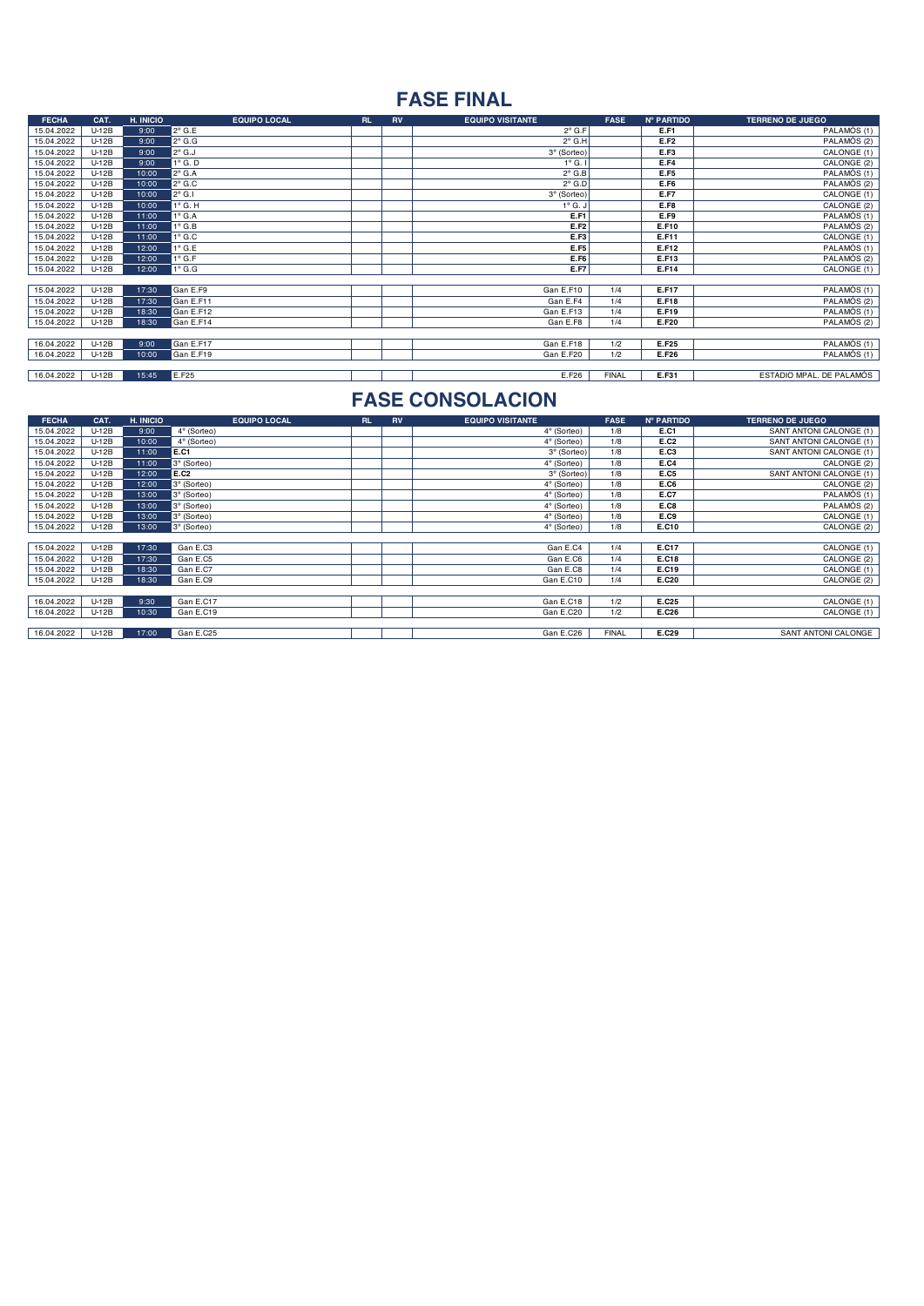# **FASE FINAL**

| <b>FECHA</b> | CAT.    | H. INICIO | <b>EQUIPO LOCAL</b> | <b>RL</b> | RV | <b>EQUIPO VISITANTE</b> | <b>FASE</b>  | Nº PARTIDO  | <b>TERRENO DE JUEGO</b>  |
|--------------|---------|-----------|---------------------|-----------|----|-------------------------|--------------|-------------|--------------------------|
| 15.04.2022   | $U-12B$ | 9:00      | $2^{\circ}$ G.E     |           |    | $2^{\circ}$ G.F         |              | E.F1        | PALAMÓS (1)              |
| 15.04.2022   | $U-12B$ | 9:00      | $2^{\circ}$ G.G     |           |    | $2^{\circ}$ G.H         |              | E.F2        | PALAMÓS (2)              |
| 15.04.2022   | $U-12B$ | 9:00      | $2^{\circ}$ G.J     |           |    | 3º (Sorteo)             |              | E.F3        | CALONGE (1)              |
| 15.04.2022   | $U-12B$ | 9:00      | $1^\circ$ G. D      |           |    | $1^\circ$ G. I          |              | E.F4        | CALONGE (2)              |
| 15.04.2022   | $U-12B$ | 10:00     | $2^{\circ}$ G.A     |           |    | $2^{\circ}$ G.B         |              | E.F5        | PALAMÓS (1)              |
| 15.04.2022   | $U-12B$ | 10:00     | $2^{\circ}$ G.C     |           |    | $2^{\circ}$ G.D         |              | E.F6        | PALAMÓS (2)              |
| 15.04.2022   | $U-12B$ | 10:00     | $2^{\circ}$ G.I     |           |    | 3° (Sorteo)             |              | <b>E.F7</b> | CALONGE (1)              |
| 15.04.2022   | $U-12B$ | 10:00     | $1^\circ$ G. H      |           |    | $1^\circ$ G. J          |              | E.F8        | CALONGE (2)              |
| 15.04.2022   | $U-12B$ | 11:00     | $1^\circ$ G.A       |           |    | E.F1                    |              | E.F9        | PALAMÓS (1)              |
| 15.04.2022   | $U-12B$ | 11:00     | $1^\circ$ G.B       |           |    | E.F2                    |              | E.F10       | PALAMÓS (2)              |
| 15.04.2022   | $U-12B$ | 11:00     | $1^\circ$ G.C       |           |    | E.F3                    |              | E.F11       | CALONGE (1)              |
| 15.04.2022   | $U-12B$ | 12:00     | $1^{\circ}$ G.E     |           |    | E.F5                    |              | E.F12       | PALAMÓS (1)              |
| 15.04.2022   | $U-12B$ | 12:00     | $1^\circ$ G.F       |           |    | E.F6                    |              | E.F13       | PALAMÓS (2)              |
| 15.04.2022   | $U-12B$ | 12:00     | $1^\circ$ G.G       |           |    | E.F7                    |              | E.F14       | CALONGE (1)              |
|              |         |           |                     |           |    |                         |              |             |                          |
| 15.04.2022   | $U-12B$ | 17:30     | Gan E.F9            |           |    | Gan E.F10               | 1/4          | E.F17       | PALAMÓS (1)              |
| 15.04.2022   | $U-12B$ | 17:30     | Gan E.F11           |           |    | Gan E.F4                | 1/4          | E.F18       | PALAMÓS (2)              |
| 15.04.2022   | $U-12B$ | 18:30     | Gan E.F12           |           |    | Gan E.F13               | 1/4          | E.F19       | PALAMOS(1)               |
| 15.04.2022   | $U-12B$ | 18:30     | Gan E.F14           |           |    | Gan E.F8                | 1/4          | E.F20       | PALAMÓS <sup>(2)</sup>   |
|              |         |           |                     |           |    |                         |              |             |                          |
| 16.04.2022   | $U-12B$ | 9:00      | Gan E.F17           |           |    | Gan E.F18               | 1/2          | E.F25       | PALAMÓS (1)              |
| 16.04.2022   | $U-12B$ | 10:00     | Gan E.F19           |           |    | Gan E.F20               | 1/2          | E.F26       | PALAMÓS <sup>(1)</sup>   |
|              |         |           |                     |           |    |                         |              |             |                          |
| 16.04.2022   | $U-12B$ | 15:45     | E.F25               |           |    | E.F26                   | <b>FINAL</b> | E.F31       | ESTADIO MPAL. DE PALAMÓS |

| <b>FECHA</b> | CAT.    | H. INICIO | <b>EQUIPO LOCAL</b> | <b>RL</b> | <b>RV</b> | <b>EQUIPO VISITANTE</b> | <b>FASE</b>  | <b>Nº PARTIDO</b> | <b>TERRENO DE JUEGO</b> |
|--------------|---------|-----------|---------------------|-----------|-----------|-------------------------|--------------|-------------------|-------------------------|
| 15.04.2022   | $U-12B$ | 9:00      | 4° (Sorteo)         |           |           | 4° (Sorteo)             | 1/8          | E.C1              | SANT ANTONI CALONGE (1) |
| 15.04.2022   | $U-12B$ | 10:00     | 4° (Sorteo)         |           |           | 4° (Sorteo)             | 1/8          | E.C2              | SANT ANTONI CALONGE (1) |
| 15.04.2022   | U-12B   | 11:00     | E.C1                |           |           | 3º (Sorteo)             | 1/8          | E.C3              | SANT ANTONI CALONGE (1) |
| 15.04.2022   | U-12B   | 11:00     | 3º (Sorteo)         |           |           | 4° (Sorteo)             | 1/8          | E.C4              | CALONGE (2)             |
| 15.04.2022   | $U-12B$ | 12:00     | E.C2                |           |           | 3º (Sorteo)             | 1/8          | E.C5              | SANT ANTONI CALONGE (1) |
| 15.04.2022   | $U-12B$ | 12:00     | 3º (Sorteo)         |           |           | 4° (Sorteo)             | 1/8          | E.C6              | CALONGE (2)             |
| 15.04.2022   | $U-12B$ | 13:00     | 3º (Sorteo)         |           |           | 4° (Sorteo)             | 1/8          | E.C7              | PALAMÓS (1)             |
| 15.04.2022   | $U-12B$ | 13:00     | 3° (Sorteo)         |           |           | 4° (Sorteo)             | 1/8          | E.C8              | PALAMÓS (2)             |
| 15.04.2022   | $U-12B$ | 13:00     | 3° (Sorteo)         |           |           | 4° (Sorteo)             | 1/8          | E.C9              | CALONGE (1)             |
| 15.04.2022   | $U-12B$ | 13:00     | 3º (Sorteo)         |           |           | 4° (Sorteo)             | 1/8          | E.C10             | CALONGE (2)             |
|              |         |           |                     |           |           |                         |              |                   |                         |
| 15.04.2022   | $U-12B$ | 17:30     | Gan E.C3            |           |           | Gan E.C4                | 1/4          | E.C17             | CALONGE (1)             |
| 15.04.2022   | U-12B   | 17:30     | Gan E.C5            |           |           | Gan E.C6                | 1/4          | E.C18             | CALONGE (2)             |
| 15.04.2022   | $U-12B$ | 18:30     | Gan E.C7            |           |           | Gan E.C8                | 1/4          | E.C19             | CALONGE (1)             |
| 15.04.2022   | $U-12B$ | 18:30     | Gan E.C9            |           |           | Gan E.C10               | 1/4          | E.C20             | CALONGE (2)             |
|              |         |           |                     |           |           |                         |              |                   |                         |
| 16.04.2022   | $U-12B$ | 9:30      | Gan E.C17           |           |           | Gan E.C18               | 1/2          | E.C25             | CALONGE (1)             |
| 16.04.2022   | $U-12B$ | 10:30     | Gan E.C19           |           |           | Gan E.C20               | 1/2          | E.C26             | CALONGE (1)             |
|              |         |           |                     |           |           |                         |              |                   |                         |
| 16.04.2022   | $U-12B$ | 17:00     | Gan E.C25           |           |           | Gan E.C26               | <b>FINAL</b> | E.C29             | SANT ANTONI CALONGE     |